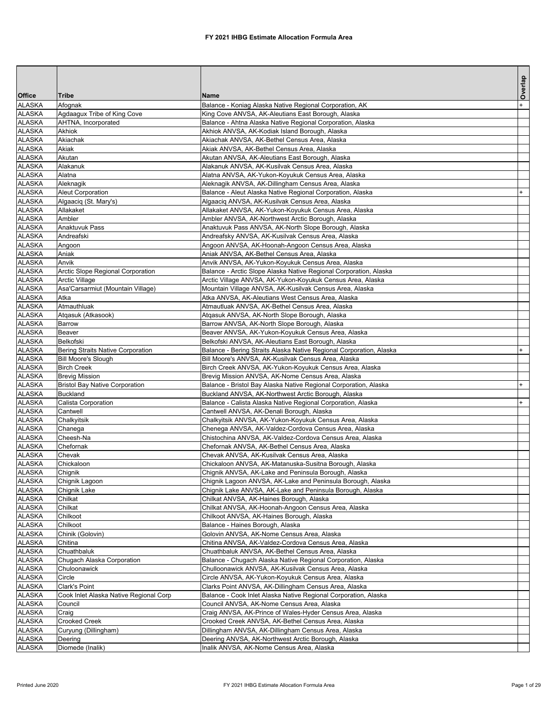|                                |                                        |                                                                                                                 | Overlap |
|--------------------------------|----------------------------------------|-----------------------------------------------------------------------------------------------------------------|---------|
| <b>Office</b>                  | Tribe                                  | Name                                                                                                            |         |
| <b>ALASKA</b>                  | Afognak                                | Balance - Koniag Alaska Native Regional Corporation, AK                                                         |         |
| <b>ALASKA</b>                  | Agdaagux Tribe of King Cove            | King Cove ANVSA, AK-Aleutians East Borough, Alaska                                                              |         |
| <b>ALASKA</b>                  | AHTNA, Incorporated                    | Balance - Ahtna Alaska Native Regional Corporation, Alaska                                                      |         |
| <b>ALASKA</b>                  | Akhiok                                 | Akhiok ANVSA, AK-Kodiak Island Borough, Alaska                                                                  |         |
| <b>ALASKA</b>                  | Akiachak                               | Akiachak ANVSA, AK-Bethel Census Area, Alaska                                                                   |         |
| <b>ALASKA</b>                  | Akiak                                  | Akiak ANVSA, AK-Bethel Census Area, Alaska                                                                      |         |
| <b>ALASKA</b>                  | Akutan                                 | Akutan ANVSA, AK-Aleutians East Borough, Alaska                                                                 |         |
| <b>ALASKA</b><br><b>ALASKA</b> | Alakanuk<br>Alatna                     | Alakanuk ANVSA, AK-Kusilvak Census Area, Alaska                                                                 |         |
| <b>ALASKA</b>                  |                                        | Alatna ANVSA, AK-Yukon-Koyukuk Census Area, Alaska<br>Aleknagik ANVSA, AK-Dillingham Census Area, Alaska        |         |
| <b>ALASKA</b>                  | Aleknagik<br><b>Aleut Corporation</b>  | Balance - Aleut Alaska Native Regional Corporation, Alaska                                                      | $+$     |
| <b>ALASKA</b>                  | Algaaciq (St. Mary's)                  | Algaacig ANVSA, AK-Kusilvak Census Area, Alaska                                                                 |         |
| <b>ALASKA</b>                  | Allakaket                              | Allakaket ANVSA, AK-Yukon-Koyukuk Census Area, Alaska                                                           |         |
| <b>ALASKA</b>                  | Ambler                                 | Ambler ANVSA, AK-Northwest Arctic Borough, Alaska                                                               |         |
| <b>ALASKA</b>                  | Anaktuvuk Pass                         | Anaktuvuk Pass ANVSA, AK-North Slope Borough, Alaska                                                            |         |
| <b>ALASKA</b>                  | Andreafski                             | Andreafsky ANVSA, AK-Kusilvak Census Area, Alaska                                                               |         |
| <b>ALASKA</b>                  | Angoon                                 | Angoon ANVSA, AK-Hoonah-Angoon Census Area, Alaska                                                              |         |
| <b>ALASKA</b>                  | Aniak                                  | Aniak ANVSA, AK-Bethel Census Area, Alaska                                                                      |         |
| <b>ALASKA</b>                  | Anvik                                  | Anvik ANVSA, AK-Yukon-Koyukuk Census Area, Alaska                                                               |         |
| <b>ALASKA</b>                  | Arctic Slope Regional Corporation      | Balance - Arctic Slope Alaska Native Regional Corporation, Alaska                                               |         |
| <b>ALASKA</b>                  | <b>Arctic Village</b>                  | Arctic Village ANVSA, AK-Yukon-Koyukuk Census Area, Alaska                                                      |         |
| <b>ALASKA</b>                  | Asa'Carsarmiut (Mountain Village)      | Mountain Village ANVSA, AK-Kusilvak Census Area, Alaska                                                         |         |
| <b>ALASKA</b>                  | Atka                                   | Atka ANVSA, AK-Aleutians West Census Area, Alaska                                                               |         |
| <b>ALASKA</b>                  | Atmauthluak                            | Atmautluak ANVSA, AK-Bethel Census Area, Alaska                                                                 |         |
| <b>ALASKA</b>                  | Atgasuk (Atkasook)                     | Atgasuk ANVSA, AK-North Slope Borough, Alaska                                                                   |         |
| <b>ALASKA</b>                  | Barrow                                 | Barrow ANVSA, AK-North Slope Borough, Alaska                                                                    |         |
| <b>ALASKA</b>                  | Beaver                                 | Beaver ANVSA, AK-Yukon-Koyukuk Census Area, Alaska                                                              |         |
| <b>ALASKA</b>                  | <b>Belkofski</b>                       | Belkofski ANVSA, AK-Aleutians East Borough, Alaska                                                              |         |
| <b>ALASKA</b>                  | Bering Straits Native Corporation      | Balance - Bering Straits Alaska Native Regional Corporation, Alaska                                             |         |
| <b>ALASKA</b>                  | <b>Bill Moore's Slough</b>             | Bill Moore's ANVSA, AK-Kusilvak Census Area, Alaska                                                             |         |
| <b>ALASKA</b>                  | <b>Birch Creek</b>                     | Birch Creek ANVSA, AK-Yukon-Koyukuk Census Area, Alaska                                                         |         |
| <b>ALASKA</b>                  | <b>Brevig Mission</b>                  | Brevig Mission ANVSA, AK-Nome Census Area, Alaska                                                               |         |
| <b>ALASKA</b>                  | <b>Bristol Bay Native Corporation</b>  | Balance - Bristol Bay Alaska Native Regional Corporation, Alaska                                                | $+$     |
| <b>ALASKA</b>                  | <b>Buckland</b>                        | Buckland ANVSA, AK-Northwest Arctic Borough, Alaska                                                             |         |
| <b>ALASKA</b>                  | Calista Corporation                    | Balance - Calista Alaska Native Regional Corporation, Alaska                                                    |         |
| <b>ALASKA</b>                  | Cantwell                               | Cantwell ANVSA, AK-Denali Borough, Alaska                                                                       |         |
| <b>ALASKA</b>                  | Chalkyitsik                            | Chalkyitsik ANVSA, AK-Yukon-Koyukuk Census Area, Alaska<br>Chenega ANVSA, AK-Valdez-Cordova Census Area, Alaska |         |
| <b>ALASKA</b><br><b>ALASKA</b> | Chanega<br>Cheesh-Na                   | Chistochina ANVSA, AK-Valdez-Cordova Census Area, Alaska                                                        |         |
| <b>ALASKA</b>                  | Chefornak                              | Chefornak ANVSA, AK-Bethel Census Area, Alaska                                                                  |         |
| <b>ALASKA</b>                  | Chevak                                 | Chevak ANVSA, AK-Kusilvak Census Area, Alaska                                                                   |         |
| <b>ALASKA</b>                  | Chickaloon                             | Chickaloon ANVSA, AK-Matanuska-Susitna Borough, Alaska                                                          |         |
| <b>ALASKA</b>                  | Chignik                                | Chignik ANVSA, AK-Lake and Peninsula Borough, Alaska                                                            |         |
| <b>ALASKA</b>                  | Chignik Lagoon                         | Chignik Lagoon ANVSA, AK-Lake and Peninsula Borough, Alaska                                                     |         |
| <b>ALASKA</b>                  | Chignik Lake                           | Chignik Lake ANVSA, AK-Lake and Peninsula Borough, Alaska                                                       |         |
| <b>ALASKA</b>                  | Chilkat                                | Chilkat ANVSA, AK-Haines Borough, Alaska                                                                        |         |
| <b>ALASKA</b>                  | Chilkat                                | Chilkat ANVSA, AK-Hoonah-Angoon Census Area, Alaska                                                             |         |
| <b>ALASKA</b>                  | Chilkoot                               | Chilkoot ANVSA, AK-Haines Borough, Alaska                                                                       |         |
| <b>ALASKA</b>                  | Chilkoot                               | Balance - Haines Borough, Alaska                                                                                |         |
| <b>ALASKA</b>                  | Chinik (Golovin)                       | Golovin ANVSA, AK-Nome Census Area, Alaska                                                                      |         |
| <b>ALASKA</b>                  | Chitina                                | Chitina ANVSA, AK-Valdez-Cordova Census Area, Alaska                                                            |         |
| <b>ALASKA</b>                  | Chuathbaluk                            | Chuathbaluk ANVSA, AK-Bethel Census Area, Alaska                                                                |         |
| <b>ALASKA</b>                  | Chugach Alaska Corporation             | Balance - Chugach Alaska Native Regional Corporation, Alaska                                                    |         |
| <b>ALASKA</b>                  | Chuloonawick                           | Chulloonawick ANVSA, AK-Kusilvak Census Area, Alaska                                                            |         |
| <b>ALASKA</b>                  | Circle                                 | Circle ANVSA, AK-Yukon-Koyukuk Census Area, Alaska                                                              |         |
| <b>ALASKA</b>                  | Clark's Point                          | Clarks Point ANVSA, AK-Dillingham Census Area, Alaska                                                           |         |
| <b>ALASKA</b>                  | Cook Inlet Alaska Native Regional Corp | Balance - Cook Inlet Alaska Native Regional Corporation, Alaska                                                 |         |
| <b>ALASKA</b>                  | Council                                | Council ANVSA, AK-Nome Census Area, Alaska                                                                      |         |
| <b>ALASKA</b>                  | Craig                                  | Craig ANVSA, AK-Prince of Wales-Hyder Census Area, Alaska                                                       |         |
| <b>ALASKA</b>                  | Crooked Creek                          | Crooked Creek ANVSA, AK-Bethel Census Area, Alaska                                                              |         |
| ALASKA<br><b>ALASKA</b>        | Curyung (Dillingham)                   | Dillingham ANVSA, AK-Dillingham Census Area, Alaska                                                             |         |
|                                | Deering                                | Deering ANVSA, AK-Northwest Arctic Borough, Alaska                                                              |         |
| <b>ALASKA</b>                  | Diomede (Inalik)                       | Inalik ANVSA, AK-Nome Census Area, Alaska                                                                       |         |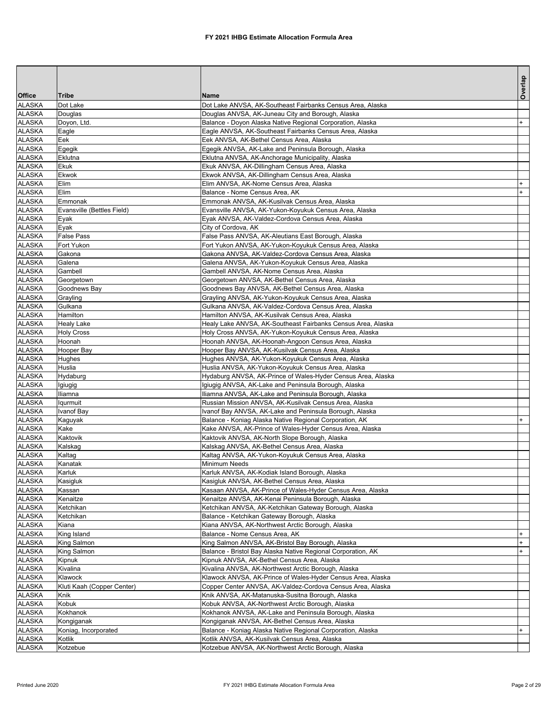|                                |                            |                                                                                                                 | Overlap          |
|--------------------------------|----------------------------|-----------------------------------------------------------------------------------------------------------------|------------------|
| <b>Office</b>                  | <b>Tribe</b>               | <b>Name</b>                                                                                                     |                  |
| <b>ALASKA</b><br><b>ALASKA</b> | Dot Lake<br>Douglas        | Dot Lake ANVSA, AK-Southeast Fairbanks Census Area, Alaska<br>Douglas ANVSA, AK-Juneau City and Borough, Alaska |                  |
| <b>ALASKA</b>                  | Doyon, Ltd.                | Balance - Doyon Alaska Native Regional Corporation, Alaska                                                      | $+$              |
| <b>ALASKA</b>                  | Eagle                      | Eagle ANVSA, AK-Southeast Fairbanks Census Area, Alaska                                                         |                  |
| <b>ALASKA</b>                  | Eek                        | Eek ANVSA, AK-Bethel Census Area, Alaska                                                                        |                  |
| <b>ALASKA</b>                  | Egegik                     | Egegik ANVSA, AK-Lake and Peninsula Borough, Alaska                                                             |                  |
| <b>ALASKA</b>                  | Eklutna                    | Eklutna ANVSA, AK-Anchorage Municipality, Alaska                                                                |                  |
| <b>ALASKA</b>                  | Ekuk                       | Ekuk ANVSA, AK-Dillingham Census Area, Alaska                                                                   |                  |
| <b>ALASKA</b>                  | Ekwok                      | Ekwok ANVSA, AK-Dillingham Census Area, Alaska                                                                  |                  |
| <b>ALASKA</b>                  | Elim                       | Elim ANVSA, AK-Nome Census Area, Alaska                                                                         |                  |
| <b>ALASKA</b>                  | Elim                       | Balance - Nome Census Area, AK                                                                                  | $\ddot{}$        |
| <b>ALASKA</b>                  | Emmonak                    | Emmonak ANVSA, AK-Kusilvak Census Area, Alaska                                                                  |                  |
| <b>ALASKA</b>                  | Evansville (Bettles Field) | Evansville ANVSA, AK-Yukon-Koyukuk Census Area, Alaska                                                          |                  |
| <b>ALASKA</b>                  | Eyak                       | Eyak ANVSA, AK-Valdez-Cordova Census Area, Alaska                                                               |                  |
| <b>ALASKA</b>                  | Eyak                       | City of Cordova, AK                                                                                             |                  |
| <b>ALASKA</b>                  | <b>False Pass</b>          | False Pass ANVSA, AK-Aleutians East Borough, Alaska                                                             |                  |
| <b>ALASKA</b>                  | Fort Yukon                 | Fort Yukon ANVSA, AK-Yukon-Koyukuk Census Area, Alaska                                                          |                  |
| <b>ALASKA</b>                  | Gakona                     | Gakona ANVSA, AK-Valdez-Cordova Census Area, Alaska                                                             |                  |
| <b>ALASKA</b>                  | Galena                     | Galena ANVSA, AK-Yukon-Koyukuk Census Area, Alaska                                                              |                  |
| <b>ALASKA</b>                  | Gambell                    | Gambell ANVSA, AK-Nome Census Area, Alaska                                                                      |                  |
| <b>ALASKA</b>                  | Georgetown                 | Georgetown ANVSA, AK-Bethel Census Area, Alaska                                                                 |                  |
| <b>ALASKA</b>                  | Goodnews Bay               | Goodnews Bay ANVSA, AK-Bethel Census Area, Alaska                                                               |                  |
| <b>ALASKA</b>                  | Grayling                   | Grayling ANVSA, AK-Yukon-Koyukuk Census Area, Alaska                                                            |                  |
| <b>ALASKA</b>                  | Gulkana                    | Gulkana ANVSA, AK-Valdez-Cordova Census Area, Alaska                                                            |                  |
| <b>ALASKA</b>                  | Hamilton                   | Hamilton ANVSA, AK-Kusilvak Census Area, Alaska                                                                 |                  |
| <b>ALASKA</b>                  | <b>Healy Lake</b>          | Healy Lake ANVSA, AK-Southeast Fairbanks Census Area, Alaska                                                    |                  |
| <b>ALASKA</b>                  | <b>Holy Cross</b>          | Holy Cross ANVSA, AK-Yukon-Koyukuk Census Area, Alaska                                                          |                  |
| <b>ALASKA</b><br><b>ALASKA</b> | Hoonah<br>Hooper Bay       | Hoonah ANVSA, AK-Hoonah-Angoon Census Area, Alaska<br>Hooper Bay ANVSA, AK-Kusilvak Census Area, Alaska         |                  |
| <b>ALASKA</b>                  | Hughes                     | Hughes ANVSA, AK-Yukon-Koyukuk Census Area, Alaska                                                              |                  |
| <b>ALASKA</b>                  | Huslia                     | Huslia ANVSA, AK-Yukon-Koyukuk Census Area, Alaska                                                              |                  |
| <b>ALASKA</b>                  | Hydaburg                   | Hydaburg ANVSA, AK-Prince of Wales-Hyder Census Area, Alaska                                                    |                  |
| ALASKA                         | Igiugig                    | Igiugig ANVSA, AK-Lake and Peninsula Borough, Alaska                                                            |                  |
| <b>ALASKA</b>                  | Iliamna                    | Iliamna ANVSA, AK-Lake and Peninsula Borough, Alaska                                                            |                  |
| <b>ALASKA</b>                  | lgurmuit                   | Russian Mission ANVSA, AK-Kusilvak Census Area, Alaska                                                          |                  |
| <b>ALASKA</b>                  | Ivanof Bay                 | Ivanof Bay ANVSA, AK-Lake and Peninsula Borough, Alaska                                                         |                  |
| <b>ALASKA</b>                  | Kaguyak                    | Balance - Koniag Alaska Native Regional Corporation, AK                                                         |                  |
| <b>ALASKA</b>                  | Kake                       | Kake ANVSA, AK-Prince of Wales-Hyder Census Area, Alaska                                                        |                  |
| <b>ALASKA</b>                  | Kaktovik                   | Kaktovik ANVSA, AK-North Slope Borough, Alaska                                                                  |                  |
| <b>ALASKA</b>                  | Kalskag                    | Kalskag ANVSA, AK-Bethel Census Area, Alaska                                                                    |                  |
| <b>ALASKA</b>                  | Kaltag                     | Kaltag ANVSA, AK-Yukon-Koyukuk Census Area, Alaska                                                              |                  |
| <b>ALASKA</b>                  | Kanatak                    | Minimum Needs                                                                                                   |                  |
| <b>ALASKA</b>                  | Karluk                     | Karluk ANVSA, AK-Kodiak Island Borough, Alaska                                                                  |                  |
| <b>ALASKA</b>                  | Kasigluk                   | Kasigluk ANVSA, AK-Bethel Census Area, Alaska                                                                   |                  |
| <b>ALASKA</b>                  | Kassan                     | Kasaan ANVSA, AK-Prince of Wales-Hyder Census Area, Alaska                                                      |                  |
| <b>ALASKA</b>                  | Kenaitze                   | Kenaitze ANVSA, AK-Kenai Peninsula Borough, Alaska                                                              |                  |
| <b>ALASKA</b>                  | Ketchikan                  | Ketchikan ANVSA, AK-Ketchikan Gateway Borough, Alaska                                                           |                  |
| <b>ALASKA</b>                  | Ketchikan                  | Balance - Ketchikan Gateway Borough, Alaska                                                                     |                  |
| <b>ALASKA</b>                  | Kiana                      | Kiana ANVSA, AK-Northwest Arctic Borough, Alaska                                                                |                  |
| <b>ALASKA</b>                  | King Island                | Balance - Nome Census Area, AK<br>King Salmon ANVSA, AK-Bristol Bay Borough, Alaska                             | $+$<br>$\ddot{}$ |
| <b>ALASKA</b><br><b>ALASKA</b> | King Salmon                | Balance - Bristol Bay Alaska Native Regional Corporation, AK                                                    | $+$              |
| <b>ALASKA</b>                  | King Salmon<br>Kipnuk      | Kipnuk ANVSA, AK-Bethel Census Area, Alaska                                                                     |                  |
| <b>ALASKA</b>                  | Kivalina                   | Kivalina ANVSA, AK-Northwest Arctic Borough, Alaska                                                             |                  |
| <b>ALASKA</b>                  | Klawock                    | Klawock ANVSA, AK-Prince of Wales-Hyder Census Area, Alaska                                                     |                  |
| <b>ALASKA</b>                  | Kluti Kaah (Copper Center) | Copper Center ANVSA, AK-Valdez-Cordova Census Area, Alaska                                                      |                  |
| <b>ALASKA</b>                  | Knik                       | Knik ANVSA, AK-Matanuska-Susitna Borough, Alaska                                                                |                  |
| <b>ALASKA</b>                  | Kobuk                      | Kobuk ANVSA, AK-Northwest Arctic Borough, Alaska                                                                |                  |
| <b>ALASKA</b>                  | Kokhanok                   | Kokhanok ANVSA, AK-Lake and Peninsula Borough, Alaska                                                           |                  |
| <b>ALASKA</b>                  | Kongiganak                 | Kongiganak ANVSA, AK-Bethel Census Area, Alaska                                                                 |                  |
| <b>ALASKA</b>                  | Koniag, Incorporated       | Balance - Koniag Alaska Native Regional Corporation, Alaska                                                     | $\ddot{}$        |
| <b>ALASKA</b>                  | Kotlik                     | Kotlik ANVSA, AK-Kusilvak Census Area, Alaska                                                                   |                  |
| <b>ALASKA</b>                  | Kotzebue                   | Kotzebue ANVSA, AK-Northwest Arctic Borough, Alaska                                                             |                  |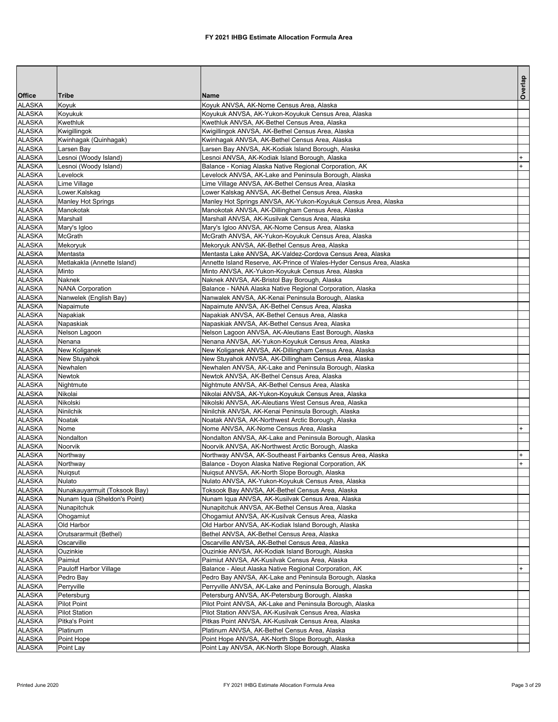|                                |                                                              |                                                                                                              | Overlap   |
|--------------------------------|--------------------------------------------------------------|--------------------------------------------------------------------------------------------------------------|-----------|
| <b>Office</b>                  | Tribe                                                        | <b>Name</b>                                                                                                  |           |
| <b>ALASKA</b>                  | Koyuk                                                        | Koyuk ANVSA, AK-Nome Census Area, Alaska                                                                     |           |
| <b>ALASKA</b>                  | Koyukuk                                                      | Koyukuk ANVSA, AK-Yukon-Koyukuk Census Area, Alaska                                                          |           |
| <b>ALASKA</b>                  | Kwethluk                                                     | Kwethluk ANVSA, AK-Bethel Census Area, Alaska                                                                |           |
| <b>ALASKA</b>                  | Kwigillingok                                                 | Kwigillingok ANVSA, AK-Bethel Census Area, Alaska                                                            |           |
| <b>ALASKA</b><br><b>ALASKA</b> | Kwinhagak (Quinhagak)<br>Larsen Bay                          | Kwinhagak ANVSA, AK-Bethel Census Area, Alaska<br>Larsen Bay ANVSA, AK-Kodiak Island Borough, Alaska         |           |
| <b>ALASKA</b>                  | Lesnoi (Woody Island)                                        | Lesnoi ANVSA, AK-Kodiak Island Borough, Alaska                                                               | $\ddot{}$ |
| <b>ALASKA</b>                  | Lesnoi (Woody Island)                                        | Balance - Koniag Alaska Native Regional Corporation, AK                                                      | $\ddot{}$ |
| <b>ALASKA</b>                  | Levelock                                                     | Levelock ANVSA, AK-Lake and Peninsula Borough, Alaska                                                        |           |
| <b>ALASKA</b>                  | Lime Village                                                 | Lime Village ANVSA, AK-Bethel Census Area, Alaska                                                            |           |
| <b>ALASKA</b>                  | Lower.Kalskag                                                | Lower Kalskag ANVSA, AK-Bethel Census Area, Alaska                                                           |           |
| <b>ALASKA</b>                  | <b>Manley Hot Springs</b>                                    | Manley Hot Springs ANVSA, AK-Yukon-Koyukuk Census Area, Alaska                                               |           |
| <b>ALASKA</b>                  | Manokotak                                                    | Manokotak ANVSA, AK-Dillingham Census Area, Alaska                                                           |           |
| <b>ALASKA</b>                  | Marshall                                                     | Marshall ANVSA, AK-Kusilvak Census Area, Alaska                                                              |           |
| <b>ALASKA</b>                  | Mary's Igloo                                                 | Mary's Igloo ANVSA, AK-Nome Census Area, Alaska                                                              |           |
| <b>ALASKA</b>                  | McGrath                                                      | McGrath ANVSA, AK-Yukon-Koyukuk Census Area, Alaska                                                          |           |
| <b>ALASKA</b>                  | Mekoryuk                                                     | Mekoryuk ANVSA, AK-Bethel Census Area, Alaska                                                                |           |
| <b>ALASKA</b>                  | Mentasta                                                     | Mentasta Lake ANVSA, AK-Valdez-Cordova Census Area, Alaska                                                   |           |
| <b>ALASKA</b>                  | Metlakakla (Annette Island)                                  | Annette Island Reserve, AK-Prince of Wales-Hyder Census Area, Alaska                                         |           |
| <b>ALASKA</b>                  | Minto                                                        | Minto ANVSA, AK-Yukon-Koyukuk Census Area, Alaska                                                            |           |
| <b>ALASKA</b>                  | Naknek                                                       | Naknek ANVSA, AK-Bristol Bay Borough, Alaska                                                                 |           |
| <b>ALASKA</b>                  | <b>NANA Corporation</b>                                      | Balance - NANA Alaska Native Regional Corporation, Alaska                                                    |           |
| <b>ALASKA</b>                  | Nanwelek (English Bay)                                       | Nanwalek ANVSA, AK-Kenai Peninsula Borough, Alaska                                                           |           |
| <b>ALASKA</b>                  | Napaimute                                                    | Napaimute ANVSA, AK-Bethel Census Area, Alaska                                                               |           |
| <b>ALASKA</b>                  | Napakiak                                                     | Napakiak ANVSA, AK-Bethel Census Area, Alaska                                                                |           |
| <b>ALASKA</b><br><b>ALASKA</b> | Napaskiak                                                    | Napaskiak ANVSA, AK-Bethel Census Area, Alaska                                                               |           |
| <b>ALASKA</b>                  | Nelson Lagoon<br>Nenana                                      | Nelson Lagoon ANVSA, AK-Aleutians East Borough, Alaska<br>Nenana ANVSA, AK-Yukon-Koyukuk Census Area, Alaska |           |
| <b>ALASKA</b>                  | New Koliganek                                                | New Koliganek ANVSA, AK-Dillingham Census Area, Alaska                                                       |           |
| <b>ALASKA</b>                  | New Stuyahok                                                 | New Stuyahok ANVSA, AK-Dillingham Census Area, Alaska                                                        |           |
| <b>ALASKA</b>                  | Newhalen                                                     | Newhalen ANVSA, AK-Lake and Peninsula Borough, Alaska                                                        |           |
| <b>ALASKA</b>                  | Newtok                                                       | Newtok ANVSA, AK-Bethel Census Area, Alaska                                                                  |           |
| <b>ALASKA</b>                  | Nightmute                                                    | Nightmute ANVSA, AK-Bethel Census Area, Alaska                                                               |           |
| <b>ALASKA</b>                  | Nikolai                                                      | Nikolai ANVSA, AK-Yukon-Koyukuk Census Area, Alaska                                                          |           |
| <b>ALASKA</b>                  | Nikolski                                                     | Nikolski ANVSA, AK-Aleutians West Census Area, Alaska                                                        |           |
| <b>ALASKA</b>                  | Ninilchik                                                    | Ninilchik ANVSA, AK-Kenai Peninsula Borough, Alaska                                                          |           |
| <b>ALASKA</b>                  | Noatak                                                       | Noatak ANVSA, AK-Northwest Arctic Borough, Alaska                                                            |           |
| <b>ALASKA</b>                  | Nome                                                         | Nome ANVSA, AK-Nome Census Area, Alaska                                                                      | $^{+}$    |
| <b>ALASKA</b>                  | Nondalton                                                    | Nondalton ANVSA, AK-Lake and Peninsula Borough, Alaska                                                       |           |
| <b>ALASKA</b>                  | Noorvik                                                      | Noorvik ANVSA, AK-Northwest Arctic Borough, Alaska                                                           |           |
| <b>ALASKA</b>                  | Northway                                                     | Northway ANVSA, AK-Southeast Fairbanks Census Area, Alaska                                                   | $\ddot{}$ |
| <b>ALASKA</b>                  | Northway                                                     | Balance - Doyon Alaska Native Regional Corporation, AK                                                       | $+$       |
| <b>ALASKA</b>                  | Nuigsut                                                      | Nuigsut ANVSA, AK-North Slope Borough, Alaska                                                                |           |
| <b>ALASKA</b>                  | Nulato                                                       | Nulato ANVSA, AK-Yukon-Koyukuk Census Area, Alaska                                                           |           |
| <b>ALASKA</b><br><b>ALASKA</b> | Nunakauyarmuit (Toksook Bay)<br>Nunam Iqua (Sheldon's Point) | Toksook Bay ANVSA, AK-Bethel Census Area, Alaska<br>Nunam Iqua ANVSA, AK-Kusilvak Census Area, Alaska        |           |
| <b>ALASKA</b>                  |                                                              |                                                                                                              |           |
| <b>ALASKA</b>                  | Nunapitchuk<br>Ohogamiut                                     | Nunapitchuk ANVSA, AK-Bethel Census Area, Alaska<br>Ohogamiut ANVSA, AK-Kusilvak Census Area, Alaska         |           |
| <b>ALASKA</b>                  | Old Harbor                                                   | Old Harbor ANVSA, AK-Kodiak Island Borough, Alaska                                                           |           |
| <b>ALASKA</b>                  | Orutsararmuit (Bethel)                                       | Bethel ANVSA, AK-Bethel Census Area, Alaska                                                                  |           |
| <b>ALASKA</b>                  | Oscarville                                                   | Oscarville ANVSA, AK-Bethel Census Area, Alaska                                                              |           |
| <b>ALASKA</b>                  | Ouzinkie                                                     | Ouzinkie ANVSA, AK-Kodiak Island Borough, Alaska                                                             |           |
| <b>ALASKA</b>                  | Paimiut                                                      | Paimiut ANVSA, AK-Kusilvak Census Area, Alaska                                                               |           |
| <b>ALASKA</b>                  | Pauloff Harbor Village                                       | Balance - Aleut Alaska Native Regional Corporation, AK                                                       | $+$       |
| <b>ALASKA</b>                  | Pedro Bay                                                    | Pedro Bay ANVSA, AK-Lake and Peninsula Borough, Alaska                                                       |           |
| <b>ALASKA</b>                  | Perryville                                                   | Perryville ANVSA, AK-Lake and Peninsula Borough, Alaska                                                      |           |
| <b>ALASKA</b>                  | Petersburg                                                   | Petersburg ANVSA, AK-Petersburg Borough, Alaska                                                              |           |
| <b>ALASKA</b>                  | Pilot Point                                                  | Pilot Point ANVSA, AK-Lake and Peninsula Borough, Alaska                                                     |           |
| <b>ALASKA</b>                  | <b>Pilot Station</b>                                         | Pilot Station ANVSA, AK-Kusilvak Census Area, Alaska                                                         |           |
| <b>ALASKA</b>                  | Pitka's Point                                                | Pitkas Point ANVSA, AK-Kusilvak Census Area, Alaska                                                          |           |
| <b>ALASKA</b>                  | Platinum                                                     | Platinum ANVSA, AK-Bethel Census Area, Alaska                                                                |           |
| <b>ALASKA</b>                  | Point Hope                                                   | Point Hope ANVSA, AK-North Slope Borough, Alaska                                                             |           |
| ALASKA                         | Point Lay                                                    | Point Lay ANVSA, AK-North Slope Borough, Alaska                                                              |           |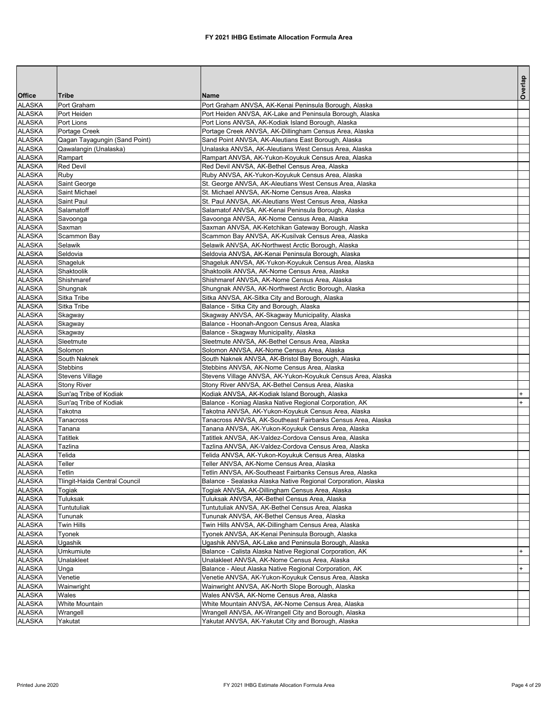|                                |                               |                                                                                                              | Overlap   |
|--------------------------------|-------------------------------|--------------------------------------------------------------------------------------------------------------|-----------|
| <b>Office</b>                  | Tribe                         | <b>Name</b>                                                                                                  |           |
| <b>ALASKA</b>                  | Port Graham                   | Port Graham ANVSA, AK-Kenai Peninsula Borough, Alaska                                                        |           |
| <b>ALASKA</b>                  | Port Heiden                   | Port Heiden ANVSA, AK-Lake and Peninsula Borough, Alaska                                                     |           |
| <b>ALASKA</b>                  | Port Lions                    | Port Lions ANVSA, AK-Kodiak Island Borough, Alaska                                                           |           |
| <b>ALASKA</b>                  | Portage Creek                 | Portage Creek ANVSA, AK-Dillingham Census Area, Alaska                                                       |           |
| ALASKA                         | Qagan Tayagungin (Sand Point) | Sand Point ANVSA, AK-Aleutians East Borough, Alaska                                                          |           |
| <b>ALASKA</b><br><b>ALASKA</b> | Qawalangin (Unalaska)         | Unalaska ANVSA, AK-Aleutians West Census Area, Alaska<br>Rampart ANVSA, AK-Yukon-Koyukuk Census Area, Alaska |           |
| <b>ALASKA</b>                  | Rampart<br><b>Red Devil</b>   | Red Devil ANVSA, AK-Bethel Census Area, Alaska                                                               |           |
| <b>ALASKA</b>                  | Ruby                          | Ruby ANVSA, AK-Yukon-Koyukuk Census Area, Alaska                                                             |           |
| ALASKA                         | Saint George                  | St. George ANVSA, AK-Aleutians West Census Area, Alaska                                                      |           |
| <b>ALASKA</b>                  | Saint Michael                 | St. Michael ANVSA, AK-Nome Census Area, Alaska                                                               |           |
| <b>ALASKA</b>                  | Saint Paul                    | St. Paul ANVSA, AK-Aleutians West Census Area, Alaska                                                        |           |
| <b>ALASKA</b>                  | Salamatoff                    | Salamatof ANVSA, AK-Kenai Peninsula Borough, Alaska                                                          |           |
| <b>ALASKA</b>                  | Savoonga                      | Savoonga ANVSA, AK-Nome Census Area, Alaska                                                                  |           |
| ALASKA                         | Saxman                        | Saxman ANVSA, AK-Ketchikan Gateway Borough, Alaska                                                           |           |
| <b>ALASKA</b>                  | Scammon Bay                   | Scammon Bay ANVSA, AK-Kusilvak Census Area, Alaska                                                           |           |
| <b>ALASKA</b>                  | Selawik                       | Selawik ANVSA, AK-Northwest Arctic Borough, Alaska                                                           |           |
| <b>ALASKA</b>                  | Seldovia                      | Seldovia ANVSA, AK-Kenai Peninsula Borough, Alaska                                                           |           |
| <b>ALASKA</b>                  | Shageluk                      | Shageluk ANVSA, AK-Yukon-Koyukuk Census Area, Alaska                                                         |           |
| ALASKA                         | Shaktoolik                    | Shaktoolik ANVSA, AK-Nome Census Area, Alaska                                                                |           |
| <b>ALASKA</b>                  | Shishmaref                    | Shishmaref ANVSA, AK-Nome Census Area, Alaska                                                                |           |
| <b>ALASKA</b>                  | Shungnak                      | Shungnak ANVSA, AK-Northwest Arctic Borough, Alaska                                                          |           |
| <b>ALASKA</b>                  | Sitka Tribe                   | Sitka ANVSA, AK-Sitka City and Borough, Alaska                                                               |           |
| <b>ALASKA</b>                  | Sitka Tribe                   | Balance - Sitka City and Borough, Alaska                                                                     |           |
| ALASKA                         | Skagway                       | Skagway ANVSA, AK-Skagway Municipality, Alaska                                                               |           |
| <b>ALASKA</b>                  | Skagway                       | Balance - Hoonah-Angoon Census Area, Alaska                                                                  |           |
| <b>ALASKA</b>                  | Skagway                       | Balance - Skagway Municipality, Alaska                                                                       |           |
| <b>ALASKA</b>                  | Sleetmute                     | Sleetmute ANVSA, AK-Bethel Census Area, Alaska                                                               |           |
| <b>ALASKA</b><br>ALASKA        | Solomon<br>South Naknek       | Solomon ANVSA, AK-Nome Census Area, Alaska<br>South Naknek ANVSA, AK-Bristol Bay Borough, Alaska             |           |
| <b>ALASKA</b>                  | Stebbins                      | Stebbins ANVSA, AK-Nome Census Area, Alaska                                                                  |           |
| <b>ALASKA</b>                  | <b>Stevens Village</b>        | Stevens Village ANVSA, AK-Yukon-Koyukuk Census Area, Alaska                                                  |           |
| <b>ALASKA</b>                  | <b>Stony River</b>            | Stony River ANVSA, AK-Bethel Census Area, Alaska                                                             |           |
| <b>ALASKA</b>                  | Sun'aq Tribe of Kodiak        | Kodiak ANVSA, AK-Kodiak Island Borough, Alaska                                                               |           |
| <b>ALASKA</b>                  | Sun'aq Tribe of Kodiak        | Balance - Koniag Alaska Native Regional Corporation, AK                                                      |           |
| <b>ALASKA</b>                  | Takotna                       | Takotna ANVSA, AK-Yukon-Koyukuk Census Area, Alaska                                                          |           |
| <b>ALASKA</b>                  | Tanacross                     | Tanacross ANVSA, AK-Southeast Fairbanks Census Area, Alaska                                                  |           |
| <b>ALASKA</b>                  | Tanana                        | Tanana ANVSA, AK-Yukon-Koyukuk Census Area, Alaska                                                           |           |
| <b>ALASKA</b>                  | Tatitlek                      | Tatitlek ANVSA, AK-Valdez-Cordova Census Area, Alaska                                                        |           |
| <b>ALASKA</b>                  | Tazlina                       | Tazlina ANVSA, AK-Valdez-Cordova Census Area, Alaska                                                         |           |
| <b>ALASKA</b>                  | Telida                        | Telida ANVSA, AK-Yukon-Koyukuk Census Area, Alaska                                                           |           |
| <b>ALASKA</b>                  | Teller                        | Teller ANVSA, AK-Nome Census Area, Alaska                                                                    |           |
| <b>ALASKA</b>                  | Tetlin                        | Tetlin ANVSA, AK-Southeast Fairbanks Census Area, Alaska                                                     |           |
| <b>ALASKA</b>                  | Tlingit-Haida Central Council | Balance - Sealaska Alaska Native Regional Corporation, Alaska                                                |           |
| <b>ALASKA</b><br><b>ALASKA</b> | Togiak<br>Tuluksak            | Togiak ANVSA, AK-Dillingham Census Area, Alaska<br>Tuluksak ANVSA, AK-Bethel Census Area, Alaska             |           |
| <b>ALASKA</b>                  | Tuntutuliak                   | Tuntutuliak ANVSA, AK-Bethel Census Area, Alaska                                                             |           |
| <b>ALASKA</b>                  | Tununak                       | Tununak ANVSA, AK-Bethel Census Area, Alaska                                                                 |           |
| <b>ALASKA</b>                  | <b>Twin Hills</b>             | Twin Hills ANVSA, AK-Dillingham Census Area, Alaska                                                          |           |
| <b>ALASKA</b>                  | Tyonek                        | Tyonek ANVSA, AK-Kenai Peninsula Borough, Alaska                                                             |           |
| <b>ALASKA</b>                  | <b>Ugashik</b>                | Ugashik ANVSA, AK-Lake and Peninsula Borough, Alaska                                                         |           |
| <b>ALASKA</b>                  | Umkumiute                     | Balance - Calista Alaska Native Regional Corporation, AK                                                     | $\ddot{}$ |
| <b>ALASKA</b>                  | Unalakleet                    | Unalakleet ANVSA, AK-Nome Census Area, Alaska                                                                |           |
| <b>ALASKA</b>                  | Unga                          | Balance - Aleut Alaska Native Regional Corporation, AK                                                       | $\ddot{}$ |
| <b>ALASKA</b>                  | Venetie                       | Venetie ANVSA, AK-Yukon-Koyukuk Census Area, Alaska                                                          |           |
| <b>ALASKA</b>                  | Wainwright                    | Wainwright ANVSA, AK-North Slope Borough, Alaska                                                             |           |
| <b>ALASKA</b>                  | Wales                         | Wales ANVSA, AK-Nome Census Area, Alaska                                                                     |           |
| <b>ALASKA</b>                  | White Mountain                | White Mountain ANVSA, AK-Nome Census Area, Alaska                                                            |           |
| <b>ALASKA</b>                  | Wrangell                      | Wrangell ANVSA, AK-Wrangell City and Borough, Alaska                                                         |           |
| <b>ALASKA</b>                  | Yakutat                       | Yakutat ANVSA, AK-Yakutat City and Borough, Alaska                                                           |           |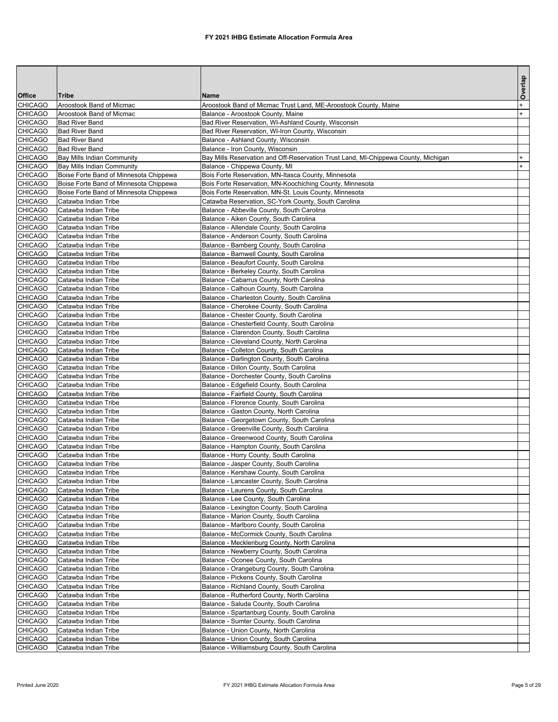|                                  |                                                |                                                                                                                        | Overlap   |
|----------------------------------|------------------------------------------------|------------------------------------------------------------------------------------------------------------------------|-----------|
| Office                           | Tribe                                          | Name                                                                                                                   |           |
| <b>CHICAGO</b>                   | Aroostook Band of Micmac                       | Aroostook Band of Micmac Trust Land, ME-Aroostook County, Maine                                                        | $\ddot{}$ |
| <b>CHICAGO</b>                   | Aroostook Band of Micmac                       | Balance - Aroostook County, Maine                                                                                      | $+$       |
| <b>CHICAGO</b>                   | <b>Bad River Band</b>                          | Bad River Reservation, WI-Ashland County, Wisconsin                                                                    |           |
| <b>CHICAGO</b>                   | <b>Bad River Band</b>                          | Bad River Reservation, WI-Iron County, Wisconsin<br>Balance - Ashland County, Wisconsin                                |           |
| <b>CHICAGO</b><br><b>CHICAGO</b> | <b>Bad River Band</b><br><b>Bad River Band</b> |                                                                                                                        |           |
| <b>CHICAGO</b>                   | <b>Bay Mills Indian Community</b>              | Balance - Iron County, Wisconsin<br>Bay Mills Reservation and Off-Reservation Trust Land, MI-Chippewa County, Michigan | $^{+}$    |
| <b>CHICAGO</b>                   | Bay Mills Indian Community                     | Balance - Chippewa County, MI                                                                                          | $+$       |
| <b>CHICAGO</b>                   | Boise Forte Band of Minnesota Chippewa         | Bois Forte Reservation, MN-Itasca County, Minnesota                                                                    |           |
| <b>CHICAGO</b>                   | Boise Forte Band of Minnesota Chippewa         | Bois Forte Reservation, MN-Koochiching County, Minnesota                                                               |           |
| <b>CHICAGO</b>                   | Boise Forte Band of Minnesota Chippewa         | Bois Forte Reservation, MN-St. Louis County, Minnesota                                                                 |           |
| <b>CHICAGO</b>                   | Catawba Indian Tribe                           | Catawba Reservation, SC-York County, South Carolina                                                                    |           |
| <b>CHICAGO</b>                   | Catawba Indian Tribe                           | Balance - Abbeville County, South Carolina                                                                             |           |
| <b>CHICAGO</b>                   | Catawba Indian Tribe                           | Balance - Aiken County, South Carolina                                                                                 |           |
| <b>CHICAGO</b>                   | Catawba Indian Tribe                           | Balance - Allendale County, South Carolina                                                                             |           |
| <b>CHICAGO</b>                   | Catawba Indian Tribe                           | Balance - Anderson County, South Carolina                                                                              |           |
| <b>CHICAGO</b>                   | Catawba Indian Tribe                           | Balance - Bamberg County, South Carolina                                                                               |           |
| <b>CHICAGO</b>                   | Catawba Indian Tribe                           | Balance - Barnwell County, South Carolina                                                                              |           |
| <b>CHICAGO</b>                   | Catawba Indian Tribe                           | Balance - Beaufort County, South Carolina                                                                              |           |
| <b>CHICAGO</b>                   | Catawba Indian Tribe                           | Balance - Berkeley County, South Carolina                                                                              |           |
| <b>CHICAGO</b>                   | Catawba Indian Tribe                           | Balance - Cabarrus County, North Carolina                                                                              |           |
| <b>CHICAGO</b>                   | Catawba Indian Tribe                           | Balance - Calhoun County, South Carolina                                                                               |           |
| <b>CHICAGO</b>                   | Catawba Indian Tribe                           | Balance - Charleston County, South Carolina                                                                            |           |
| <b>CHICAGO</b>                   | Catawba Indian Tribe                           | Balance - Cherokee County, South Carolina                                                                              |           |
| <b>CHICAGO</b>                   | Catawba Indian Tribe                           | Balance - Chester County, South Carolina                                                                               |           |
| <b>CHICAGO</b><br><b>CHICAGO</b> | Catawba Indian Tribe<br>Catawba Indian Tribe   | Balance - Chesterfield County, South Carolina<br>Balance - Clarendon County, South Carolina                            |           |
| <b>CHICAGO</b>                   | Catawba Indian Tribe                           | Balance - Cleveland County, North Carolina                                                                             |           |
| <b>CHICAGO</b>                   | Catawba Indian Tribe                           | Balance - Colleton County, South Carolina                                                                              |           |
| <b>CHICAGO</b>                   | Catawba Indian Tribe                           | Balance - Darlington County, South Carolina                                                                            |           |
| <b>CHICAGO</b>                   | Catawba Indian Tribe                           | Balance - Dillon County, South Carolina                                                                                |           |
| <b>CHICAGO</b>                   | Catawba Indian Tribe                           | Balance - Dorchester County, South Carolina                                                                            |           |
| <b>CHICAGO</b>                   | Catawba Indian Tribe                           | Balance - Edgefield County, South Carolina                                                                             |           |
| <b>CHICAGO</b>                   | Catawba Indian Tribe                           | Balance - Fairfield County, South Carolina                                                                             |           |
| <b>CHICAGO</b>                   | Catawba Indian Tribe                           | Balance - Florence County, South Carolina                                                                              |           |
| <b>CHICAGO</b>                   | Catawba Indian Tribe                           | Balance - Gaston County, North Carolina                                                                                |           |
| <b>CHICAGO</b>                   | Catawba Indian Tribe                           | Balance - Georgetown County, South Carolina                                                                            |           |
| <b>CHICAGO</b>                   | Catawba Indian Tribe                           | Balance - Greenville County, South Carolina                                                                            |           |
| <b>CHICAGO</b>                   | Catawba Indian Tribe                           | Balance - Greenwood County, South Carolina                                                                             |           |
| <b>CHICAGO</b>                   | Catawba Indian Tribe                           | Balance - Hampton County, South Carolina                                                                               |           |
| <b>CHICAGO</b>                   | Catawba Indian Tribe                           | Balance - Horry County, South Carolina                                                                                 |           |
| <b>CHICAGO</b>                   | Catawba Indian Tribe                           | Balance - Jasper County, South Carolina                                                                                |           |
| <b>CHICAGO</b>                   | Catawba Indian Tribe                           | Balance - Kershaw County, South Carolina                                                                               |           |
| <b>CHICAGO</b>                   | Catawba Indian Tribe                           | Balance - Lancaster County, South Carolina                                                                             |           |
| <b>CHICAGO</b>                   | Catawba Indian Tribe                           | Balance - Laurens County, South Carolina                                                                               |           |
| <b>CHICAGO</b><br><b>CHICAGO</b> | Catawba Indian Tribe                           | Balance - Lee County, South Carolina                                                                                   |           |
| <b>CHICAGO</b>                   | Catawba Indian Tribe<br>Catawba Indian Tribe   | Balance - Lexington County, South Carolina                                                                             |           |
| <b>CHICAGO</b>                   | Catawba Indian Tribe                           | Balance - Marion County, South Carolina<br>Balance - Marlboro County, South Carolina                                   |           |
| <b>CHICAGO</b>                   | Catawba Indian Tribe                           | Balance - McCormick County, South Carolina                                                                             |           |
| <b>CHICAGO</b>                   | Catawba Indian Tribe                           | Balance - Mecklenburg County, North Carolina                                                                           |           |
| <b>CHICAGO</b>                   | Catawba Indian Tribe                           | Balance - Newberry County, South Carolina                                                                              |           |
| <b>CHICAGO</b>                   | Catawba Indian Tribe                           | Balance - Oconee County, South Carolina                                                                                |           |
| <b>CHICAGO</b>                   | Catawba Indian Tribe                           | Balance - Orangeburg County, South Carolina                                                                            |           |
| <b>CHICAGO</b>                   | Catawba Indian Tribe                           | Balance - Pickens County, South Carolina                                                                               |           |
| <b>CHICAGO</b>                   | Catawba Indian Tribe                           | Balance - Richland County, South Carolina                                                                              |           |
| <b>CHICAGO</b>                   | Catawba Indian Tribe                           | Balance - Rutherford County, North Carolina                                                                            |           |
| <b>CHICAGO</b>                   | Catawba Indian Tribe                           | Balance - Saluda County, South Carolina                                                                                |           |
| <b>CHICAGO</b>                   | Catawba Indian Tribe                           | Balance - Spartanburg County, South Carolina                                                                           |           |
| <b>CHICAGO</b>                   | Catawba Indian Tribe                           | Balance - Sumter County, South Carolina                                                                                |           |
| <b>CHICAGO</b>                   | Catawba Indian Tribe                           | Balance - Union County, North Carolina                                                                                 |           |
| <b>CHICAGO</b>                   | Catawba Indian Tribe                           | Balance - Union County, South Carolina                                                                                 |           |
| <b>CHICAGO</b>                   | Catawba Indian Tribe                           | Balance - Williamsburg County, South Carolina                                                                          |           |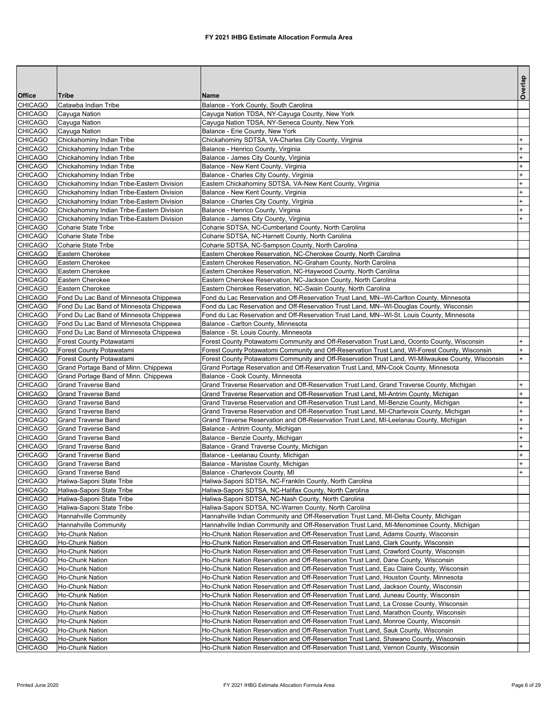|                                  |                                                                                  |                                                                                                   | Overlap    |
|----------------------------------|----------------------------------------------------------------------------------|---------------------------------------------------------------------------------------------------|------------|
| Office                           | <b>Tribe</b>                                                                     | Name                                                                                              |            |
| <b>CHICAGO</b>                   | Catawba Indian Tribe                                                             | Balance - York County, South Carolina                                                             |            |
| <b>CHICAGO</b>                   | Cayuga Nation                                                                    | Cayuga Nation TDSA, NY-Cayuga County, New York                                                    |            |
| <b>CHICAGO</b>                   | Cayuga Nation                                                                    | Cayuga Nation TDSA, NY-Seneca County, New York<br>Balance - Erie County, New York                 |            |
| <b>CHICAGO</b><br><b>CHICAGO</b> | Cayuga Nation                                                                    |                                                                                                   | $\ddot{}$  |
| <b>CHICAGO</b>                   | Chickahominy Indian Tribe<br>Chickahominy Indian Tribe                           | Chickahominy SDTSA, VA-Charles City County, Virginia<br>Balance - Henrico County, Virginia        | $\ddot{}$  |
| <b>CHICAGO</b>                   | Chickahominy Indian Tribe                                                        | Balance - James City County, Virginia                                                             | $\ddot{}$  |
| <b>CHICAGO</b>                   | Chickahominy Indian Tribe                                                        | Balance - New Kent County, Virginia                                                               | $\ddot{}$  |
| <b>CHICAGO</b>                   | Chickahominy Indian Tribe                                                        | Balance - Charles City County, Virginia                                                           | $\ddot{}$  |
| <b>CHICAGO</b>                   | Chickahominy Indian Tribe-Eastern Division                                       | Eastern Chickahominy SDTSA, VA-New Kent County, Virginia                                          | $\ddot{}$  |
| <b>CHICAGO</b>                   | Chickahominy Indian Tribe-Eastern Division                                       | Balance - New Kent County, Virginia                                                               | $\ddot{}$  |
| <b>CHICAGO</b>                   | Chickahominy Indian Tribe-Eastern Division                                       | Balance - Charles City County, Virginia                                                           | $\ddot{}$  |
| <b>CHICAGO</b>                   | Chickahominy Indian Tribe-Eastern Division                                       | Balance - Henrico County, Virginia                                                                | $\ddot{}$  |
| <b>CHICAGO</b>                   | Chickahominy Indian Tribe-Eastern Division                                       | Balance - James City County, Virginia                                                             | $\ddot{}$  |
| <b>CHICAGO</b>                   | <b>Coharie State Tribe</b>                                                       | Coharie SDTSA, NC-Cumberland County, North Carolina                                               |            |
| <b>CHICAGO</b>                   | Coharie State Tribe                                                              | Coharie SDTSA, NC-Harnett County, North Carolina                                                  |            |
| <b>CHICAGO</b>                   | Coharie State Tribe                                                              | Coharie SDTSA, NC-Sampson County, North Carolina                                                  |            |
| <b>CHICAGO</b>                   | Eastern Cherokee                                                                 | Eastern Cherokee Reservation, NC-Cherokee County, North Carolina                                  |            |
| <b>CHICAGO</b>                   | Eastern Cherokee                                                                 | Eastern Cherokee Reservation, NC-Graham County, North Carolina                                    |            |
| <b>CHICAGO</b>                   | Eastern Cherokee                                                                 | Eastern Cherokee Reservation, NC-Haywood County, North Carolina                                   |            |
| <b>CHICAGO</b>                   | Eastern Cherokee                                                                 | Eastern Cherokee Reservation, NC-Jackson County, North Carolina                                   |            |
| <b>CHICAGO</b>                   | Eastern Cherokee                                                                 | Eastern Cherokee Reservation, NC-Swain County, North Carolina                                     |            |
| <b>CHICAGO</b>                   | Fond Du Lac Band of Minnesota Chippewa                                           | Fond du Lac Reservation and Off-Reservation Trust Land, MN--WI-Carlton County, Minnesota          |            |
| <b>CHICAGO</b>                   | Fond Du Lac Band of Minnesota Chippewa                                           | Fond du Lac Reservation and Off-Reservation Trust Land, MN--WI-Douglas County, Wisconsin          |            |
| <b>CHICAGO</b>                   | Fond Du Lac Band of Minnesota Chippewa<br>Fond Du Lac Band of Minnesota Chippewa | Fond du Lac Reservation and Off-Reservation Trust Land, MN--WI-St. Louis County, Minnesota        |            |
| <b>CHICAGO</b><br><b>CHICAGO</b> | Fond Du Lac Band of Minnesota Chippewa                                           | Balance - Carlton County, Minnesota<br>Balance - St. Louis County, Minnesota                      |            |
| <b>CHICAGO</b>                   | Forest County Potawatami                                                         | Forest County Potawatomi Community and Off-Reservation Trust Land, Oconto County, Wisconsin       | $\ddot{}$  |
| <b>CHICAGO</b>                   | Forest County Potawatami                                                         | Forest County Potawatomi Community and Off-Reservation Trust Land, WI-Forest County, Wisconsin    | $\ddot{}$  |
| <b>CHICAGO</b>                   | Forest County Potawatami                                                         | Forest County Potawatomi Community and Off-Reservation Trust Land, WI-Milwaukee County, Wisconsin | $\ddot{}$  |
| <b>CHICAGO</b>                   | Grand Portage Band of Minn. Chippewa                                             | Grand Portage Reservation and Off-Reservation Trust Land, MN-Cook County, Minnesota               |            |
| <b>CHICAGO</b>                   | Grand Portage Band of Minn. Chippewa                                             | Balance - Cook County, Minnesota                                                                  |            |
| <b>CHICAGO</b>                   | <b>Grand Traverse Band</b>                                                       | Grand Traverse Reservation and Off-Reservation Trust Land, Grand Traverse County, Michigan        | $\ddot{}$  |
| <b>CHICAGO</b>                   | <b>Grand Traverse Band</b>                                                       | Grand Traverse Reservation and Off-Reservation Trust Land, MI-Antrim County, Michigan             | $\ddot{}$  |
| <b>CHICAGO</b>                   | <b>Grand Traverse Band</b>                                                       | Grand Traverse Reservation and Off-Reservation Trust Land, MI-Benzie County, Michigan             | $\ddot{}$  |
| <b>CHICAGO</b>                   | <b>Grand Traverse Band</b>                                                       | Grand Traverse Reservation and Off-Reservation Trust Land, MI-Charlevoix County, Michigan         | $\ddot{}$  |
| <b>CHICAGO</b>                   | <b>Grand Traverse Band</b>                                                       | Grand Traverse Reservation and Off-Reservation Trust Land, MI-Leelanau County, Michigan           | $\ddot{}$  |
| <b>CHICAGO</b>                   | <b>Grand Traverse Band</b>                                                       | Balance - Antrim County, Michigan                                                                 | $\ddot{}$  |
| <b>CHICAGO</b>                   | <b>Grand Traverse Band</b>                                                       | Balance - Benzie County, Michigan                                                                 | $\ddot{}$  |
| <b>CHICAGO</b>                   | <b>Grand Traverse Band</b>                                                       | Balance - Grand Traverse County, Michigan                                                         | $^{+}$     |
| <b>CHICAGO</b>                   | <b>Grand Traverse Band</b>                                                       | Balance - Leelanau County, Michigan                                                               | $\ddot{}$  |
| <b>CHICAGO</b>                   | <b>Grand Traverse Band</b>                                                       | Balance - Manistee County, Michigan                                                               | $+$<br>$+$ |
| <b>CHICAGO</b><br><b>CHICAGO</b> | <b>Grand Traverse Band</b><br>Haliwa-Saponi State Tribe                          | Balance - Charlevoix County, MI<br>Haliwa-Saponi SDTSA, NC-Franklin County, North Carolina        |            |
| <b>CHICAGO</b>                   | Haliwa-Saponi State Tribe                                                        | Haliwa-Saponi SDTSA, NC-Halifax County, North Carolina                                            |            |
| <b>CHICAGO</b>                   | Haliwa-Saponi State Tribe                                                        | Haliwa-Saponi SDTSA, NC-Nash County, North Carolina                                               |            |
| <b>CHICAGO</b>                   | Haliwa-Saponi State Tribe                                                        | Haliwa-Saponi SDTSA, NC-Warren County, North Carolina                                             |            |
| <b>CHICAGO</b>                   | Hannahville Community                                                            | Hannahville Indian Community and Off-Reservation Trust Land, MI-Delta County, Michigan            |            |
| <b>CHICAGO</b>                   | Hannahville Community                                                            | Hannahville Indian Community and Off-Reservation Trust Land, MI-Menominee County, Michigan        |            |
| <b>CHICAGO</b>                   | <b>Ho-Chunk Nation</b>                                                           | Ho-Chunk Nation Reservation and Off-Reservation Trust Land, Adams County, Wisconsin               |            |
| <b>CHICAGO</b>                   | Ho-Chunk Nation                                                                  | Ho-Chunk Nation Reservation and Off-Reservation Trust Land, Clark County, Wisconsin               |            |
| <b>CHICAGO</b>                   | <b>Ho-Chunk Nation</b>                                                           | Ho-Chunk Nation Reservation and Off-Reservation Trust Land, Crawford County, Wisconsin            |            |
| <b>CHICAGO</b>                   | <b>Ho-Chunk Nation</b>                                                           | Ho-Chunk Nation Reservation and Off-Reservation Trust Land, Dane County, Wisconsin                |            |
| <b>CHICAGO</b>                   | <b>Ho-Chunk Nation</b>                                                           | Ho-Chunk Nation Reservation and Off-Reservation Trust Land, Eau Claire County, Wisconsin          |            |
| <b>CHICAGO</b>                   | <b>Ho-Chunk Nation</b>                                                           | Ho-Chunk Nation Reservation and Off-Reservation Trust Land, Houston County, Minnesota             |            |
| <b>CHICAGO</b>                   | Ho-Chunk Nation                                                                  | Ho-Chunk Nation Reservation and Off-Reservation Trust Land, Jackson County, Wisconsin             |            |
| <b>CHICAGO</b>                   | Ho-Chunk Nation                                                                  | Ho-Chunk Nation Reservation and Off-Reservation Trust Land, Juneau County, Wisconsin              |            |
| <b>CHICAGO</b>                   | <b>Ho-Chunk Nation</b>                                                           | Ho-Chunk Nation Reservation and Off-Reservation Trust Land, La Crosse County, Wisconsin           |            |
| <b>CHICAGO</b>                   | Ho-Chunk Nation                                                                  | Ho-Chunk Nation Reservation and Off-Reservation Trust Land, Marathon County, Wisconsin            |            |
| <b>CHICAGO</b>                   | <b>Ho-Chunk Nation</b>                                                           | Ho-Chunk Nation Reservation and Off-Reservation Trust Land, Monroe County, Wisconsin              |            |
| <b>CHICAGO</b>                   | Ho-Chunk Nation                                                                  | Ho-Chunk Nation Reservation and Off-Reservation Trust Land, Sauk County, Wisconsin                |            |
| <b>CHICAGO</b>                   | <b>Ho-Chunk Nation</b>                                                           | Ho-Chunk Nation Reservation and Off-Reservation Trust Land, Shawano County, Wisconsin             |            |
| <b>CHICAGO</b>                   | <b>Ho-Chunk Nation</b>                                                           | Ho-Chunk Nation Reservation and Off-Reservation Trust Land, Vernon County, Wisconsin              |            |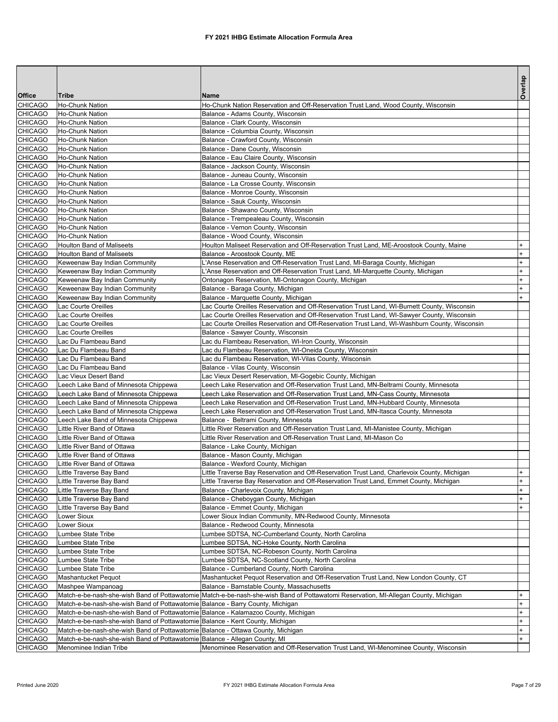|                                  |                                                                                    |                                                                                                                                     | Overlap              |
|----------------------------------|------------------------------------------------------------------------------------|-------------------------------------------------------------------------------------------------------------------------------------|----------------------|
| <b>Office</b>                    | <b>Tribe</b>                                                                       | <b>Name</b>                                                                                                                         |                      |
| <b>CHICAGO</b>                   | Ho-Chunk Nation                                                                    | Ho-Chunk Nation Reservation and Off-Reservation Trust Land, Wood County, Wisconsin                                                  |                      |
| <b>CHICAGO</b>                   | <b>Ho-Chunk Nation</b><br>Ho-Chunk Nation                                          | Balance - Adams County, Wisconsin                                                                                                   |                      |
| <b>CHICAGO</b><br><b>CHICAGO</b> | <b>Ho-Chunk Nation</b>                                                             | Balance - Clark County, Wisconsin<br>Balance - Columbia County, Wisconsin                                                           |                      |
| <b>CHICAGO</b>                   | Ho-Chunk Nation                                                                    | Balance - Crawford County, Wisconsin                                                                                                |                      |
| <b>CHICAGO</b>                   | Ho-Chunk Nation                                                                    | Balance - Dane County, Wisconsin                                                                                                    |                      |
| <b>CHICAGO</b>                   | <b>Ho-Chunk Nation</b>                                                             | Balance - Eau Claire County, Wisconsin                                                                                              |                      |
| <b>CHICAGO</b>                   | <b>Ho-Chunk Nation</b>                                                             | Balance - Jackson County, Wisconsin                                                                                                 |                      |
| <b>CHICAGO</b>                   | <b>Ho-Chunk Nation</b>                                                             | Balance - Juneau County, Wisconsin                                                                                                  |                      |
| <b>CHICAGO</b>                   | Ho-Chunk Nation                                                                    | Balance - La Crosse County, Wisconsin                                                                                               |                      |
| <b>CHICAGO</b>                   | Ho-Chunk Nation                                                                    | Balance - Monroe County, Wisconsin                                                                                                  |                      |
| <b>CHICAGO</b>                   | <b>Ho-Chunk Nation</b>                                                             | Balance - Sauk County, Wisconsin                                                                                                    |                      |
| <b>CHICAGO</b>                   | Ho-Chunk Nation                                                                    | Balance - Shawano County, Wisconsin                                                                                                 |                      |
| <b>CHICAGO</b>                   | <b>Ho-Chunk Nation</b>                                                             | Balance - Trempealeau County, Wisconsin                                                                                             |                      |
| <b>CHICAGO</b>                   | Ho-Chunk Nation                                                                    | Balance - Vernon County, Wisconsin                                                                                                  |                      |
| <b>CHICAGO</b>                   | Ho-Chunk Nation                                                                    | Balance - Wood County, Wisconsin                                                                                                    |                      |
| <b>CHICAGO</b>                   | <b>Houlton Band of Maliseets</b>                                                   | Houlton Maliseet Reservation and Off-Reservation Trust Land, ME-Aroostook County, Maine                                             | $+$                  |
| <b>CHICAGO</b>                   | <b>Houlton Band of Maliseets</b>                                                   | Balance - Aroostook County, ME                                                                                                      | $\ddot{}$            |
| <b>CHICAGO</b>                   | Keweenaw Bay Indian Community                                                      | L'Anse Reservation and Off-Reservation Trust Land, MI-Baraga County, Michigan                                                       | $\ddot{}$            |
| <b>CHICAGO</b>                   | Keweenaw Bay Indian Community                                                      | L'Anse Reservation and Off-Reservation Trust Land, MI-Marquette County, Michigan                                                    | $^{+}$               |
| <b>CHICAGO</b>                   | Keweenaw Bay Indian Community                                                      | Ontonagon Reservation, MI-Ontonagon County, Michigan                                                                                | $\ddot{}$            |
| <b>CHICAGO</b>                   | Keweenaw Bay Indian Community                                                      | Balance - Baraga County, Michigan                                                                                                   | $^{+}$               |
| <b>CHICAGO</b>                   | Keweenaw Bay Indian Community                                                      | Balance - Marquette County, Michigan                                                                                                | $+$                  |
| <b>CHICAGO</b>                   | Lac Courte Oreilles                                                                | Lac Courte Oreilles Reservation and Off-Reservation Trust Land, WI-Burnett County, Wisconsin                                        |                      |
| <b>CHICAGO</b>                   | Lac Courte Oreilles                                                                | Lac Courte Oreilles Reservation and Off-Reservation Trust Land, WI-Sawyer County, Wisconsin                                         |                      |
| <b>CHICAGO</b><br><b>CHICAGO</b> | Lac Courte Oreilles                                                                | Lac Courte Oreilles Reservation and Off-Reservation Trust Land, WI-Washburn County, Wisconsin                                       |                      |
| <b>CHICAGO</b>                   | Lac Courte Oreilles<br>Lac Du Flambeau Band                                        | Balance - Sawyer County, Wisconsin<br>Lac du Flambeau Reservation, WI-Iron County, Wisconsin                                        |                      |
| <b>CHICAGO</b>                   | Lac Du Flambeau Band                                                               | Lac du Flambeau Reservation, WI-Oneida County, Wisconsin                                                                            |                      |
| <b>CHICAGO</b>                   | Lac Du Flambeau Band                                                               | Lac du Flambeau Reservation, WI-Vilas County, Wisconsin                                                                             |                      |
| <b>CHICAGO</b>                   | Lac Du Flambeau Band                                                               | Balance - Vilas County, Wisconsin                                                                                                   |                      |
| <b>CHICAGO</b>                   | Lac Vieux Desert Band                                                              | Lac Vieux Desert Reservation, MI-Gogebic County, Michigan                                                                           |                      |
| <b>CHICAGO</b>                   | Leech Lake Band of Minnesota Chippewa                                              | Leech Lake Reservation and Off-Reservation Trust Land, MN-Beltrami County, Minnesota                                                |                      |
| <b>CHICAGO</b>                   | Leech Lake Band of Minnesota Chippewa                                              | Leech Lake Reservation and Off-Reservation Trust Land, MN-Cass County, Minnesota                                                    |                      |
| <b>CHICAGO</b>                   | Leech Lake Band of Minnesota Chippewa                                              | Leech Lake Reservation and Off-Reservation Trust Land, MN-Hubbard County, Minnesota                                                 |                      |
| <b>CHICAGO</b>                   | Leech Lake Band of Minnesota Chippewa                                              | Leech Lake Reservation and Off-Reservation Trust Land, MN-Itasca County, Minnesota                                                  |                      |
| <b>CHICAGO</b>                   | Leech Lake Band of Minnesota Chippewa                                              | Balance - Beltrami County, Minnesota                                                                                                |                      |
| <b>CHICAGO</b>                   | Little River Band of Ottawa                                                        | Little River Reservation and Off-Reservation Trust Land, MI-Manistee County, Michigan                                               |                      |
| <b>CHICAGO</b>                   | Little River Band of Ottawa                                                        | Little River Reservation and Off-Reservation Trust Land, MI-Mason Co                                                                |                      |
| <b>CHICAGO</b>                   | Little River Band of Ottawa                                                        | Balance - Lake County, Michigan                                                                                                     |                      |
| <b>CHICAGO</b>                   | Little River Band of Ottawa                                                        | Balance - Mason County, Michigan                                                                                                    |                      |
| <b>CHICAGO</b>                   | Little River Band of Ottawa                                                        | Balance - Wexford County, Michigan                                                                                                  |                      |
| <b>CHICAGO</b>                   | Little Traverse Bay Band                                                           | Little Traverse Bay Reservation and Off-Reservation Trust Land, Charlevoix County, Michigan                                         | $+$                  |
| <b>CHICAGO</b>                   | Little Traverse Bay Band                                                           | Little Traverse Bay Reservation and Off-Reservation Trust Land, Emmet County, Michigan                                              | $\ddot{}$            |
| <b>CHICAGO</b>                   | Little Traverse Bay Band                                                           | Balance - Charlevoix County, Michigan                                                                                               | $\ddot{\phantom{1}}$ |
| <b>CHICAGO</b>                   | Little Traverse Bay Band                                                           | Balance - Cheboygan County, Michigan                                                                                                | $\ddot{}$            |
| <b>CHICAGO</b>                   | Little Traverse Bay Band                                                           | Balance - Emmet County, Michigan                                                                                                    | $+$                  |
| <b>CHICAGO</b>                   | Lower Sioux                                                                        | Lower Sioux Indian Community, MN-Redwood County, Minnesota                                                                          |                      |
| <b>CHICAGO</b>                   | Lower Sioux                                                                        | Balance - Redwood County, Minnesota                                                                                                 |                      |
| <b>CHICAGO</b><br><b>CHICAGO</b> | Lumbee State Tribe<br>Lumbee State Tribe                                           | Lumbee SDTSA, NC-Cumberland County, North Carolina<br>Lumbee SDTSA, NC-Hoke County, North Carolina                                  |                      |
| <b>CHICAGO</b>                   |                                                                                    | Lumbee SDTSA, NC-Robeson County, North Carolina                                                                                     |                      |
| <b>CHICAGO</b>                   | Lumbee State Tribe<br>Lumbee State Tribe                                           | Lumbee SDTSA, NC-Scotland County, North Carolina                                                                                    |                      |
| <b>CHICAGO</b>                   | Lumbee State Tribe                                                                 | Balance - Cumberland County, North Carolina                                                                                         |                      |
| <b>CHICAGO</b>                   | Mashantucket Pequot                                                                | Mashantucket Pequot Reservation and Off-Reservation Trust Land, New London County, CT                                               |                      |
| <b>CHICAGO</b>                   | Mashpee Wampanoag                                                                  | Balance - Barnstable County, Massachusetts                                                                                          |                      |
| <b>CHICAGO</b>                   |                                                                                    | Match-e-be-nash-she-wish Band of Pottawatomie Match-e-be-nash-she-wish Band of Pottawatomi Reservation, MI-Allegan County, Michigan | $+$                  |
| <b>CHICAGO</b>                   | Match-e-be-nash-she-wish Band of Pottawatomie Balance - Barry County, Michigan     |                                                                                                                                     | $\ddot{}$            |
| <b>CHICAGO</b>                   | Match-e-be-nash-she-wish Band of Pottawatomie Balance - Kalamazoo County, Michigan |                                                                                                                                     | $\ddot{}$            |
| <b>CHICAGO</b>                   | Match-e-be-nash-she-wish Band of Pottawatomie Balance - Kent County, Michigan      |                                                                                                                                     | $+$                  |
| <b>CHICAGO</b>                   | Match-e-be-nash-she-wish Band of Pottawatomie Balance - Ottawa County, Michigan    |                                                                                                                                     | $\ddot{}$            |
| <b>CHICAGO</b>                   | Match-e-be-nash-she-wish Band of Pottawatomie Balance - Allegan County, MI         |                                                                                                                                     | $+$                  |
| <b>CHICAGO</b>                   | Menominee Indian Tribe                                                             | Menominee Reservation and Off-Reservation Trust Land, WI-Menominee County, Wisconsin                                                |                      |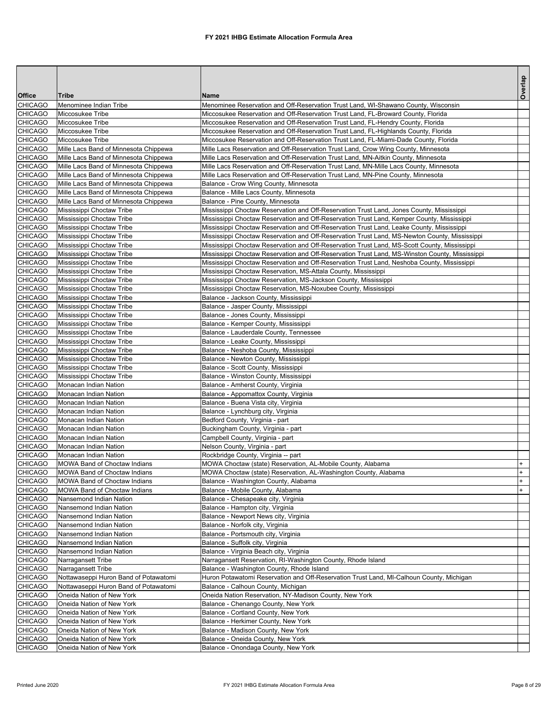|                                  |                                                                                |                                                                                                                                                                              | Overlap    |
|----------------------------------|--------------------------------------------------------------------------------|------------------------------------------------------------------------------------------------------------------------------------------------------------------------------|------------|
| Office                           | <b>Tribe</b>                                                                   | <b>Name</b>                                                                                                                                                                  |            |
| <b>CHICAGO</b>                   | Menominee Indian Tribe                                                         | Menominee Reservation and Off-Reservation Trust Land, WI-Shawano County, Wisconsin                                                                                           |            |
| <b>CHICAGO</b>                   | Miccosukee Tribe                                                               | Miccosukee Reservation and Off-Reservation Trust Land, FL-Broward County, Florida                                                                                            |            |
| <b>CHICAGO</b>                   | Miccosukee Tribe                                                               | Miccosukee Reservation and Off-Reservation Trust Land, FL-Hendry County, Florida                                                                                             |            |
| CHICAGO                          | Miccosukee Tribe                                                               | Miccosukee Reservation and Off-Reservation Trust Land, FL-Highlands County, Florida                                                                                          |            |
| <b>CHICAGO</b>                   | Miccosukee Tribe                                                               | Miccosukee Reservation and Off-Reservation Trust Land, FL-Miami-Dade County, Florida                                                                                         |            |
| <b>CHICAGO</b>                   | Mille Lacs Band of Minnesota Chippewa                                          | Mille Lacs Reservation and Off-Reservation Trust Land, Crow Wing County, Minnesota                                                                                           |            |
| <b>CHICAGO</b><br><b>CHICAGO</b> | Mille Lacs Band of Minnesota Chippewa                                          | Mille Lacs Reservation and Off-Reservation Trust Land, MN-Aitkin County, Minnesota<br>Mille Lacs Reservation and Off-Reservation Trust Land, MN-Mille Lacs County, Minnesota |            |
| CHICAGO                          | Mille Lacs Band of Minnesota Chippewa<br>Mille Lacs Band of Minnesota Chippewa | Mille Lacs Reservation and Off-Reservation Trust Land, MN-Pine County, Minnesota                                                                                             |            |
| <b>CHICAGO</b>                   | Mille Lacs Band of Minnesota Chippewa                                          | Balance - Crow Wing County, Minnesota                                                                                                                                        |            |
| <b>CHICAGO</b>                   | Mille Lacs Band of Minnesota Chippewa                                          | Balance - Mille Lacs County, Minnesota                                                                                                                                       |            |
| <b>CHICAGO</b>                   | Mille Lacs Band of Minnesota Chippewa                                          | Balance - Pine County, Minnesota                                                                                                                                             |            |
| <b>CHICAGO</b>                   | Mississippi Choctaw Tribe                                                      | Mississippi Choctaw Reservation and Off-Reservation Trust Land, Jones County, Mississippi                                                                                    |            |
| CHICAGO                          | Mississippi Choctaw Tribe                                                      | Mississippi Choctaw Reservation and Off-Reservation Trust Land, Kemper County, Mississippi                                                                                   |            |
| <b>CHICAGO</b>                   | Mississippi Choctaw Tribe                                                      | Mississippi Choctaw Reservation and Off-Reservation Trust Land, Leake County, Mississippi                                                                                    |            |
| <b>CHICAGO</b>                   | Mississippi Choctaw Tribe                                                      | Mississippi Choctaw Reservation and Off-Reservation Trust Land, MS-Newton County, Mississippi                                                                                |            |
| CHICAGO                          | Mississippi Choctaw Tribe                                                      | Mississippi Choctaw Reservation and Off-Reservation Trust Land, MS-Scott County, Mississippi                                                                                 |            |
| <b>CHICAGO</b>                   | Mississippi Choctaw Tribe                                                      | Mississippi Choctaw Reservation and Off-Reservation Trust Land, MS-Winston County, Mississippi                                                                               |            |
| CHICAGO                          | Mississippi Choctaw Tribe                                                      | Mississippi Choctaw Reservation and Off-Reservation Trust Land, Neshoba County, Mississippi                                                                                  |            |
| <b>CHICAGO</b>                   | Mississippi Choctaw Tribe                                                      | Mississippi Choctaw Reservation, MS-Attala County, Mississippi                                                                                                               |            |
| <b>CHICAGO</b>                   | Mississippi Choctaw Tribe                                                      | Mississippi Choctaw Reservation, MS-Jackson County, Mississippi                                                                                                              |            |
| CHICAGO                          | Mississippi Choctaw Tribe                                                      | Mississippi Choctaw Reservation, MS-Noxubee County, Mississippi                                                                                                              |            |
| <b>CHICAGO</b>                   | Mississippi Choctaw Tribe                                                      | Balance - Jackson County, Mississippi                                                                                                                                        |            |
| CHICAGO                          | Mississippi Choctaw Tribe                                                      | Balance - Jasper County, Mississippi                                                                                                                                         |            |
| <b>CHICAGO</b>                   | Mississippi Choctaw Tribe                                                      | Balance - Jones County, Mississippi                                                                                                                                          |            |
| <b>CHICAGO</b>                   | Mississippi Choctaw Tribe                                                      | Balance - Kemper County, Mississippi                                                                                                                                         |            |
| CHICAGO<br><b>CHICAGO</b>        | Mississippi Choctaw Tribe                                                      | Balance - Lauderdale County, Tennessee                                                                                                                                       |            |
| CHICAGO                          | Mississippi Choctaw Tribe<br>Mississippi Choctaw Tribe                         | Balance - Leake County, Mississippi<br>Balance - Neshoba County, Mississippi                                                                                                 |            |
| <b>CHICAGO</b>                   | Mississippi Choctaw Tribe                                                      | Balance - Newton County, Mississippi                                                                                                                                         |            |
| <b>CHICAGO</b>                   | Mississippi Choctaw Tribe                                                      | Balance - Scott County, Mississippi                                                                                                                                          |            |
| CHICAGO                          | Mississippi Choctaw Tribe                                                      | Balance - Winston County, Mississippi                                                                                                                                        |            |
| <b>CHICAGO</b>                   | Monacan Indian Nation                                                          | Balance - Amherst County, Virginia                                                                                                                                           |            |
| CHICAGO                          | Monacan Indian Nation                                                          | Balance - Appomattox County, Virginia                                                                                                                                        |            |
| <b>CHICAGO</b>                   | Monacan Indian Nation                                                          | Balance - Buena Vista city, Virginia                                                                                                                                         |            |
| CHICAGO                          | Monacan Indian Nation                                                          | Balance - Lynchburg city, Virginia                                                                                                                                           |            |
| <b>CHICAGO</b>                   | Monacan Indian Nation                                                          | Bedford County, Virginia - part                                                                                                                                              |            |
| <b>CHICAGO</b>                   | Monacan Indian Nation                                                          | Buckingham County, Virginia - part                                                                                                                                           |            |
| CHICAGO                          | Monacan Indian Nation                                                          | Campbell County, Virginia - part                                                                                                                                             |            |
| <b>CHICAGO</b>                   | Monacan Indian Nation                                                          | Nelson County, Virginia - part                                                                                                                                               |            |
| <b>CHICAGO</b>                   | Monacan Indian Nation                                                          | Rockbridge County, Virginia -- part                                                                                                                                          |            |
| <b>CHICAGO</b>                   | MOWA Band of Choctaw Indians                                                   | MOWA Choctaw (state) Reservation, AL-Mobile County, Alabama                                                                                                                  |            |
| <b>CHICAGO</b>                   | MOWA Band of Choctaw Indians                                                   | MOWA Choctaw (state) Reservation, AL-Washington County, Alabama                                                                                                              | $\ddot{}$  |
| CHICAGO                          | MOWA Band of Choctaw Indians                                                   | Balance - Washington County, Alabama                                                                                                                                         | $+$<br>$+$ |
| <b>CHICAGO</b><br>CHICAGO        | <b>MOWA Band of Choctaw Indians</b><br>Nansemond Indian Nation                 | Balance - Mobile County, Alabama<br>Balance - Chesapeake city, Virginia                                                                                                      |            |
| <b>CHICAGO</b>                   | Nansemond Indian Nation                                                        | Balance - Hampton city, Virginia                                                                                                                                             |            |
| CHICAGO                          | Nansemond Indian Nation                                                        | Balance - Newport News city, Virginia                                                                                                                                        |            |
| CHICAGO                          | Nansemond Indian Nation                                                        | Balance - Norfolk city, Virginia                                                                                                                                             |            |
| <b>CHICAGO</b>                   | Nansemond Indian Nation                                                        | Balance - Portsmouth city, Virginia                                                                                                                                          |            |
| CHICAGO                          | Nansemond Indian Nation                                                        | Balance - Suffolk city, Virginia                                                                                                                                             |            |
| <b>CHICAGO</b>                   | Nansemond Indian Nation                                                        | Balance - Virginia Beach city, Virginia                                                                                                                                      |            |
| CHICAGO                          | Narragansett Tribe                                                             | Narragansett Reservation, RI-Washington County, Rhode Island                                                                                                                 |            |
| CHICAGO                          | Narragansett Tribe                                                             | Balance - Washington County, Rhode Island                                                                                                                                    |            |
| <b>CHICAGO</b>                   | Nottawaseppi Huron Band of Potawatomi                                          | Huron Potawatomi Reservation and Off-Reservation Trust Land, MI-Calhoun County, Michigan                                                                                     |            |
| CHICAGO                          | Nottawaseppi Huron Band of Potawatomi                                          | Balance - Calhoun County, Michigan                                                                                                                                           |            |
| <b>CHICAGO</b>                   | Oneida Nation of New York                                                      | Oneida Nation Reservation, NY-Madison County, New York                                                                                                                       |            |
| CHICAGO                          | Oneida Nation of New York                                                      | Balance - Chenango County, New York                                                                                                                                          |            |
| CHICAGO                          | Oneida Nation of New York                                                      | Balance - Cortland County, New York                                                                                                                                          |            |
| <b>CHICAGO</b>                   | Oneida Nation of New York                                                      | Balance - Herkimer County, New York                                                                                                                                          |            |
| CHICAGO                          | Oneida Nation of New York                                                      | Balance - Madison County, New York                                                                                                                                           |            |
| <b>CHICAGO</b>                   | Oneida Nation of New York                                                      | Balance - Oneida County, New York                                                                                                                                            |            |
| CHICAGO                          | Oneida Nation of New York                                                      | Balance - Onondaga County, New York                                                                                                                                          |            |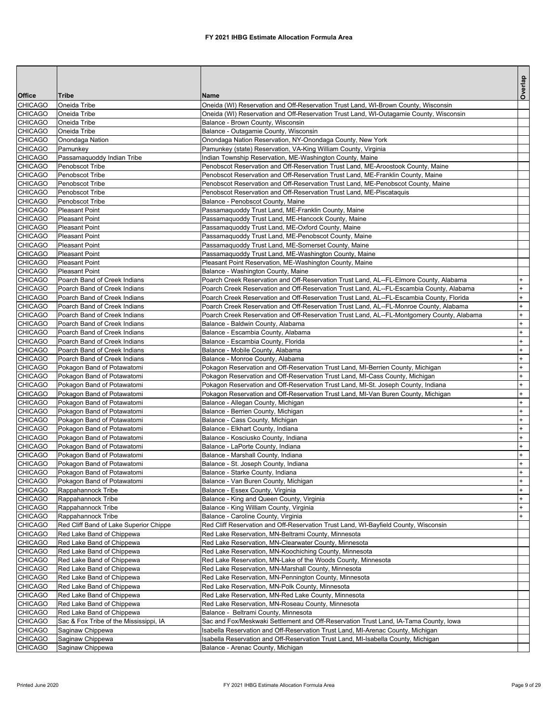|                                  |                                                              |                                                                                                                                                                                    | Overlap          |
|----------------------------------|--------------------------------------------------------------|------------------------------------------------------------------------------------------------------------------------------------------------------------------------------------|------------------|
| Office                           | Tribe                                                        | <b>Name</b>                                                                                                                                                                        |                  |
| <b>CHICAGO</b><br><b>CHICAGO</b> | Oneida Tribe<br>Oneida Tribe                                 | Oneida (WI) Reservation and Off-Reservation Trust Land, WI-Brown County, Wisconsin<br>Oneida (WI) Reservation and Off-Reservation Trust Land, WI-Outagamie County, Wisconsin       |                  |
| <b>CHICAGO</b>                   | Oneida Tribe                                                 | Balance - Brown County, Wisconsin                                                                                                                                                  |                  |
| <b>CHICAGO</b>                   | Oneida Tribe                                                 | Balance - Outagamie County, Wisconsin                                                                                                                                              |                  |
| <b>CHICAGO</b>                   | Onondaga Nation                                              | Onondaga Nation Reservation, NY-Onondaga County, New York                                                                                                                          |                  |
| <b>CHICAGO</b>                   | Pamunkey                                                     | Pamunkey (state) Reservation, VA-King William County, Virginia                                                                                                                     |                  |
| <b>CHICAGO</b>                   | Passamaquoddy Indian Tribe                                   | Indian Township Reservation, ME-Washington County, Maine                                                                                                                           |                  |
| <b>CHICAGO</b>                   | Penobscot Tribe                                              | Penobscot Reservation and Off-Reservation Trust Land, ME-Aroostook County, Maine                                                                                                   |                  |
| <b>CHICAGO</b>                   | Penobscot Tribe                                              | Penobscot Reservation and Off-Reservation Trust Land, ME-Franklin County, Maine                                                                                                    |                  |
| <b>CHICAGO</b>                   | Penobscot Tribe                                              | Penobscot Reservation and Off-Reservation Trust Land, ME-Penobscot County, Maine                                                                                                   |                  |
| <b>CHICAGO</b>                   | Penobscot Tribe                                              | Penobscot Reservation and Off-Reservation Trust Land, ME-Piscataquis                                                                                                               |                  |
| <b>CHICAGO</b>                   | Penobscot Tribe                                              | Balance - Penobscot County, Maine                                                                                                                                                  |                  |
| <b>CHICAGO</b>                   | <b>Pleasant Point</b>                                        | Passamaquoddy Trust Land, ME-Franklin County, Maine                                                                                                                                |                  |
| <b>CHICAGO</b>                   | <b>Pleasant Point</b>                                        | Passamaquoddy Trust Land, ME-Hancock County, Maine                                                                                                                                 |                  |
| <b>CHICAGO</b>                   | <b>Pleasant Point</b>                                        | Passamaquoddy Trust Land, ME-Oxford County, Maine                                                                                                                                  |                  |
| <b>CHICAGO</b>                   | <b>Pleasant Point</b>                                        | Passamaquoddy Trust Land, ME-Penobscot County, Maine                                                                                                                               |                  |
| <b>CHICAGO</b>                   | <b>Pleasant Point</b>                                        | Passamaquoddy Trust Land, ME-Somerset County, Maine                                                                                                                                |                  |
| <b>CHICAGO</b>                   | <b>Pleasant Point</b>                                        | Passamaquoddy Trust Land, ME-Washington County, Maine                                                                                                                              |                  |
| <b>CHICAGO</b>                   | <b>Pleasant Point</b>                                        | Pleasant Point Reservation, ME-Washington County, Maine                                                                                                                            |                  |
| <b>CHICAGO</b>                   | <b>Pleasant Point</b>                                        | Balance - Washington County, Maine                                                                                                                                                 | $+$              |
| <b>CHICAGO</b><br><b>CHICAGO</b> | Poarch Band of Creek Indians<br>Poarch Band of Creek Indians | Poarch Creek Reservation and Off-Reservation Trust Land, AL--FL-Elmore County, Alabama<br>Poarch Creek Reservation and Off-Reservation Trust Land, AL--FL-Escambia County, Alabama | $+$              |
| <b>CHICAGO</b>                   | Poarch Band of Creek Indians                                 | Poarch Creek Reservation and Off-Reservation Trust Land, AL--FL-Escambia County, Florida                                                                                           | $+$              |
| <b>CHICAGO</b>                   | Poarch Band of Creek Indians                                 | Poarch Creek Reservation and Off-Reservation Trust Land, AL--FL-Monroe County, Alabama                                                                                             | $\ddot{}$        |
| <b>CHICAGO</b>                   | Poarch Band of Creek Indians                                 | Poarch Creek Reservation and Off-Reservation Trust Land, AL--FL-Montgomery County, Alabama                                                                                         | $\ddot{}$        |
| <b>CHICAGO</b>                   | Poarch Band of Creek Indians                                 | Balance - Baldwin County, Alabama                                                                                                                                                  | $\ddot{}$        |
| <b>CHICAGO</b>                   | Poarch Band of Creek Indians                                 | Balance - Escambia County, Alabama                                                                                                                                                 | $+$              |
| <b>CHICAGO</b>                   | Poarch Band of Creek Indians                                 | Balance - Escambia County, Florida                                                                                                                                                 | $\ddot{}$        |
| <b>CHICAGO</b>                   | Poarch Band of Creek Indians                                 | Balance - Mobile County, Alabama                                                                                                                                                   | $\ddot{}$        |
| <b>CHICAGO</b>                   | Poarch Band of Creek Indians                                 | Balance - Monroe County, Alabama                                                                                                                                                   | $\ddot{}$        |
| <b>CHICAGO</b>                   | Pokagon Band of Potawatomi                                   | Pokagon Reservation and Off-Reservation Trust Land, MI-Berrien County, Michigan                                                                                                    | $\ddot{}$        |
| CHICAGO                          | Pokagon Band of Potawatomi                                   | Pokagon Reservation and Off-Reservation Trust Land, MI-Cass County, Michigan                                                                                                       | $\ddot{}$        |
| <b>CHICAGO</b>                   | Pokagon Band of Potawatomi                                   | Pokagon Reservation and Off-Reservation Trust Land, MI-St. Joseph County, Indiana                                                                                                  | $\ddot{}$        |
| <b>CHICAGO</b>                   | Pokagon Band of Potawatomi                                   | Pokagon Reservation and Off-Reservation Trust Land, MI-Van Buren County, Michigan                                                                                                  | $\ddot{}$        |
| <b>CHICAGO</b>                   | Pokagon Band of Potawatomi                                   | Balance - Allegan County, Michigan                                                                                                                                                 | $\ddot{}$        |
| <b>CHICAGO</b>                   | Pokagon Band of Potawatomi                                   | Balance - Berrien County, Michigan                                                                                                                                                 | $\ddot{}$        |
| CHICAGO                          | Pokagon Band of Potawatomi                                   | Balance - Cass County, Michigan                                                                                                                                                    | $\ddot{}$        |
| <b>CHICAGO</b>                   | Pokagon Band of Potawatomi                                   | Balance - Elkhart County, Indiana                                                                                                                                                  | $\ddot{}$        |
| <b>CHICAGO</b>                   | Pokagon Band of Potawatomi                                   | Balance - Kosciusko County, Indiana                                                                                                                                                | $\ddot{}$        |
| <b>CHICAGO</b>                   | Pokagon Band of Potawatomi                                   | Balance - LaPorte County, Indiana                                                                                                                                                  | $\ddot{}$        |
| <b>CHICAGO</b>                   | Pokagon Band of Potawatomi                                   | Balance - Marshall County, Indiana                                                                                                                                                 | $^{+}$           |
| <b>CHICAGO</b>                   | Pokagon Band of Potawatomi<br>Pokagon Band of Potawatomi     | Balance - St. Joseph County, Indiana                                                                                                                                               | $+$<br>$\ddot{}$ |
| <b>CHICAGO</b><br><b>CHICAGO</b> |                                                              | Balance - Starke County, Indiana                                                                                                                                                   | $\ddot{}$        |
| <b>CHICAGO</b>                   | Pokagon Band of Potawatomi<br>Rappahannock Tribe             | Balance - Van Buren County, Michigan<br>Balance - Essex County, Virginia                                                                                                           | $\ddot{}$        |
| <b>CHICAGO</b>                   | Rappahannock Tribe                                           | Balance - King and Queen County, Virginia                                                                                                                                          | $\ddot{}$        |
| CHICAGO                          | Rappahannock Tribe                                           | Balance - King William County, Virginia                                                                                                                                            | $+$              |
| <b>CHICAGO</b>                   | Rappahannock Tribe                                           | Balance - Caroline County, Virginia                                                                                                                                                | $+$              |
| <b>CHICAGO</b>                   | Red Cliff Band of Lake Superior Chippe                       | Red Cliff Reservation and Off-Reservation Trust Land, WI-Bayfield County, Wisconsin                                                                                                |                  |
| <b>CHICAGO</b>                   | Red Lake Band of Chippewa                                    | Red Lake Reservation, MN-Beltrami County, Minnesota                                                                                                                                |                  |
| <b>CHICAGO</b>                   | Red Lake Band of Chippewa                                    | Red Lake Reservation, MN-Clearwater County, Minnesota                                                                                                                              |                  |
| CHICAGO                          | Red Lake Band of Chippewa                                    | Red Lake Reservation, MN-Koochiching County, Minnesota                                                                                                                             |                  |
| <b>CHICAGO</b>                   | Red Lake Band of Chippewa                                    | Red Lake Reservation, MN-Lake of the Woods County, Minnesota                                                                                                                       |                  |
| <b>CHICAGO</b>                   | Red Lake Band of Chippewa                                    | Red Lake Reservation, MN-Marshall County, Minnesota                                                                                                                                |                  |
| <b>CHICAGO</b>                   | Red Lake Band of Chippewa                                    | Red Lake Reservation, MN-Pennington County, Minnesota                                                                                                                              |                  |
| <b>CHICAGO</b>                   | Red Lake Band of Chippewa                                    | Red Lake Reservation, MN-Polk County, Minnesota                                                                                                                                    |                  |
| CHICAGO                          | Red Lake Band of Chippewa                                    | Red Lake Reservation, MN-Red Lake County, Minnesota                                                                                                                                |                  |
| <b>CHICAGO</b>                   | Red Lake Band of Chippewa                                    | Red Lake Reservation, MN-Roseau County, Minnesota                                                                                                                                  |                  |
| <b>CHICAGO</b>                   | Red Lake Band of Chippewa                                    | Balance - Beltrami County, Minnesota                                                                                                                                               |                  |
| <b>CHICAGO</b>                   | Sac & Fox Tribe of the Mississippi, IA                       | Sac and Fox/Meskwaki Settlement and Off-Reservation Trust Land, IA-Tama County, Iowa                                                                                               |                  |
| <b>CHICAGO</b>                   | Saginaw Chippewa                                             | Isabella Reservation and Off-Reservation Trust Land, MI-Arenac County, Michigan                                                                                                    |                  |
| CHICAGO                          | Saginaw Chippewa                                             | Isabella Reservation and Off-Reservation Trust Land, MI-Isabella County, Michigan                                                                                                  |                  |
| <b>CHICAGO</b>                   | Saginaw Chippewa                                             | Balance - Arenac County, Michigan                                                                                                                                                  |                  |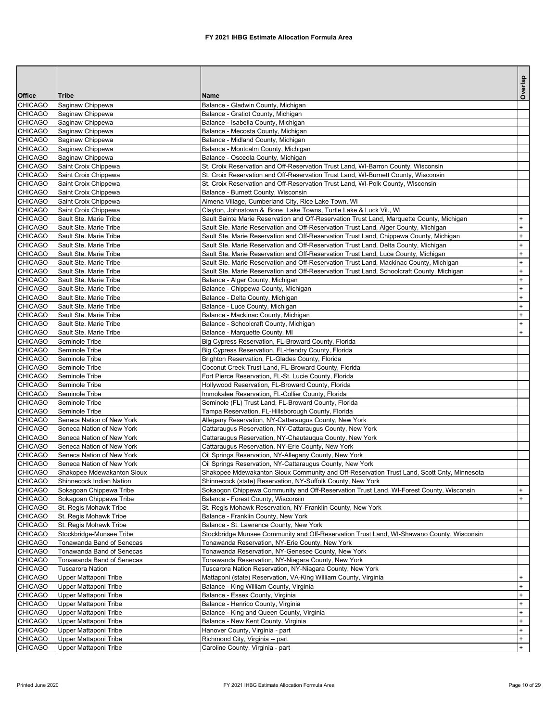|                                  |                                                        |                                                                                                                                                                               | Overlap                          |
|----------------------------------|--------------------------------------------------------|-------------------------------------------------------------------------------------------------------------------------------------------------------------------------------|----------------------------------|
| Office                           | <b>Tribe</b>                                           | <b>Name</b>                                                                                                                                                                   |                                  |
| <b>CHICAGO</b>                   | Saginaw Chippewa                                       | Balance - Gladwin County, Michigan                                                                                                                                            |                                  |
| <b>CHICAGO</b>                   | Saginaw Chippewa                                       | Balance - Gratiot County, Michigan                                                                                                                                            |                                  |
| <b>CHICAGO</b>                   | Saginaw Chippewa                                       | Balance - Isabella County, Michigan                                                                                                                                           |                                  |
| CHICAGO<br><b>CHICAGO</b>        | Saginaw Chippewa                                       | Balance - Mecosta County, Michigan<br>Balance - Midland County, Michigan                                                                                                      |                                  |
| <b>CHICAGO</b>                   | Saginaw Chippewa<br>Saginaw Chippewa                   | Balance - Montcalm County, Michigan                                                                                                                                           |                                  |
| <b>CHICAGO</b>                   | Saginaw Chippewa                                       | Balance - Osceola County, Michigan                                                                                                                                            |                                  |
| <b>CHICAGO</b>                   | Saint Croix Chippewa                                   | St. Croix Reservation and Off-Reservation Trust Land, WI-Barron County, Wisconsin                                                                                             |                                  |
| <b>CHICAGO</b>                   | Saint Croix Chippewa                                   | St. Croix Reservation and Off-Reservation Trust Land, WI-Burnett County, Wisconsin                                                                                            |                                  |
| <b>CHICAGO</b>                   | Saint Croix Chippewa                                   | St. Croix Reservation and Off-Reservation Trust Land, WI-Polk County, Wisconsin                                                                                               |                                  |
| <b>CHICAGO</b>                   | Saint Croix Chippewa                                   | Balance - Burnett County, Wisconsin                                                                                                                                           |                                  |
| <b>CHICAGO</b>                   | Saint Croix Chippewa                                   | Almena Village, Cumberland City, Rice Lake Town, WI                                                                                                                           |                                  |
| <b>CHICAGO</b>                   | Saint Croix Chippewa                                   | Clayton, Johnstown & Bone Lake Towns, Turtle Lake & Luck Vil., WI                                                                                                             |                                  |
| <b>CHICAGO</b>                   | Sault Ste. Marie Tribe                                 | Sault Sainte Marie Reservation and Off-Reservation Trust Land, Marquette County, Michigan                                                                                     | $\ddot{}$                        |
| <b>CHICAGO</b>                   | Sault Ste. Marie Tribe                                 | Sault Ste. Marie Reservation and Off-Reservation Trust Land, Alger County, Michigan                                                                                           | $\ddot{}$                        |
| <b>CHICAGO</b><br><b>CHICAGO</b> | Sault Ste. Marie Tribe<br>Sault Ste. Marie Tribe       | Sault Ste. Marie Reservation and Off-Reservation Trust Land, Chippewa County, Michigan<br>Sault Ste. Marie Reservation and Off-Reservation Trust Land, Delta County, Michigan | $\ddot{}$<br>$+$                 |
| <b>CHICAGO</b>                   | Sault Ste. Marie Tribe                                 | Sault Ste. Marie Reservation and Off-Reservation Trust Land, Luce County, Michigan                                                                                            | $+$                              |
| <b>CHICAGO</b>                   | Sault Ste. Marie Tribe                                 | Sault Ste. Marie Reservation and Off-Reservation Trust Land, Mackinac County, Michigan                                                                                        | $+$                              |
| <b>CHICAGO</b>                   | Sault Ste. Marie Tribe                                 | Sault Ste. Marie Reservation and Off-Reservation Trust Land, Schoolcraft County, Michigan                                                                                     | $+$                              |
| <b>CHICAGO</b>                   | Sault Ste. Marie Tribe                                 | Balance - Alger County, Michigan                                                                                                                                              | $\begin{array}{c} + \end{array}$ |
| <b>CHICAGO</b>                   | Sault Ste. Marie Tribe                                 | Balance - Chippewa County, Michigan                                                                                                                                           | $+$                              |
| <b>CHICAGO</b>                   | Sault Ste. Marie Tribe                                 | Balance - Delta County, Michigan                                                                                                                                              | $\ddot{}$                        |
| <b>CHICAGO</b>                   | Sault Ste. Marie Tribe                                 | Balance - Luce County, Michigan                                                                                                                                               | $+$                              |
| CHICAGO                          | Sault Ste. Marie Tribe                                 | Balance - Mackinac County, Michigan                                                                                                                                           | $+$                              |
| <b>CHICAGO</b>                   | Sault Ste. Marie Tribe                                 | Balance - Schoolcraft County, Michigan                                                                                                                                        | $\pmb{+}$                        |
| <b>CHICAGO</b>                   | Sault Ste. Marie Tribe                                 | Balance - Marquette County, MI                                                                                                                                                | $+$                              |
| <b>CHICAGO</b>                   | Seminole Tribe                                         | Big Cypress Reservation, FL-Broward County, Florida                                                                                                                           |                                  |
| <b>CHICAGO</b>                   | Seminole Tribe                                         | Big Cypress Reservation, FL-Hendry County, Florida                                                                                                                            |                                  |
| <b>CHICAGO</b><br><b>CHICAGO</b> | Seminole Tribe<br>Seminole Tribe                       | Brighton Reservation, FL-Glades County, Florida<br>Coconut Creek Trust Land, FL-Broward County, Florida                                                                       |                                  |
| <b>CHICAGO</b>                   | Seminole Tribe                                         | Fort Pierce Reservation, FL-St. Lucie County, Florida                                                                                                                         |                                  |
| <b>CHICAGO</b>                   | Seminole Tribe                                         | Hollywood Reservation, FL-Broward County, Florida                                                                                                                             |                                  |
| <b>CHICAGO</b>                   | Seminole Tribe                                         | Immokalee Reservation, FL-Collier County, Florida                                                                                                                             |                                  |
| <b>CHICAGO</b>                   | Seminole Tribe                                         | Seminole (FL) Trust Land, FL-Broward County, Florida                                                                                                                          |                                  |
| <b>CHICAGO</b>                   | Seminole Tribe                                         | Tampa Reservation, FL-Hillsborough County, Florida                                                                                                                            |                                  |
| <b>CHICAGO</b>                   | Seneca Nation of New York                              | Allegany Reservation, NY-Cattaraugus County, New York                                                                                                                         |                                  |
| <b>CHICAGO</b>                   | Seneca Nation of New York                              | Cattaraugus Reservation, NY-Cattaraugus County, New York                                                                                                                      |                                  |
| <b>CHICAGO</b>                   | Seneca Nation of New York                              | Cattaraugus Reservation, NY-Chautauqua County, New York                                                                                                                       |                                  |
| <b>CHICAGO</b>                   | Seneca Nation of New York                              | Cattaraugus Reservation, NY-Erie County, New York                                                                                                                             |                                  |
| <b>CHICAGO</b><br><b>CHICAGO</b> | Seneca Nation of New York<br>Seneca Nation of New York | Oil Springs Reservation, NY-Allegany County, New York<br>Oil Springs Reservation, NY-Cattaraugus County, New York                                                             |                                  |
| <b>CHICAGO</b>                   | Shakopee Mdewakanton Sioux                             | Shakopee Mdewakanton Sioux Community and Off-Reservation Trust Land, Scott Cnty, Minnesota                                                                                    |                                  |
| <b>CHICAGO</b>                   | Shinnecock Indian Nation                               | Shinnecock (state) Reservation, NY-Suffolk County, New York                                                                                                                   |                                  |
| CHICAGO                          | Sokagoan Chippewa Tribe                                | Sokaogon Chippewa Community and Off-Reservation Trust Land, WI-Forest County, Wisconsin                                                                                       |                                  |
| <b>CHICAGO</b>                   | Sokagoan Chippewa Tribe                                | Balance - Forest County, Wisconsin                                                                                                                                            | $+$                              |
| <b>CHICAGO</b>                   | St. Regis Mohawk Tribe                                 | St. Regis Mohawk Reservation, NY-Franklin County, New York                                                                                                                    |                                  |
| <b>CHICAGO</b>                   | St. Regis Mohawk Tribe                                 | Balance - Franklin County, New York                                                                                                                                           |                                  |
| <b>CHICAGO</b>                   | St. Regis Mohawk Tribe                                 | Balance - St. Lawrence County, New York                                                                                                                                       |                                  |
| <b>CHICAGO</b>                   | Stockbridge-Munsee Tribe                               | Stockbridge Munsee Community and Off-Reservation Trust Land, WI-Shawano County, Wisconsin                                                                                     |                                  |
| <b>CHICAGO</b>                   | Tonawanda Band of Senecas                              | Tonawanda Reservation, NY-Erie County, New York                                                                                                                               |                                  |
| <b>CHICAGO</b>                   | Tonawanda Band of Senecas                              | Tonawanda Reservation, NY-Genesee County, New York                                                                                                                            |                                  |
| <b>CHICAGO</b><br><b>CHICAGO</b> | Tonawanda Band of Senecas<br><b>Tuscarora Nation</b>   | Tonawanda Reservation, NY-Niagara County, New York<br>Tuscarora Nation Reservation, NY-Niagara County, New York                                                               |                                  |
| <b>CHICAGO</b>                   | Upper Mattaponi Tribe                                  | Mattaponi (state) Reservation, VA-King William County, Virginia                                                                                                               |                                  |
| <b>CHICAGO</b>                   | Upper Mattaponi Tribe                                  | Balance - King William County, Virginia                                                                                                                                       | $+$                              |
| <b>CHICAGO</b>                   | Upper Mattaponi Tribe                                  | Balance - Essex County, Virginia                                                                                                                                              | $+$                              |
| <b>CHICAGO</b>                   | Upper Mattaponi Tribe                                  | Balance - Henrico County, Virginia                                                                                                                                            | $\ddot{}$                        |
| <b>CHICAGO</b>                   | Upper Mattaponi Tribe                                  | Balance - King and Queen County, Virginia                                                                                                                                     | $\ddot{}$                        |
| <b>CHICAGO</b>                   | Upper Mattaponi Tribe                                  | Balance - New Kent County, Virginia                                                                                                                                           | $+$                              |
| <b>CHICAGO</b>                   | Upper Mattaponi Tribe                                  | Hanover County, Virginia - part                                                                                                                                               | $+$                              |
| <b>CHICAGO</b>                   | Upper Mattaponi Tribe                                  | Richmond City, Virginia -- part                                                                                                                                               | $+$                              |
| <b>CHICAGO</b>                   | Upper Mattaponi Tribe                                  | Caroline County, Virginia - part                                                                                                                                              | $+$                              |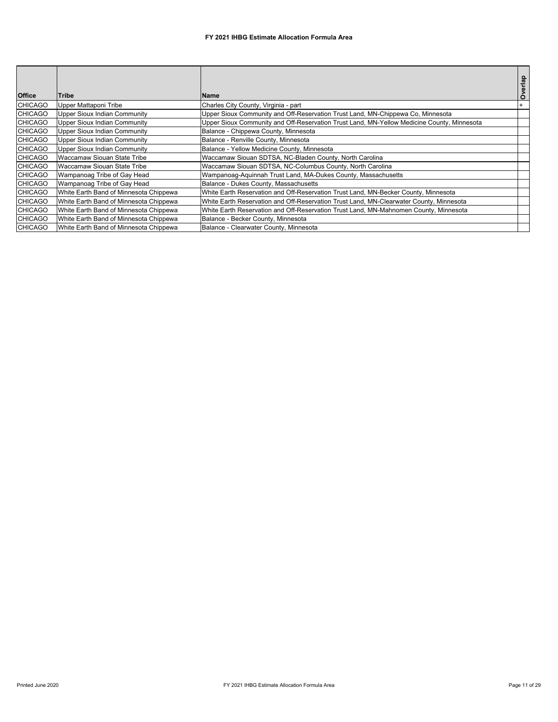|                |                                        |                                                                                            | Overlap |
|----------------|----------------------------------------|--------------------------------------------------------------------------------------------|---------|
| <b>Office</b>  | Tribe                                  | <b>Name</b>                                                                                |         |
| <b>CHICAGO</b> | Upper Mattaponi Tribe                  | Charles City County, Virginia - part                                                       |         |
| <b>CHICAGO</b> | Upper Sioux Indian Community           | Upper Sioux Community and Off-Reservation Trust Land, MN-Chippewa Co, Minnesota            |         |
| <b>CHICAGO</b> | Upper Sioux Indian Community           | Upper Sioux Community and Off-Reservation Trust Land, MN-Yellow Medicine County, Minnesota |         |
| <b>CHICAGO</b> | Upper Sioux Indian Community           | Balance - Chippewa County, Minnesota                                                       |         |
| <b>CHICAGO</b> | Upper Sioux Indian Community           | Balance - Renville County, Minnesota                                                       |         |
| <b>CHICAGO</b> | Upper Sioux Indian Community           | Balance - Yellow Medicine County, Minnesota                                                |         |
| <b>CHICAGO</b> | Waccamaw Siouan State Tribe            | Waccamaw Siouan SDTSA, NC-Bladen County, North Carolina                                    |         |
| <b>CHICAGO</b> | Waccamaw Siouan State Tribe            | Waccamaw Siouan SDTSA, NC-Columbus County, North Carolina                                  |         |
| <b>CHICAGO</b> | Wampanoag Tribe of Gay Head            | Wampanoag-Aguinnah Trust Land, MA-Dukes County, Massachusetts                              |         |
| <b>CHICAGO</b> | Wampanoag Tribe of Gay Head            | Balance - Dukes County, Massachusetts                                                      |         |
| <b>CHICAGO</b> | White Earth Band of Minnesota Chippewa | White Earth Reservation and Off-Reservation Trust Land, MN-Becker County, Minnesota        |         |
| <b>CHICAGO</b> | White Earth Band of Minnesota Chippewa | White Earth Reservation and Off-Reservation Trust Land, MN-Clearwater County, Minnesota    |         |
| <b>CHICAGO</b> | White Earth Band of Minnesota Chippewa | White Earth Reservation and Off-Reservation Trust Land, MN-Mahnomen County, Minnesota      |         |
| <b>CHICAGO</b> | White Earth Band of Minnesota Chippewa | Balance - Becker County, Minnesota                                                         |         |
| <b>CHICAGO</b> | White Earth Band of Minnesota Chippewa | Balance - Clearwater County, Minnesota                                                     |         |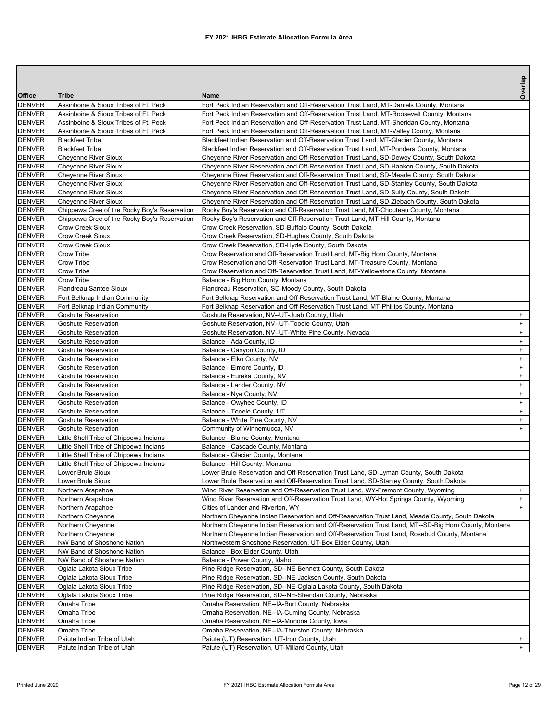|                                |                                                            |                                                                                                                                                                                                      | Overlap          |
|--------------------------------|------------------------------------------------------------|------------------------------------------------------------------------------------------------------------------------------------------------------------------------------------------------------|------------------|
| <b>Office</b>                  | Tribe                                                      | <b>Name</b>                                                                                                                                                                                          |                  |
| <b>DENVER</b>                  | Assinboine & Sioux Tribes of Ft. Peck                      | Fort Peck Indian Reservation and Off-Reservation Trust Land, MT-Daniels County, Montana                                                                                                              |                  |
| <b>DENVER</b>                  | Assinboine & Sioux Tribes of Ft. Peck                      | Fort Peck Indian Reservation and Off-Reservation Trust Land, MT-Roosevelt County, Montana                                                                                                            |                  |
| <b>DENVER</b>                  | Assinboine & Sioux Tribes of Ft. Peck                      | Fort Peck Indian Reservation and Off-Reservation Trust Land, MT-Sheridan County, Montana                                                                                                             |                  |
| <b>DENVER</b>                  | Assinboine & Sioux Tribes of Ft. Peck                      | Fort Peck Indian Reservation and Off-Reservation Trust Land, MT-Valley County, Montana                                                                                                               |                  |
| <b>DENVER</b>                  | <b>Blackfeet Tribe</b>                                     | Blackfeet Indian Reservation and Off-Reservation Trust Land, MT-Glacier County, Montana                                                                                                              |                  |
| <b>DENVER</b>                  | <b>Blackfeet Tribe</b>                                     | Blackfeet Indian Reservation and Off-Reservation Trust Land, MT-Pondera County, Montana                                                                                                              |                  |
| <b>DENVER</b><br><b>DENVER</b> | <b>Cheyenne River Sioux</b><br><b>Chevenne River Sioux</b> | Cheyenne River Reservation and Off-Reservation Trust Land, SD-Dewey County, South Dakota                                                                                                             |                  |
| <b>DENVER</b>                  | <b>Chevenne River Sioux</b>                                | Cheyenne River Reservation and Off-Reservation Trust Land, SD-Haakon County, South Dakota<br>Cheyenne River Reservation and Off-Reservation Trust Land, SD-Meade County, South Dakota                |                  |
| <b>DENVER</b>                  | <b>Cheyenne River Sioux</b>                                | Cheyenne River Reservation and Off-Reservation Trust Land, SD-Stanley County, South Dakota                                                                                                           |                  |
| <b>DENVER</b>                  | <b>Cheyenne River Sioux</b>                                | Cheyenne River Reservation and Off-Reservation Trust Land, SD-Sully County, South Dakota                                                                                                             |                  |
| <b>DENVER</b>                  | <b>Cheyenne River Sioux</b>                                | Cheyenne River Reservation and Off-Reservation Trust Land, SD-Ziebach County, South Dakota                                                                                                           |                  |
| <b>DENVER</b>                  | Chippewa Cree of the Rocky Boy's Reservation               | Rocky Boy's Reservation and Off-Reservation Trust Land, MT-Chouteau County, Montana                                                                                                                  |                  |
| <b>DENVER</b>                  | Chippewa Cree of the Rocky Boy's Reservation               | Rocky Boy's Reservation and Off-Reservation Trust Land, MT-Hill County, Montana                                                                                                                      |                  |
| <b>DENVER</b>                  | Crow Creek Sioux                                           | Crow Creek Reservation, SD-Buffalo County, South Dakota                                                                                                                                              |                  |
| <b>DENVER</b>                  | Crow Creek Sioux                                           | Crow Creek Reservation, SD-Hughes County, South Dakota                                                                                                                                               |                  |
| <b>DENVER</b>                  | <b>Crow Creek Sioux</b>                                    | Crow Creek Reservation, SD-Hyde County, South Dakota                                                                                                                                                 |                  |
| <b>DENVER</b>                  | Crow Tribe                                                 | Crow Reservation and Off-Reservation Trust Land, MT-Big Horn County, Montana                                                                                                                         |                  |
| <b>DENVER</b>                  | Crow Tribe                                                 | Crow Reservation and Off-Reservation Trust Land, MT-Treasure County, Montana                                                                                                                         |                  |
| <b>DENVER</b>                  | Crow Tribe                                                 | Crow Reservation and Off-Reservation Trust Land, MT-Yellowstone County, Montana                                                                                                                      |                  |
| <b>DENVER</b><br><b>DENVER</b> | Crow Tribe<br><b>Flandreau Santee Sioux</b>                | Balance - Big Horn County, Montana<br>Flandreau Reservation, SD-Moody County, South Dakota                                                                                                           |                  |
| <b>DENVER</b>                  | Fort Belknap Indian Community                              | Fort Belknap Reservation and Off-Reservation Trust Land, MT-Blaine County, Montana                                                                                                                   |                  |
| <b>DENVER</b>                  | Fort Belknap Indian Community                              | Fort Belknap Reservation and Off-Reservation Trust Land, MT-Phillips County, Montana                                                                                                                 |                  |
| <b>DENVER</b>                  | <b>Goshute Reservation</b>                                 | Goshute Reservation, NV--UT-Juab County, Utah                                                                                                                                                        |                  |
| <b>DENVER</b>                  | Goshute Reservation                                        | Goshute Reservation, NV--UT-Tooele County, Utah                                                                                                                                                      | $\ddot{}$        |
| <b>DENVER</b>                  | <b>Goshute Reservation</b>                                 | Goshute Reservation, NV--UT-White Pine County, Nevada                                                                                                                                                | $\ddot{}$        |
| <b>DENVER</b>                  | <b>Goshute Reservation</b>                                 | Balance - Ada County, ID                                                                                                                                                                             | $\ddot{}$        |
| <b>DENVER</b>                  | Goshute Reservation                                        | Balance - Canyon County, ID                                                                                                                                                                          | +                |
| <b>DENVER</b>                  | <b>Goshute Reservation</b>                                 | Balance - Elko County, NV                                                                                                                                                                            | $\ddot{}$        |
| <b>DENVER</b>                  | Goshute Reservation                                        | Balance - Elmore County, ID                                                                                                                                                                          | $\ddot{}$        |
| <b>DENVER</b>                  | <b>Goshute Reservation</b>                                 | Balance - Eureka County, NV                                                                                                                                                                          | $\ddot{}$        |
| <b>DENVER</b>                  | <b>Goshute Reservation</b>                                 | Balance - Lander County, NV                                                                                                                                                                          | $\ddot{}$        |
| <b>DENVER</b>                  | Goshute Reservation                                        | Balance - Nye County, NV                                                                                                                                                                             | +                |
| <b>DENVER</b><br><b>DENVER</b> | <b>Goshute Reservation</b><br>Goshute Reservation          | Balance - Owyhee County, ID                                                                                                                                                                          | $\ddot{}$<br>$+$ |
| <b>DENVER</b>                  | <b>Goshute Reservation</b>                                 | Balance - Tooele County, UT<br>Balance - White Pine County, NV                                                                                                                                       | $\ddot{}$        |
| <b>DENVER</b>                  | <b>Goshute Reservation</b>                                 | Community of Winnemucca, NV                                                                                                                                                                          | $\ddot{}$        |
| <b>DENVER</b>                  | Little Shell Tribe of Chippewa Indians                     | Balance - Blaine County, Montana                                                                                                                                                                     |                  |
| <b>DENVER</b>                  | Little Shell Tribe of Chippewa Indians                     | Balance - Cascade County, Montana                                                                                                                                                                    |                  |
| <b>DENVER</b>                  | Little Shell Tribe of Chippewa Indians                     | Balance - Glacier County, Montana                                                                                                                                                                    |                  |
| <b>DENVER</b>                  | Little Shell Tribe of Chippewa Indians                     | Balance - Hill County, Montana                                                                                                                                                                       |                  |
| <b>DENVER</b>                  | Lower Brule Sioux                                          | Lower Brule Reservation and Off-Reservation Trust Land, SD-Lyman County, South Dakota                                                                                                                |                  |
| <b>DENVER</b>                  | Lower Brule Sioux                                          | Lower Brule Reservation and Off-Reservation Trust Land, SD-Stanley County, South Dakota                                                                                                              |                  |
| <b>DENVER</b>                  | Northern Arapahoe                                          | Wind River Reservation and Off-Reservation Trust Land, WY-Fremont County, Wyoming                                                                                                                    | $^{+}$           |
| <b>DENVER</b>                  | Northern Arapahoe                                          | Wind River Reservation and Off-Reservation Trust Land, WY-Hot Springs County, Wyoming                                                                                                                | $+$              |
| <b>DENVER</b>                  | Northern Arapahoe                                          | Cities of Lander and Riverton, WY                                                                                                                                                                    | $\ddot{}$        |
| <b>DENVER</b>                  | Northern Cheyenne                                          | Northern Cheyenne Indian Reservation and Off-Reservation Trust Land, Meade County, South Dakota                                                                                                      |                  |
| <b>DENVER</b><br><b>DENVER</b> | Northern Cheyenne<br>Northern Cheyenne                     | Northern Cheyenne Indian Reservation and Off-Reservation Trust Land, MT--SD-Big Horn County, Montana<br>Northern Cheyenne Indian Reservation and Off-Reservation Trust Land, Rosebud County, Montana |                  |
| <b>DENVER</b>                  | NW Band of Shoshone Nation                                 | Northwestern Shoshone Reservation, UT-Box Elder County, Utah                                                                                                                                         |                  |
| <b>DENVER</b>                  | NW Band of Shoshone Nation                                 | Balance - Box Elder County, Utah                                                                                                                                                                     |                  |
| <b>DENVER</b>                  | NW Band of Shoshone Nation                                 | Balance - Power County, Idaho                                                                                                                                                                        |                  |
| <b>DENVER</b>                  | Oglala Lakota Sioux Tribe                                  | Pine Ridge Reservation, SD--NE-Bennett County, South Dakota                                                                                                                                          |                  |
| <b>DENVER</b>                  | Oglala Lakota Sioux Tribe                                  | Pine Ridge Reservation, SD--NE-Jackson County, South Dakota                                                                                                                                          |                  |
| <b>DENVER</b>                  | Oglala Lakota Sioux Tribe                                  | Pine Ridge Reservation, SD--NE-Oglala Lakota County, South Dakota                                                                                                                                    |                  |
| <b>DENVER</b>                  | Oglala Lakota Sioux Tribe                                  | Pine Ridge Reservation, SD--NE-Sheridan County, Nebraska                                                                                                                                             |                  |
| <b>DENVER</b>                  | Omaha Tribe                                                | Omaha Reservation, NE--IA-Burt County, Nebraska                                                                                                                                                      |                  |
| <b>DENVER</b>                  | Omaha Tribe                                                | Omaha Reservation, NE--IA-Cuming County, Nebraska                                                                                                                                                    |                  |
| <b>DENVER</b>                  | Omaha Tribe                                                | Omaha Reservation, NE--IA-Monona County, Iowa                                                                                                                                                        |                  |
| <b>DENVER</b>                  | Omaha Tribe                                                | Omaha Reservation, NE--IA-Thurston County, Nebraska                                                                                                                                                  | $^{+}$           |
| <b>DENVER</b><br><b>DENVER</b> | Paiute Indian Tribe of Utah<br>Paiute Indian Tribe of Utah | Paiute (UT) Reservation, UT-Iron County, Utah<br>Paiute (UT) Reservation, UT-Millard County, Utah                                                                                                    | $\ddot{}$        |
|                                |                                                            |                                                                                                                                                                                                      |                  |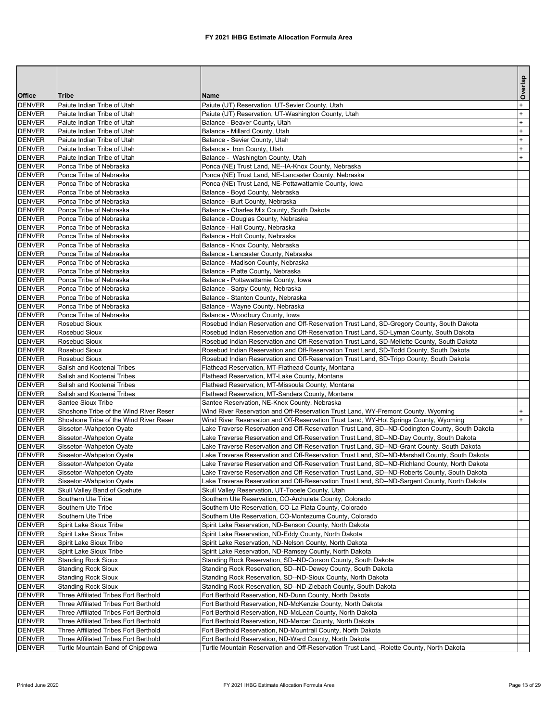|                                |                                                            |                                                                                                                                                                                                | Overlap                |
|--------------------------------|------------------------------------------------------------|------------------------------------------------------------------------------------------------------------------------------------------------------------------------------------------------|------------------------|
| <b>Office</b>                  | <b>Tribe</b>                                               | Name                                                                                                                                                                                           |                        |
| <b>DENVER</b><br><b>DENVER</b> | Paiute Indian Tribe of Utah<br>Paiute Indian Tribe of Utah | Paiute (UT) Reservation, UT-Sevier County, Utah<br>Paiute (UT) Reservation, UT-Washington County, Utah                                                                                         | $\ddot{}$<br>$\ddot{}$ |
| <b>DENVER</b>                  | Paiute Indian Tribe of Utah                                | Balance - Beaver County, Utah                                                                                                                                                                  | $\ddot{}$              |
| <b>DENVER</b>                  | Paiute Indian Tribe of Utah                                | Balance - Millard County, Utah                                                                                                                                                                 | $\ddot{}$              |
| <b>DENVER</b>                  | Paiute Indian Tribe of Utah                                | Balance - Sevier County, Utah                                                                                                                                                                  | $^{+}$                 |
| <b>DENVER</b>                  | Paiute Indian Tribe of Utah                                | Balance - Iron County, Utah                                                                                                                                                                    | $\ddot{}$              |
| <b>DENVER</b>                  | Paiute Indian Tribe of Utah                                | Balance - Washington County, Utah                                                                                                                                                              | $+$                    |
| <b>DENVER</b>                  | Ponca Tribe of Nebraska                                    | Ponca (NE) Trust Land, NE--IA-Knox County, Nebraska                                                                                                                                            |                        |
| <b>DENVER</b>                  | Ponca Tribe of Nebraska                                    | Ponca (NE) Trust Land, NE-Lancaster County, Nebraska                                                                                                                                           |                        |
| <b>DENVER</b>                  | Ponca Tribe of Nebraska                                    | Ponca (NE) Trust Land, NE-Pottawattamie County, Iowa                                                                                                                                           |                        |
| <b>DENVER</b>                  | Ponca Tribe of Nebraska                                    | Balance - Boyd County, Nebraska                                                                                                                                                                |                        |
| <b>DENVER</b>                  | Ponca Tribe of Nebraska                                    | Balance - Burt County, Nebraska                                                                                                                                                                |                        |
| <b>DENVER</b>                  | Ponca Tribe of Nebraska                                    | Balance - Charles Mix County, South Dakota                                                                                                                                                     |                        |
| <b>DENVER</b>                  | Ponca Tribe of Nebraska                                    | Balance - Douglas County, Nebraska                                                                                                                                                             |                        |
| <b>DENVER</b>                  | Ponca Tribe of Nebraska                                    | Balance - Hall County, Nebraska                                                                                                                                                                |                        |
| <b>DENVER</b>                  | Ponca Tribe of Nebraska                                    | Balance - Holt County, Nebraska                                                                                                                                                                |                        |
| <b>DENVER</b>                  | Ponca Tribe of Nebraska                                    | Balance - Knox County, Nebraska                                                                                                                                                                |                        |
| <b>DENVER</b>                  | Ponca Tribe of Nebraska                                    | Balance - Lancaster County, Nebraska                                                                                                                                                           |                        |
| <b>DENVER</b>                  | Ponca Tribe of Nebraska                                    | Balance - Madison County, Nebraska                                                                                                                                                             |                        |
| <b>DENVER</b>                  | Ponca Tribe of Nebraska                                    | Balance - Platte County, Nebraska                                                                                                                                                              |                        |
| <b>DENVER</b>                  | Ponca Tribe of Nebraska                                    | Balance - Pottawattamie County, Iowa                                                                                                                                                           |                        |
| <b>DENVER</b>                  | Ponca Tribe of Nebraska                                    | Balance - Sarpy County, Nebraska                                                                                                                                                               |                        |
| <b>DENVER</b><br><b>DENVER</b> | Ponca Tribe of Nebraska<br>Ponca Tribe of Nebraska         | Balance - Stanton County, Nebraska<br>Balance - Wayne County, Nebraska                                                                                                                         |                        |
| <b>DENVER</b>                  | Ponca Tribe of Nebraska                                    | Balance - Woodbury County, Iowa                                                                                                                                                                |                        |
| <b>DENVER</b>                  | Rosebud Sioux                                              | Rosebud Indian Reservation and Off-Reservation Trust Land, SD-Gregory County, South Dakota                                                                                                     |                        |
| <b>DENVER</b>                  | Rosebud Sioux                                              | Rosebud Indian Reservation and Off-Reservation Trust Land, SD-Lyman County, South Dakota                                                                                                       |                        |
| <b>DENVER</b>                  | Rosebud Sioux                                              | Rosebud Indian Reservation and Off-Reservation Trust Land, SD-Mellette County, South Dakota                                                                                                    |                        |
| <b>DENVER</b>                  | Rosebud Sioux                                              | Rosebud Indian Reservation and Off-Reservation Trust Land, SD-Todd County, South Dakota                                                                                                        |                        |
| <b>DENVER</b>                  | Rosebud Sioux                                              | Rosebud Indian Reservation and Off-Reservation Trust Land, SD-Tripp County, South Dakota                                                                                                       |                        |
| <b>DENVER</b>                  | Salish and Kootenai Tribes                                 | Flathead Reservation, MT-Flathead County, Montana                                                                                                                                              |                        |
| <b>DENVER</b>                  | Salish and Kootenai Tribes                                 | Flathead Reservation, MT-Lake County, Montana                                                                                                                                                  |                        |
| <b>DENVER</b>                  | Salish and Kootenai Tribes                                 | Flathead Reservation, MT-Missoula County, Montana                                                                                                                                              |                        |
| <b>DENVER</b>                  | Salish and Kootenai Tribes                                 | Flathead Reservation, MT-Sanders County, Montana                                                                                                                                               |                        |
| <b>DENVER</b>                  | Santee Sioux Tribe                                         | Santee Reservation, NE-Knox County, Nebraska                                                                                                                                                   |                        |
| <b>DENVER</b>                  | Shoshone Tribe of the Wind River Reser                     | Wind River Reservation and Off-Reservation Trust Land, WY-Fremont County, Wyoming                                                                                                              | $\ddot{}$              |
| <b>DENVER</b>                  | Shoshone Tribe of the Wind River Reser                     | Wind River Reservation and Off-Reservation Trust Land, WY-Hot Springs County, Wyoming                                                                                                          | $+$                    |
| <b>DENVER</b>                  | Sisseton-Wahpeton Oyate                                    | Lake Traverse Reservation and Off-Reservation Trust Land, SD--ND-Codington County, South Dakota                                                                                                |                        |
| <b>DENVER</b>                  | Sisseton-Wahpeton Oyate                                    | Lake Traverse Reservation and Off-Reservation Trust Land, SD--ND-Day County, South Dakota                                                                                                      |                        |
| <b>DENVER</b>                  | Sisseton-Wahpeton Oyate                                    | ake Traverse Reservation and Off-Reservation Trust Land, SD--ND-Grant County, South Dakota                                                                                                     |                        |
| <b>DENVER</b>                  | Sisseton-Wahpeton Oyate                                    | Lake Traverse Reservation and Off-Reservation Trust Land, SD--ND-Marshall County, South Dakota                                                                                                 |                        |
| <b>DENVER</b>                  | Sisseton-Wahpeton Oyate                                    | Lake Traverse Reservation and Off-Reservation Trust Land, SD--ND-Richland County, North Dakota                                                                                                 |                        |
| <b>DENVER</b><br><b>DENVER</b> | Sisseton-Wahpeton Oyate<br>Sisseton-Wahpeton Oyate         | Lake Traverse Reservation and Off-Reservation Trust Land, SD--ND-Roberts County, South Dakota<br>Lake Traverse Reservation and Off-Reservation Trust Land, SD--ND-Sargent County, North Dakota |                        |
| <b>DENVER</b>                  | Skull Valley Band of Goshute                               | Skull Valley Reservation, UT-Tooele County, Utah                                                                                                                                               |                        |
| <b>DENVER</b>                  | Southern Ute Tribe                                         | Southern Ute Reservation, CO-Archuleta County, Colorado                                                                                                                                        |                        |
| <b>DENVER</b>                  | Southern Ute Tribe                                         | Southern Ute Reservation, CO-La Plata County, Colorado                                                                                                                                         |                        |
| <b>DENVER</b>                  | Southern Ute Tribe                                         | Southern Ute Reservation, CO-Montezuma County, Colorado                                                                                                                                        |                        |
| <b>DENVER</b>                  | Spirit Lake Sioux Tribe                                    | Spirit Lake Reservation, ND-Benson County, North Dakota                                                                                                                                        |                        |
| <b>DENVER</b>                  | Spirit Lake Sioux Tribe                                    | Spirit Lake Reservation, ND-Eddy County, North Dakota                                                                                                                                          |                        |
| <b>DENVER</b>                  | Spirit Lake Sioux Tribe                                    | Spirit Lake Reservation, ND-Nelson County, North Dakota                                                                                                                                        |                        |
| <b>DENVER</b>                  | Spirit Lake Sioux Tribe                                    | Spirit Lake Reservation, ND-Ramsey County, North Dakota                                                                                                                                        |                        |
| <b>DENVER</b>                  | <b>Standing Rock Sioux</b>                                 | Standing Rock Reservation, SD--ND-Corson County, South Dakota                                                                                                                                  |                        |
| <b>DENVER</b>                  | <b>Standing Rock Sioux</b>                                 | Standing Rock Reservation, SD--ND-Dewey County, South Dakota                                                                                                                                   |                        |
| <b>DENVER</b>                  | <b>Standing Rock Sioux</b>                                 | Standing Rock Reservation, SD--ND-Sioux County, North Dakota                                                                                                                                   |                        |
| <b>DENVER</b>                  | <b>Standing Rock Sioux</b>                                 | Standing Rock Reservation, SD--ND-Ziebach County, South Dakota                                                                                                                                 |                        |
| <b>DENVER</b>                  | Three Affiliated Tribes Fort Berthold                      | Fort Berthold Reservation, ND-Dunn County, North Dakota                                                                                                                                        |                        |
| <b>DENVER</b>                  | Three Affiliated Tribes Fort Berthold                      | Fort Berthold Reservation, ND-McKenzie County, North Dakota                                                                                                                                    |                        |
| <b>DENVER</b>                  | Three Affiliated Tribes Fort Berthold                      | Fort Berthold Reservation, ND-McLean County, North Dakota                                                                                                                                      |                        |
| <b>DENVER</b>                  | Three Affiliated Tribes Fort Berthold                      | Fort Berthold Reservation, ND-Mercer County, North Dakota                                                                                                                                      |                        |
| <b>DENVER</b>                  | Three Affiliated Tribes Fort Berthold                      | Fort Berthold Reservation, ND-Mountrail County, North Dakota                                                                                                                                   |                        |
| <b>DENVER</b>                  | Three Affiliated Tribes Fort Berthold                      | Fort Berthold Reservation, ND-Ward County, North Dakota                                                                                                                                        |                        |
| <b>DENVER</b>                  | Turtle Mountain Band of Chippewa                           | Turtle Mountain Reservation and Off-Reservation Trust Land, -Rolette County, North Dakota                                                                                                      |                        |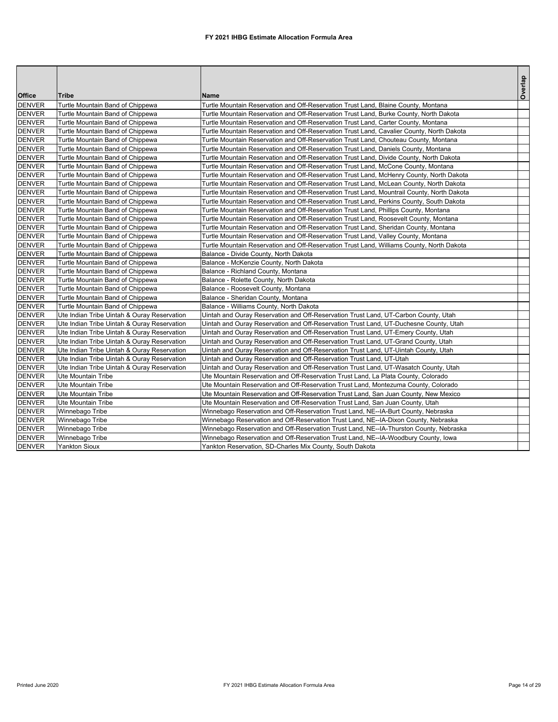|               |                                             |                                                                                            | Overlap |
|---------------|---------------------------------------------|--------------------------------------------------------------------------------------------|---------|
| Office        | <b>Tribe</b>                                | <b>Name</b>                                                                                |         |
| <b>DENVER</b> | Turtle Mountain Band of Chippewa            | Turtle Mountain Reservation and Off-Reservation Trust Land, Blaine County, Montana         |         |
| <b>DENVER</b> | Turtle Mountain Band of Chippewa            | Turtle Mountain Reservation and Off-Reservation Trust Land, Burke County, North Dakota     |         |
| <b>DENVER</b> | Turtle Mountain Band of Chippewa            | Turtle Mountain Reservation and Off-Reservation Trust Land, Carter County, Montana         |         |
| <b>DENVER</b> | Turtle Mountain Band of Chippewa            | Turtle Mountain Reservation and Off-Reservation Trust Land, Cavalier County, North Dakota  |         |
| <b>DENVER</b> | Turtle Mountain Band of Chippewa            | Turtle Mountain Reservation and Off-Reservation Trust Land, Chouteau County, Montana       |         |
| <b>DENVER</b> | Turtle Mountain Band of Chippewa            | Turtle Mountain Reservation and Off-Reservation Trust Land, Daniels County, Montana        |         |
| <b>DENVER</b> | Turtle Mountain Band of Chippewa            | Turtle Mountain Reservation and Off-Reservation Trust Land, Divide County, North Dakota    |         |
| <b>DENVER</b> | Turtle Mountain Band of Chippewa            | Turtle Mountain Reservation and Off-Reservation Trust Land, McCone County, Montana         |         |
| <b>DENVER</b> | Turtle Mountain Band of Chippewa            | Turtle Mountain Reservation and Off-Reservation Trust Land, McHenry County, North Dakota   |         |
| <b>DENVER</b> | Turtle Mountain Band of Chippewa            | Turtle Mountain Reservation and Off-Reservation Trust Land, McLean County, North Dakota    |         |
| <b>DENVER</b> | Turtle Mountain Band of Chippewa            | Turtle Mountain Reservation and Off-Reservation Trust Land, Mountrail County, North Dakota |         |
| <b>DENVER</b> | Turtle Mountain Band of Chippewa            | Turtle Mountain Reservation and Off-Reservation Trust Land, Perkins County, South Dakota   |         |
| <b>DENVER</b> | Turtle Mountain Band of Chippewa            | Turtle Mountain Reservation and Off-Reservation Trust Land, Phillips County, Montana       |         |
| <b>DENVER</b> | Turtle Mountain Band of Chippewa            | Turtle Mountain Reservation and Off-Reservation Trust Land, Roosevelt County, Montana      |         |
| <b>DENVER</b> | Turtle Mountain Band of Chippewa            | Turtle Mountain Reservation and Off-Reservation Trust Land, Sheridan County, Montana       |         |
| <b>DENVER</b> | Turtle Mountain Band of Chippewa            | Turtle Mountain Reservation and Off-Reservation Trust Land, Valley County, Montana         |         |
| <b>DENVER</b> | Turtle Mountain Band of Chippewa            | Turtle Mountain Reservation and Off-Reservation Trust Land, Williams County, North Dakota  |         |
| <b>DENVER</b> | Turtle Mountain Band of Chippewa            | Balance - Divide County, North Dakota                                                      |         |
| <b>DENVER</b> | Turtle Mountain Band of Chippewa            | Balance - McKenzie County, North Dakota                                                    |         |
| <b>DENVER</b> | Turtle Mountain Band of Chippewa            | Balance - Richland County, Montana                                                         |         |
| <b>DENVER</b> | Turtle Mountain Band of Chippewa            | Balance - Rolette County, North Dakota                                                     |         |
| <b>DENVER</b> | Turtle Mountain Band of Chippewa            | Balance - Roosevelt County, Montana                                                        |         |
| <b>DENVER</b> | Turtle Mountain Band of Chippewa            | Balance - Sheridan County, Montana                                                         |         |
| <b>DENVER</b> | Turtle Mountain Band of Chippewa            | Balance - Williams County, North Dakota                                                    |         |
| <b>DENVER</b> | Ute Indian Tribe Uintah & Ouray Reservation | Uintah and Ouray Reservation and Off-Reservation Trust Land, UT-Carbon County, Utah        |         |
| <b>DENVER</b> | Ute Indian Tribe Uintah & Ouray Reservation | Uintah and Ouray Reservation and Off-Reservation Trust Land, UT-Duchesne County, Utah      |         |
| <b>DENVER</b> | Ute Indian Tribe Uintah & Ouray Reservation | Uintah and Ouray Reservation and Off-Reservation Trust Land, UT-Emery County, Utah         |         |
| <b>DENVER</b> | Ute Indian Tribe Uintah & Ouray Reservation | Uintah and Ouray Reservation and Off-Reservation Trust Land, UT-Grand County, Utah         |         |
| <b>DENVER</b> | Ute Indian Tribe Uintah & Ouray Reservation | Uintah and Ouray Reservation and Off-Reservation Trust Land, UT-Uintah County, Utah        |         |
| <b>DENVER</b> | Ute Indian Tribe Uintah & Ouray Reservation | Uintah and Ouray Reservation and Off-Reservation Trust Land, UT-Utah                       |         |
| <b>DENVER</b> | Ute Indian Tribe Uintah & Ouray Reservation | Uintah and Ouray Reservation and Off-Reservation Trust Land, UT-Wasatch County, Utah       |         |
| <b>DENVER</b> | <b>Ute Mountain Tribe</b>                   | Ute Mountain Reservation and Off-Reservation Trust Land, La Plata County, Colorado         |         |
| <b>DENVER</b> | Ute Mountain Tribe                          | Ute Mountain Reservation and Off-Reservation Trust Land, Montezuma County, Colorado        |         |
| <b>DENVER</b> | <b>Ute Mountain Tribe</b>                   | Ute Mountain Reservation and Off-Reservation Trust Land, San Juan County, New Mexico       |         |
| <b>DENVER</b> | <b>Ute Mountain Tribe</b>                   | Ute Mountain Reservation and Off-Reservation Trust Land, San Juan County, Utah             |         |
| <b>DENVER</b> | Winnebago Tribe                             | Winnebago Reservation and Off-Reservation Trust Land, NE--IA-Burt County, Nebraska         |         |
| <b>DENVER</b> | Winnebago Tribe                             | Winnebago Reservation and Off-Reservation Trust Land, NE--IA-Dixon County, Nebraska        |         |
| <b>DENVER</b> | Winnebago Tribe                             | Winnebago Reservation and Off-Reservation Trust Land, NE--IA-Thurston County, Nebraska     |         |
| <b>DENVER</b> | Winnebago Tribe                             | Winnebago Reservation and Off-Reservation Trust Land, NE--IA-Woodbury County, Iowa         |         |
| <b>DENVER</b> | <b>Yankton Sioux</b>                        | Yankton Reservation, SD-Charles Mix County, South Dakota                                   |         |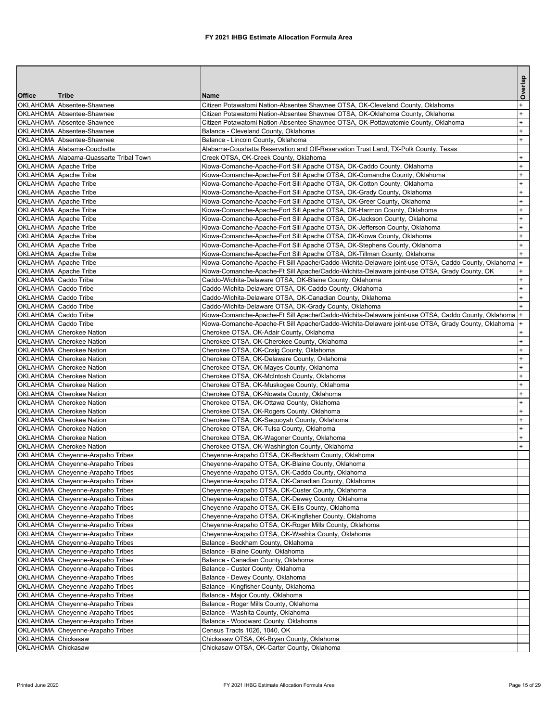|                      |                                                                      |                                                                                                                 | Overlap                |
|----------------------|----------------------------------------------------------------------|-----------------------------------------------------------------------------------------------------------------|------------------------|
| Office               | <b>Tribe</b>                                                         | Name                                                                                                            |                        |
|                      | OKLAHOMA Absentee-Shawnee                                            | Citizen Potawatomi Nation-Absentee Shawnee OTSA, OK-Cleveland County, Oklahoma                                  | $+$                    |
|                      | OKLAHOMA Absentee-Shawnee                                            | Citizen Potawatomi Nation-Absentee Shawnee OTSA, OK-Oklahoma County, Oklahoma                                   | $+$                    |
|                      | OKLAHOMA Absentee-Shawnee                                            | Citizen Potawatomi Nation-Absentee Shawnee OTSA, OK-Pottawatomie County, Oklahoma                               | $+$                    |
|                      | OKLAHOMA Absentee-Shawnee                                            | Balance - Cleveland County, Oklahoma                                                                            | $\ddot{}$              |
|                      | OKLAHOMA Absentee-Shawnee                                            | Balance - Lincoln County, Oklahoma                                                                              | $+$                    |
|                      | OKLAHOMA Alabama-Couchatta                                           | Alabama-Coushatta Reservation and Off-Reservation Trust Land, TX-Polk County, Texas                             |                        |
|                      | OKLAHOMA Alabama-Quassarte Tribal Town<br>OKLAHOMA Apache Tribe      | Creek OTSA, OK-Creek County, Oklahoma<br>Kiowa-Comanche-Apache-Fort Sill Apache OTSA, OK-Caddo County, Oklahoma | $+$<br>$\ddot{}$       |
|                      | OKLAHOMA Apache Tribe                                                | Kiowa-Comanche-Apache-Fort Sill Apache OTSA, OK-Comanche County, Oklahoma                                       | $\ddot{}$              |
|                      | OKLAHOMA Apache Tribe                                                | Kiowa-Comanche-Apache-Fort Sill Apache OTSA, OK-Cotton County, Oklahoma                                         | $\ddot{}$              |
|                      | OKLAHOMA Apache Tribe                                                | Kiowa-Comanche-Apache-Fort Sill Apache OTSA, OK-Grady County, Oklahoma                                          | $\ddot{}$              |
|                      | OKLAHOMA Apache Tribe                                                | Kiowa-Comanche-Apache-Fort Sill Apache OTSA, OK-Greer County, Oklahoma                                          | $+$                    |
|                      | OKLAHOMA Apache Tribe                                                | Kiowa-Comanche-Apache-Fort Sill Apache OTSA, OK-Harmon County, Oklahoma                                         | $\ddot{}$              |
|                      | OKLAHOMA Apache Tribe                                                | Kiowa-Comanche-Apache-Fort Sill Apache OTSA, OK-Jackson County, Oklahoma                                        | $\ddot{}$              |
|                      | OKLAHOMA Apache Tribe                                                | Kiowa-Comanche-Apache-Fort Sill Apache OTSA, OK-Jefferson County, Oklahoma                                      | $\ddot{}$              |
|                      | OKLAHOMA Apache Tribe                                                | Kiowa-Comanche-Apache-Fort Sill Apache OTSA, OK-Kiowa County, Oklahoma                                          | $\ddot{}$              |
|                      | OKLAHOMA Apache Tribe                                                | Kiowa-Comanche-Apache-Fort Sill Apache OTSA, OK-Stephens County, Oklahoma                                       | $+$                    |
|                      | OKLAHOMA Apache Tribe                                                | Kiowa-Comanche-Apache-Fort Sill Apache OTSA, OK-Tillman County, Oklahoma                                        | $+$                    |
|                      | OKLAHOMA Apache Tribe                                                | Kiowa-Comanche-Apache-Ft Sill Apache/Caddo-Wichita-Delaware joint-use OTSA, Caddo County, Oklahoma              | $\pmb{+}$              |
|                      | OKLAHOMA Apache Tribe                                                | Kiowa-Comanche-Apache-Ft Sill Apache/Caddo-Wichita-Delaware joint-use OTSA, Grady County, OK                    | $\ddot{}$              |
| OKLAHOMA Caddo Tribe |                                                                      | Caddo-Wichita-Delaware OTSA, OK-Blaine County, Oklahoma                                                         | $\ddot{}$              |
| OKLAHOMA Caddo Tribe |                                                                      | Caddo-Wichita-Delaware OTSA, OK-Caddo County, Oklahoma                                                          | $+$                    |
| OKLAHOMA Caddo Tribe |                                                                      | Caddo-Wichita-Delaware OTSA, OK-Canadian County, Oklahoma                                                       | $+$                    |
| OKLAHOMA Caddo Tribe |                                                                      | Caddo-Wichita-Delaware OTSA, OK-Grady County, Oklahoma                                                          |                        |
| OKLAHOMA Caddo Tribe |                                                                      | Kiowa-Comanche-Apache-Ft Sill Apache/Caddo-Wichita-Delaware joint-use OTSA, Caddo County, Oklahoma              | $\ddot{}$              |
| OKLAHOMA Caddo Tribe |                                                                      | Kiowa-Comanche-Apache-Ft Sill Apache/Caddo-Wichita-Delaware joint-use OTSA, Grady County, Oklahoma              |                        |
|                      | OKLAHOMA Cherokee Nation                                             | Cherokee OTSA, OK-Adair County, Oklahoma                                                                        |                        |
|                      | OKLAHOMA Cherokee Nation                                             | Cherokee OTSA, OK-Cherokee County, Oklahoma                                                                     | $+$                    |
|                      | OKLAHOMA Cherokee Nation                                             | Cherokee OTSA, OK-Craig County, Oklahoma                                                                        | $\ddot{}$              |
|                      | OKLAHOMA Cherokee Nation<br>OKLAHOMA Cherokee Nation                 | Cherokee OTSA, OK-Delaware County, Oklahoma                                                                     | $\ddot{}$<br>$\ddot{}$ |
|                      | OKLAHOMA Cherokee Nation                                             | Cherokee OTSA, OK-Mayes County, Oklahoma<br>Cherokee OTSA, OK-McIntosh County, Oklahoma                         | $+$                    |
|                      | OKLAHOMA Cherokee Nation                                             | Cherokee OTSA, OK-Muskogee County, Oklahoma                                                                     | $\ddot{}$              |
|                      | OKLAHOMA Cherokee Nation                                             | Cherokee OTSA, OK-Nowata County, Oklahoma                                                                       | $\ddot{}$              |
|                      | OKLAHOMA Cherokee Nation                                             | Cherokee OTSA, OK-Ottawa County, Oklahoma                                                                       | $\ddot{}$              |
|                      | OKLAHOMA Cherokee Nation                                             | Cherokee OTSA, OK-Rogers County, Oklahoma                                                                       | $\ddot{}$              |
|                      | OKLAHOMA Cherokee Nation                                             | Cherokee OTSA, OK-Sequoyah County, Oklahoma                                                                     | $+$                    |
|                      | OKLAHOMA Cherokee Nation                                             | Cherokee OTSA, OK-Tulsa County, Oklahoma                                                                        | $\ddot{}$              |
|                      | OKLAHOMA Cherokee Nation                                             | Cherokee OTSA, OK-Wagoner County, Oklahoma                                                                      | $\ddot{}$              |
|                      | OKLAHOMA Cherokee Nation                                             | Cherokee OTSA, OK-Washington County, Oklahoma                                                                   | $\ddot{}$              |
|                      | OKLAHOMA Chevenne-Arapaho Tribes                                     | Cheyenne-Arapaho OTSA, OK-Beckham County, Oklahoma                                                              |                        |
|                      | OKLAHOMA Cheyenne-Arapaho Tribes                                     | Cheyenne-Arapaho OTSA, OK-Blaine County, Oklahoma                                                               |                        |
|                      | OKLAHOMA Cheyenne-Arapaho Tribes                                     | Cheyenne-Arapaho OTSA, OK-Caddo County, Oklahoma                                                                |                        |
|                      | OKLAHOMA Cheyenne-Arapaho Tribes                                     | Cheyenne-Arapaho OTSA, OK-Canadian County, Oklahoma                                                             |                        |
|                      | OKLAHOMA Cheyenne-Arapaho Tribes                                     | Cheyenne-Arapaho OTSA, OK-Custer County, Oklahoma                                                               |                        |
|                      | OKLAHOMA Cheyenne-Arapaho Tribes                                     | Cheyenne-Arapaho OTSA, OK-Dewey County, Oklahoma                                                                |                        |
|                      | OKLAHOMA Cheyenne-Arapaho Tribes                                     | Cheyenne-Arapaho OTSA, OK-Ellis County, Oklahoma                                                                |                        |
|                      | OKLAHOMA Cheyenne-Arapaho Tribes                                     | Cheyenne-Arapaho OTSA, OK-Kingfisher County, Oklahoma                                                           |                        |
|                      | OKLAHOMA Cheyenne-Arapaho Tribes                                     | Cheyenne-Arapaho OTSA, OK-Roger Mills County, Oklahoma                                                          |                        |
|                      | OKLAHOMA Cheyenne-Arapaho Tribes                                     | Cheyenne-Arapaho OTSA, OK-Washita County, Oklahoma                                                              |                        |
|                      | OKLAHOMA Cheyenne-Arapaho Tribes                                     | Balance - Beckham County, Oklahoma                                                                              |                        |
|                      | OKLAHOMA Cheyenne-Arapaho Tribes                                     | Balance - Blaine County, Oklahoma                                                                               |                        |
|                      | OKLAHOMA Cheyenne-Arapaho Tribes<br>OKLAHOMA Cheyenne-Arapaho Tribes | Balance - Canadian County, Oklahoma                                                                             |                        |
|                      | OKLAHOMA Cheyenne-Arapaho Tribes                                     | Balance - Custer County, Oklahoma<br>Balance - Dewey County, Oklahoma                                           |                        |
|                      | OKLAHOMA Cheyenne-Arapaho Tribes                                     | Balance - Kingfisher County, Oklahoma                                                                           |                        |
|                      | OKLAHOMA Cheyenne-Arapaho Tribes                                     | Balance - Major County, Oklahoma                                                                                |                        |
|                      | OKLAHOMA Cheyenne-Arapaho Tribes                                     | Balance - Roger Mills County, Oklahoma                                                                          |                        |
|                      | OKLAHOMA Cheyenne-Arapaho Tribes                                     | Balance - Washita County, Oklahoma                                                                              |                        |
|                      | OKLAHOMA Cheyenne-Arapaho Tribes                                     | Balance - Woodward County, Oklahoma                                                                             |                        |
|                      | OKLAHOMA Cheyenne-Arapaho Tribes                                     | Census Tracts 1026, 1040, OK                                                                                    |                        |
| OKLAHOMA Chickasaw   |                                                                      | Chickasaw OTSA, OK-Bryan County, Oklahoma                                                                       |                        |
| OKLAHOMA Chickasaw   |                                                                      | Chickasaw OTSA, OK-Carter County, Oklahoma                                                                      |                        |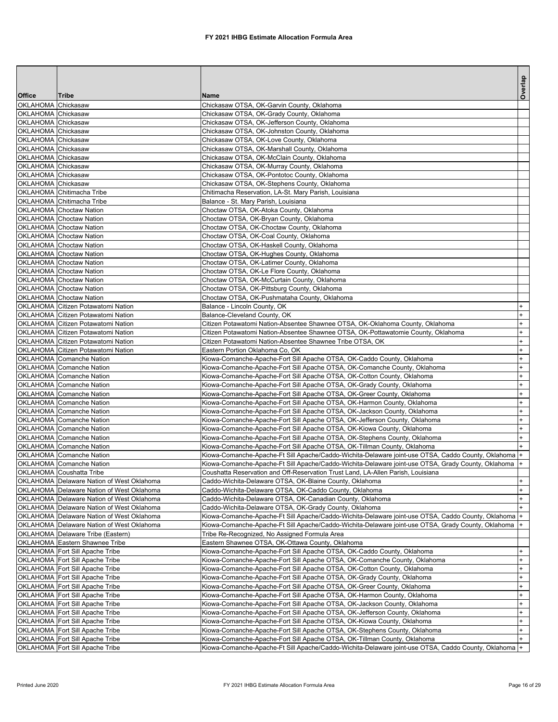|                    |                                                                    |                                                                                                                                                      | Overlap                |
|--------------------|--------------------------------------------------------------------|------------------------------------------------------------------------------------------------------------------------------------------------------|------------------------|
| <b>Office</b>      | Tribe                                                              | Name                                                                                                                                                 |                        |
| OKLAHOMA Chickasaw |                                                                    | Chickasaw OTSA, OK-Garvin County, Oklahoma                                                                                                           |                        |
| OKLAHOMA Chickasaw |                                                                    | Chickasaw OTSA, OK-Grady County, Oklahoma                                                                                                            |                        |
| OKLAHOMA Chickasaw |                                                                    | Chickasaw OTSA, OK-Jefferson County, Oklahoma                                                                                                        |                        |
| OKLAHOMA Chickasaw |                                                                    | Chickasaw OTSA, OK-Johnston County, Oklahoma                                                                                                         |                        |
| OKLAHOMA Chickasaw |                                                                    | Chickasaw OTSA, OK-Love County, Oklahoma                                                                                                             |                        |
| OKLAHOMA Chickasaw |                                                                    | Chickasaw OTSA, OK-Marshall County, Oklahoma                                                                                                         |                        |
| OKLAHOMA Chickasaw |                                                                    | Chickasaw OTSA, OK-McClain County, Oklahoma                                                                                                          |                        |
| OKLAHOMA Chickasaw |                                                                    | Chickasaw OTSA, OK-Murray County, Oklahoma                                                                                                           |                        |
| OKLAHOMA Chickasaw |                                                                    | Chickasaw OTSA, OK-Pontotoc County, Oklahoma                                                                                                         |                        |
| OKLAHOMA Chickasaw | OKLAHOMA Chitimacha Tribe                                          | Chickasaw OTSA, OK-Stephens County, Oklahoma<br>Chitimacha Reservation, LA-St. Mary Parish, Louisiana                                                |                        |
|                    | OKLAHOMA Chitimacha Tribe                                          | Balance - St. Mary Parish, Louisiana                                                                                                                 |                        |
|                    | OKLAHOMA Choctaw Nation                                            | Choctaw OTSA, OK-Atoka County, Oklahoma                                                                                                              |                        |
|                    | OKLAHOMA Choctaw Nation                                            | Choctaw OTSA, OK-Bryan County, Oklahoma                                                                                                              |                        |
|                    | OKLAHOMA Choctaw Nation                                            | Choctaw OTSA, OK-Choctaw County, Oklahoma                                                                                                            |                        |
|                    | <b>OKLAHOMA</b> Choctaw Nation                                     | Choctaw OTSA, OK-Coal County, Oklahoma                                                                                                               |                        |
|                    | OKLAHOMA Choctaw Nation                                            | Choctaw OTSA, OK-Haskell County, Oklahoma                                                                                                            |                        |
|                    | OKLAHOMA Choctaw Nation                                            | Choctaw OTSA, OK-Hughes County, Oklahoma                                                                                                             |                        |
|                    | OKLAHOMA Choctaw Nation                                            | Choctaw OTSA, OK-Latimer County, Oklahoma                                                                                                            |                        |
|                    | OKLAHOMA Choctaw Nation                                            | Choctaw OTSA, OK-Le Flore County, Oklahoma                                                                                                           |                        |
|                    | <b>OKLAHOMA</b> Choctaw Nation                                     | Choctaw OTSA, OK-McCurtain County, Oklahoma                                                                                                          |                        |
|                    | OKLAHOMA Choctaw Nation                                            | Choctaw OTSA, OK-Pittsburg County, Oklahoma                                                                                                          |                        |
|                    | OKLAHOMA Choctaw Nation                                            | Choctaw OTSA, OK-Pushmataha County, Oklahoma                                                                                                         |                        |
|                    | OKLAHOMA Citizen Potawatomi Nation                                 | Balance - Lincoln County, OK                                                                                                                         |                        |
|                    | OKLAHOMA Citizen Potawatomi Nation                                 | Balance-Cleveland County, OK                                                                                                                         |                        |
|                    | OKLAHOMA Citizen Potawatomi Nation                                 | Citizen Potawatomi Nation-Absentee Shawnee OTSA, OK-Oklahoma County, Oklahoma                                                                        | $\ddot{}$              |
|                    | OKLAHOMA Citizen Potawatomi Nation                                 | Citizen Potawatomi Nation-Absentee Shawnee OTSA, OK-Pottawatomie County, Oklahoma                                                                    | $^{+}$                 |
|                    | OKLAHOMA Citizen Potawatomi Nation                                 | Citizen Potawatomi Nation-Absentee Shawnee Tribe OTSA, OK                                                                                            | $\ddot{}$              |
|                    | OKLAHOMA Citizen Potawatomi Nation                                 | Eastern Portion Oklahoma Co, OK                                                                                                                      | $\ddot{}$              |
|                    | OKLAHOMA Comanche Nation                                           | Kiowa-Comanche-Apache-Fort Sill Apache OTSA, OK-Caddo County, Oklahoma                                                                               | $\ddot{}$              |
|                    | OKLAHOMA Comanche Nation<br>OKLAHOMA Comanche Nation               | Kiowa-Comanche-Apache-Fort Sill Apache OTSA, OK-Comanche County, Oklahoma                                                                            | $\ddot{}$<br>$\ddot{}$ |
|                    | <b>OKLAHOMA</b> Comanche Nation                                    | Kiowa-Comanche-Apache-Fort Sill Apache OTSA, OK-Cotton County, Oklahoma<br>Kiowa-Comanche-Apache-Fort Sill Apache OTSA, OK-Grady County, Oklahoma    | $\ddot{}$              |
|                    | <b>OKLAHOMA</b> Comanche Nation                                    | Kiowa-Comanche-Apache-Fort Sill Apache OTSA, OK-Greer County, Oklahoma                                                                               |                        |
|                    | OKLAHOMA Comanche Nation                                           | Kiowa-Comanche-Apache-Fort Sill Apache OTSA, OK-Harmon County, Oklahoma                                                                              | $\ddot{}$              |
|                    | <b>OKLAHOMA</b> Comanche Nation                                    | Kiowa-Comanche-Apache-Fort Sill Apache OTSA, OK-Jackson County, Oklahoma                                                                             | $\ddot{}$              |
|                    | OKLAHOMA Comanche Nation                                           | Kiowa-Comanche-Apache-Fort Sill Apache OTSA, OK-Jefferson County, Oklahoma                                                                           | $\ddot{}$              |
|                    | <b>OKLAHOMA</b> Comanche Nation                                    | Kiowa-Comanche-Apache-Fort Sill Apache OTSA, OK-Kiowa County, Oklahoma                                                                               | $\ddot{}$              |
|                    | OKLAHOMA Comanche Nation                                           | Kiowa-Comanche-Apache-Fort Sill Apache OTSA, OK-Stephens County, Oklahoma                                                                            | $\ddot{}$              |
|                    | OKLAHOMA Comanche Nation                                           | Kiowa-Comanche-Apache-Fort Sill Apache OTSA, OK-Tillman County, Oklahoma                                                                             |                        |
|                    | <b>OKLAHOMA</b> Comanche Nation                                    | Kiowa-Comanche-Apache-Ft Sill Apache/Caddo-Wichita-Delaware joint-use OTSA, Caddo County, Oklahoma  +                                                |                        |
|                    | OKLAHOMA Comanche Nation                                           | Kiowa-Comanche-Apache-Ft Sill Apache/Caddo-Wichita-Delaware joint-use OTSA, Grady County, Oklahoma                                                   | $+$                    |
|                    | OKLAHOMA Coushatta Tribe                                           | Coushatta Reservation and Off-Reservation Trust Land, LA-Allen Parish, Louisiana                                                                     |                        |
|                    | OKLAHOMA Delaware Nation of West Oklahoma                          | Caddo-Wichita-Delaware OTSA, OK-Blaine County, Oklahoma                                                                                              | $^{+}$                 |
|                    | OKLAHOMA Delaware Nation of West Oklahoma                          | Caddo-Wichita-Delaware OTSA, OK-Caddo County, Oklahoma                                                                                               | $^{+}$                 |
|                    | OKLAHOMA Delaware Nation of West Oklahoma                          | Caddo-Wichita-Delaware OTSA, OK-Canadian County, Oklahoma                                                                                            | $+$                    |
|                    | OKLAHOMA Delaware Nation of West Oklahoma                          | Caddo-Wichita-Delaware OTSA, OK-Grady County, Oklahoma                                                                                               | $+$                    |
|                    | OKLAHOMA Delaware Nation of West Oklahoma                          | Kiowa-Comanche-Apache-Ft Sill Apache/Caddo-Wichita-Delaware joint-use OTSA, Caddo County, Oklahoma                                                   | $\pm$                  |
|                    | OKLAHOMA Delaware Nation of West Oklahoma                          | Kiowa-Comanche-Apache-Ft Sill Apache/Caddo-Wichita-Delaware joint-use OTSA, Grady County, Oklahoma                                                   |                        |
|                    | OKLAHOMA Delaware Tribe (Eastern)                                  | Tribe Re-Recognized, No Assigned Formula Area                                                                                                        |                        |
|                    | OKLAHOMA Eastern Shawnee Tribe                                     | Eastern Shawnee OTSA, OK-Ottawa County, Oklahoma                                                                                                     | $+$                    |
|                    | OKLAHOMA Fort Sill Apache Tribe                                    | Kiowa-Comanche-Apache-Fort Sill Apache OTSA, OK-Caddo County, Oklahoma                                                                               | $\ddot{}$              |
|                    | OKLAHOMA Fort Sill Apache Tribe<br>OKLAHOMA Fort Sill Apache Tribe | Kiowa-Comanche-Apache-Fort Sill Apache OTSA, OK-Comanche County, Oklahoma<br>Kiowa-Comanche-Apache-Fort Sill Apache OTSA, OK-Cotton County, Oklahoma | $\ddot{}$              |
|                    | OKLAHOMA Fort Sill Apache Tribe                                    | Kiowa-Comanche-Apache-Fort Sill Apache OTSA, OK-Grady County, Oklahoma                                                                               | $\ddot{}$              |
|                    | OKLAHOMA Fort Sill Apache Tribe                                    | Kiowa-Comanche-Apache-Fort Sill Apache OTSA, OK-Greer County, Oklahoma                                                                               | $\ddot{}$              |
|                    | OKLAHOMA Fort Sill Apache Tribe                                    | Kiowa-Comanche-Apache-Fort Sill Apache OTSA, OK-Harmon County, Oklahoma                                                                              | $\ddot{}$              |
|                    | OKLAHOMA Fort Sill Apache Tribe                                    | Kiowa-Comanche-Apache-Fort Sill Apache OTSA, OK-Jackson County, Oklahoma                                                                             | $\ddot{}$              |
|                    | OKLAHOMA Fort Sill Apache Tribe                                    | Kiowa-Comanche-Apache-Fort Sill Apache OTSA, OK-Jefferson County, Oklahoma                                                                           | $\ddot{}$              |
|                    | OKLAHOMA Fort Sill Apache Tribe                                    | Kiowa-Comanche-Apache-Fort Sill Apache OTSA, OK-Kiowa County, Oklahoma                                                                               | $+$                    |
|                    | OKLAHOMA Fort Sill Apache Tribe                                    | Kiowa-Comanche-Apache-Fort Sill Apache OTSA, OK-Stephens County, Oklahoma                                                                            | $+$                    |
|                    | OKLAHOMA Fort Sill Apache Tribe                                    | Kiowa-Comanche-Apache-Fort Sill Apache OTSA, OK-Tillman County, Oklahoma                                                                             | $+$                    |
|                    | OKLAHOMA Fort Sill Apache Tribe                                    | Kiowa-Comanche-Apache-Ft Sill Apache/Caddo-Wichita-Delaware joint-use OTSA, Caddo County, Oklahoma  +                                                |                        |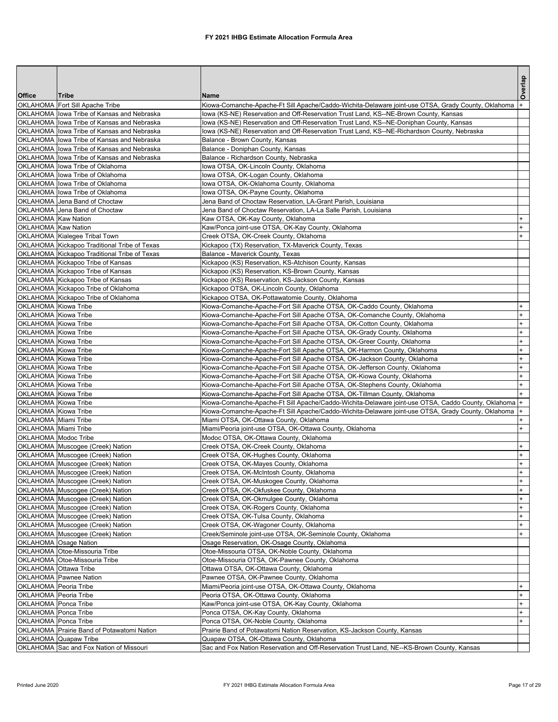|                                              |                                                                                          |                                                                                                                                                   | Overlap             |
|----------------------------------------------|------------------------------------------------------------------------------------------|---------------------------------------------------------------------------------------------------------------------------------------------------|---------------------|
| Office                                       | Tribe                                                                                    | <b>Name</b>                                                                                                                                       |                     |
|                                              | OKLAHOMA Fort Sill Apache Tribe                                                          | Kiowa-Comanche-Apache-Ft Sill Apache/Caddo-Wichita-Delaware joint-use OTSA, Grady County, Oklahoma                                                |                     |
|                                              | OKLAHOMA lowa Tribe of Kansas and Nebraska                                               | lowa (KS-NE) Reservation and Off-Reservation Trust Land, KS--NE-Brown County, Kansas                                                              |                     |
|                                              | OKLAHOMA I lowa Tribe of Kansas and Nebraska                                             | lowa (KS-NE) Reservation and Off-Reservation Trust Land, KS--NE-Doniphan County, Kansas                                                           |                     |
|                                              | OKLAHOMA lowa Tribe of Kansas and Nebraska                                               | lowa (KS-NE) Reservation and Off-Reservation Trust Land, KS--NE-Richardson County, Nebraska                                                       |                     |
|                                              | OKLAHOMA lowa Tribe of Kansas and Nebraska                                               | Balance - Brown County, Kansas                                                                                                                    |                     |
|                                              | OKLAHOMA lowa Tribe of Kansas and Nebraska<br>OKLAHOMA lowa Tribe of Kansas and Nebraska | Balance - Doniphan County, Kansas                                                                                                                 |                     |
|                                              | OKLAHOMA lowa Tribe of Oklahoma                                                          | Balance - Richardson County, Nebraska<br>lowa OTSA, OK-Lincoln County, Oklahoma                                                                   |                     |
|                                              | OKLAHOMA lowa Tribe of Oklahoma                                                          | lowa OTSA, OK-Logan County, Oklahoma                                                                                                              |                     |
|                                              | OKLAHOMA lowa Tribe of Oklahoma                                                          | lowa OTSA, OK-Oklahoma County, Oklahoma                                                                                                           |                     |
|                                              | OKLAHOMA lowa Tribe of Oklahoma                                                          | lowa OTSA, OK-Payne County, Oklahoma                                                                                                              |                     |
|                                              | OKLAHOMA Jena Band of Choctaw                                                            | Jena Band of Choctaw Reservation, LA-Grant Parish, Louisiana                                                                                      |                     |
|                                              | OKLAHOMA Jena Band of Choctaw                                                            | Jena Band of Choctaw Reservation, LA-La Salle Parish, Louisiana                                                                                   |                     |
| OKLAHOMA Kaw Nation                          |                                                                                          | Kaw OTSA, OK-Kay County, Oklahoma                                                                                                                 |                     |
| OKLAHOMA Kaw Nation                          |                                                                                          | Kaw/Ponca joint-use OTSA, OK-Kay County, Oklahoma                                                                                                 |                     |
|                                              | OKLAHOMA Kialegee Tribal Town                                                            | Creek OTSA, OK-Creek County, Oklahoma                                                                                                             | $^+$                |
|                                              | OKLAHOMA Kickapoo Traditional Tribe of Texas                                             | Kickapoo (TX) Reservation, TX-Maverick County, Texas                                                                                              |                     |
|                                              | OKLAHOMA Kickapoo Traditional Tribe of Texas                                             | Balance - Maverick County, Texas                                                                                                                  |                     |
|                                              | OKLAHOMA Kickapoo Tribe of Kansas                                                        | Kickapoo (KS) Reservation, KS-Atchison County, Kansas                                                                                             |                     |
|                                              | OKLAHOMA Kickapoo Tribe of Kansas                                                        | Kickapoo (KS) Reservation, KS-Brown County, Kansas                                                                                                |                     |
|                                              | OKLAHOMA Kickapoo Tribe of Kansas                                                        | Kickapoo (KS) Reservation, KS-Jackson County, Kansas                                                                                              |                     |
|                                              | OKLAHOMA Kickapoo Tribe of Oklahoma                                                      | Kickapoo OTSA, OK-Lincoln County, Oklahoma                                                                                                        |                     |
|                                              | OKLAHOMA Kickapoo Tribe of Oklahoma                                                      | Kickapoo OTSA, OK-Pottawatomie County, Oklahoma                                                                                                   |                     |
| OKLAHOMA Kiowa Tribe                         |                                                                                          | Kiowa-Comanche-Apache-Fort Sill Apache OTSA, OK-Caddo County, Oklahoma                                                                            |                     |
| OKLAHOMA Kiowa Tribe                         |                                                                                          | Kiowa-Comanche-Apache-Fort Sill Apache OTSA, OK-Comanche County, Oklahoma                                                                         | $\ddot{}$           |
| OKLAHOMA Kiowa Tribe                         |                                                                                          | Kiowa-Comanche-Apache-Fort Sill Apache OTSA, OK-Cotton County, Oklahoma                                                                           | $\ddot{}$<br>$^{+}$ |
| OKLAHOMA Kiowa Tribe                         |                                                                                          | Kiowa-Comanche-Apache-Fort Sill Apache OTSA, OK-Grady County, Oklahoma                                                                            | $\ddot{}$           |
| OKLAHOMA Kiowa Tribe<br>OKLAHOMA Kiowa Tribe |                                                                                          | Kiowa-Comanche-Apache-Fort Sill Apache OTSA, OK-Greer County, Oklahoma<br>Kiowa-Comanche-Apache-Fort Sill Apache OTSA, OK-Harmon County, Oklahoma | $\ddot{}$           |
| OKLAHOMA Kiowa Tribe                         |                                                                                          | Kiowa-Comanche-Apache-Fort Sill Apache OTSA, OK-Jackson County, Oklahoma                                                                          | $\ddot{}$           |
| OKLAHOMA Kiowa Tribe                         |                                                                                          | Kiowa-Comanche-Apache-Fort Sill Apache OTSA, OK-Jefferson County, Oklahoma                                                                        | $\ddot{}$           |
| OKLAHOMA Kiowa Tribe                         |                                                                                          | Kiowa-Comanche-Apache-Fort Sill Apache OTSA, OK-Kiowa County, Oklahoma                                                                            | $\ddot{}$           |
| OKLAHOMA Kiowa Tribe                         |                                                                                          | Kiowa-Comanche-Apache-Fort Sill Apache OTSA, OK-Stephens County, Oklahoma                                                                         | $\ddot{}$           |
| OKLAHOMA Kiowa Tribe                         |                                                                                          | Kiowa-Comanche-Apache-Fort Sill Apache OTSA, OK-Tillman County, Oklahoma                                                                          |                     |
| OKLAHOMA Kiowa Tribe                         |                                                                                          | Kiowa-Comanche-Apache-Ft Sill Apache/Caddo-Wichita-Delaware joint-use OTSA, Caddo County, Oklahoma  +                                             |                     |
| OKLAHOMA Kiowa Tribe                         |                                                                                          | Kiowa-Comanche-Apache-Ft Sill Apache/Caddo-Wichita-Delaware joint-use OTSA, Grady County, Oklahoma                                                | +                   |
| OKLAHOMA Miami Tribe                         |                                                                                          | Miami OTSA, OK-Ottawa County, Oklahoma                                                                                                            |                     |
| OKLAHOMA Miami Tribe                         |                                                                                          | Miami/Peoria joint-use OTSA, OK-Ottawa County, Oklahoma                                                                                           | $\ddot{}$           |
| OKLAHOMA Modoc Tribe                         |                                                                                          | Modoc OTSA, OK-Ottawa County, Oklahoma                                                                                                            |                     |
|                                              | OKLAHOMA Muscogee (Creek) Nation                                                         | Creek OTSA, OK-Creek County, Oklahoma                                                                                                             | $\ddot{}$           |
|                                              | OKLAHOMA Muscogee (Creek) Nation                                                         | Creek OTSA, OK-Hughes County, Oklahoma                                                                                                            | $\ddot{}$           |
|                                              | OKLAHOMA Muscogee (Creek) Nation                                                         | Creek OTSA, OK-Mayes County, Oklahoma                                                                                                             | $\ddot{}$           |
|                                              | OKLAHOMA Muscogee (Creek) Nation                                                         | Creek OTSA, OK-McIntosh County, Oklahoma                                                                                                          | $+$                 |
|                                              | OKLAHOMA Muscogee (Creek) Nation                                                         | Creek OTSA, OK-Muskogee County, Oklahoma                                                                                                          | $^{+}$              |
|                                              | OKLAHOMA Muscogee (Creek) Nation                                                         | Creek OTSA, OK-Okfuskee County, Oklahoma                                                                                                          | $\ddot{}$           |
|                                              | OKLAHOMA Muscogee (Creek) Nation                                                         | Creek OTSA, OK-Okmulgee County, Oklahoma                                                                                                          | $\ddot{}$           |
|                                              | OKLAHOMA Muscogee (Creek) Nation                                                         | Creek OTSA, OK-Rogers County, Oklahoma                                                                                                            | $+$                 |
|                                              | OKLAHOMA Muscogee (Creek) Nation                                                         | Creek OTSA, OK-Tulsa County, Oklahoma                                                                                                             | $\ddot{}$           |
|                                              | OKLAHOMA Muscogee (Creek) Nation                                                         | Creek OTSA, OK-Wagoner County, Oklahoma                                                                                                           | $\ddot{}$           |
|                                              | OKLAHOMA Muscogee (Creek) Nation                                                         | Creek/Seminole joint-use OTSA, OK-Seminole County, Oklahoma                                                                                       | $\ddot{}$           |
|                                              | OKLAHOMA Osage Nation<br>OKLAHOMA Otoe-Missouria Tribe                                   | Osage Reservation, OK-Osage County, Oklahoma<br>Otoe-Missouria OTSA, OK-Noble County, Oklahoma                                                    |                     |
|                                              | OKLAHOMA Otoe-Missouria Tribe                                                            | Otoe-Missouria OTSA, OK-Pawnee County, Oklahoma                                                                                                   |                     |
| OKLAHOMA Ottawa Tribe                        |                                                                                          | Ottawa OTSA, OK-Ottawa County, Oklahoma                                                                                                           |                     |
|                                              | OKLAHOMA Pawnee Nation                                                                   | Pawnee OTSA, OK-Pawnee County, Oklahoma                                                                                                           |                     |
| OKLAHOMA Peoria Tribe                        |                                                                                          | Miami/Peoria joint-use OTSA, OK-Ottawa County, Oklahoma                                                                                           | $\ddot{}$           |
| OKLAHOMA Peoria Tribe                        |                                                                                          | Peoria OTSA, OK-Ottawa County, Oklahoma                                                                                                           | $+$                 |
| OKLAHOMA Ponca Tribe                         |                                                                                          | Kaw/Ponca joint-use OTSA, OK-Kay County, Oklahoma                                                                                                 | $\ddot{}$           |
| OKLAHOMA Ponca Tribe                         |                                                                                          | Ponca OTSA, OK-Kay County, Oklahoma                                                                                                               | $\ddot{}$           |
| OKLAHOMA Ponca Tribe                         |                                                                                          | Ponca OTSA, OK-Noble County, Oklahoma                                                                                                             | $\ddot{}$           |
|                                              | OKLAHOMA Prairie Band of Potawatomi Nation                                               | Prairie Band of Potawatomi Nation Reservation, KS-Jackson County, Kansas                                                                          |                     |
|                                              | OKLAHOMA Quapaw Tribe                                                                    | Quapaw OTSA, OK-Ottawa County, Oklahoma                                                                                                           |                     |
|                                              | OKLAHOMA Sac and Fox Nation of Missouri                                                  | Sac and Fox Nation Reservation and Off-Reservation Trust Land, NE--KS-Brown County, Kansas                                                        |                     |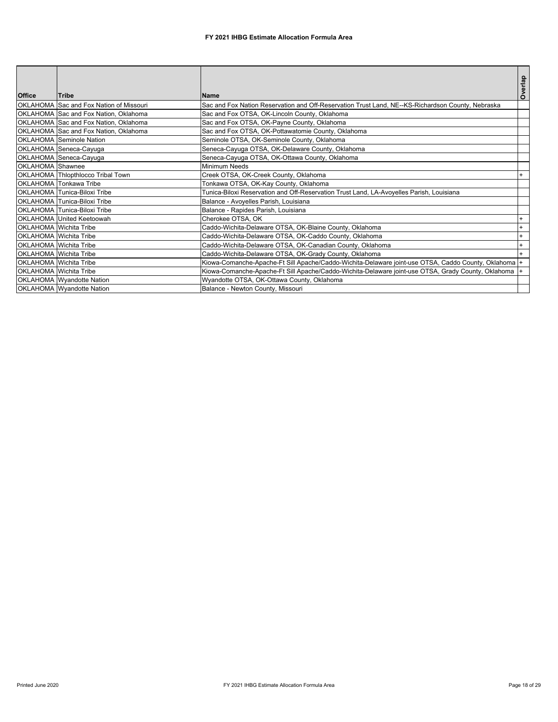| <b>Office</b>    | <b>Tribe</b>                            | <b>Name</b>                                                                                           | Overlap |
|------------------|-----------------------------------------|-------------------------------------------------------------------------------------------------------|---------|
|                  | OKLAHOMA Sac and Fox Nation of Missouri | Sac and Fox Nation Reservation and Off-Reservation Trust Land, NE--KS-Richardson County, Nebraska     |         |
|                  | OKLAHOMA Sac and Fox Nation, Oklahoma   | Sac and Fox OTSA, OK-Lincoln County, Oklahoma                                                         |         |
|                  | OKLAHOMA Sac and Fox Nation, Oklahoma   | Sac and Fox OTSA, OK-Payne County, Oklahoma                                                           |         |
|                  | OKLAHOMA Sac and Fox Nation, Oklahoma   | Sac and Fox OTSA, OK-Pottawatomie County, Oklahoma                                                    |         |
|                  | <b>OKLAHOMA</b> Seminole Nation         | Seminole OTSA, OK-Seminole County, Oklahoma                                                           |         |
|                  | OKLAHOMA Seneca-Cayuga                  | Seneca-Cayuga OTSA, OK-Delaware County, Oklahoma                                                      |         |
|                  | OKLAHOMA Seneca-Cayuga                  | Seneca-Cayuga OTSA, OK-Ottawa County, Oklahoma                                                        |         |
| OKLAHOMA Shawnee |                                         | <b>Minimum Needs</b>                                                                                  |         |
|                  | OKLAHOMA Thlopthlocco Tribal Town       | Creek OTSA, OK-Creek County, Oklahoma                                                                 |         |
|                  | <b>OKLAHOMA</b> Tonkawa Tribe           | Tonkawa OTSA, OK-Kay County, Oklahoma                                                                 |         |
|                  | OKLAHOMA Tunica-Biloxi Tribe            | Tunica-Biloxi Reservation and Off-Reservation Trust Land, LA-Avoyelles Parish, Louisiana              |         |
|                  | OKLAHOMA Tunica-Biloxi Tribe            | Balance - Avoyelles Parish, Louisiana                                                                 |         |
|                  | OKLAHOMA Tunica-Biloxi Tribe            | Balance - Rapides Parish, Louisiana                                                                   |         |
|                  | OKLAHOMA United Keetoowah               | Cherokee OTSA, OK                                                                                     |         |
|                  | OKLAHOMA Wichita Tribe                  | Caddo-Wichita-Delaware OTSA, OK-Blaine County, Oklahoma                                               |         |
|                  | <b>OKLAHOMA</b> Wichita Tribe           | Caddo-Wichita-Delaware OTSA, OK-Caddo County, Oklahoma                                                |         |
|                  | <b>OKLAHOMA</b> Wichita Tribe           | Caddo-Wichita-Delaware OTSA, OK-Canadian County, Oklahoma                                             |         |
|                  | OKLAHOMA Wichita Tribe                  | Caddo-Wichita-Delaware OTSA, OK-Grady County, Oklahoma                                                |         |
|                  | OKLAHOMA Wichita Tribe                  | Kiowa-Comanche-Apache-Ft Sill Apache/Caddo-Wichita-Delaware joint-use OTSA, Caddo County, Oklahoma  + |         |
|                  | OKLAHOMA Wichita Tribe                  | Kiowa-Comanche-Apache-Ft Sill Apache/Caddo-Wichita-Delaware joint-use OTSA, Grady County, Oklahoma    |         |
|                  | OKLAHOMA Wyandotte Nation               | Wyandotte OTSA, OK-Ottawa County, Oklahoma                                                            |         |
|                  | OKLAHOMA Wyandotte Nation               | Balance - Newton County, Missouri                                                                     |         |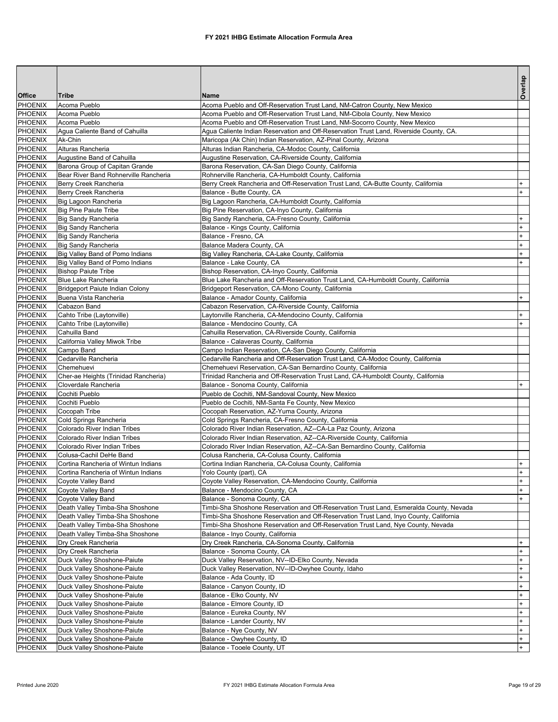|                           |                                                                            |                                                                                                              | Overlap          |
|---------------------------|----------------------------------------------------------------------------|--------------------------------------------------------------------------------------------------------------|------------------|
| <b>Office</b>             | Tribe                                                                      | Name                                                                                                         |                  |
| <b>PHOENIX</b>            | Acoma Pueblo                                                               | Acoma Pueblo and Off-Reservation Trust Land, NM-Catron County, New Mexico                                    |                  |
| <b>PHOENIX</b>            | Acoma Pueblo                                                               | Acoma Pueblo and Off-Reservation Trust Land, NM-Cibola County, New Mexico                                    |                  |
| <b>PHOENIX</b>            | Acoma Pueblo                                                               | Acoma Pueblo and Off-Reservation Trust Land, NM-Socorro County, New Mexico                                   |                  |
| <b>PHOENIX</b>            | Aqua Caliente Band of Cahuilla                                             | Agua Caliente Indian Reservation and Off-Reservation Trust Land, Riverside County, CA.                       |                  |
| PHOENIX                   | Ak-Chin                                                                    | Maricopa (Ak Chin) Indian Reservation, AZ-Pinal County, Arizona                                              |                  |
| <b>PHOENIX</b>            | Alturas Rancheria                                                          | Alturas Indian Rancheria, CA-Modoc County, California                                                        |                  |
| PHOENIX<br><b>PHOENIX</b> | Augustine Band of Cahuilla<br>Barona Group of Capitan Grande               | Augustine Reservation, CA-Riverside County, California                                                       |                  |
| <b>PHOENIX</b>            | Bear River Band Rohnerville Rancheria                                      | Barona Reservation, CA-San Diego County, California<br>Rohnerville Rancheria, CA-Humboldt County, California |                  |
| PHOENIX                   | Berry Creek Rancheria                                                      | Berry Creek Rancheria and Off-Reservation Trust Land, CA-Butte County, California                            | $\ddot{}$        |
| <b>PHOENIX</b>            | Berry Creek Rancheria                                                      | Balance - Butte County, CA                                                                                   | $+$              |
| PHOENIX                   | Big Lagoon Rancheria                                                       | Big Lagoon Rancheria, CA-Humboldt County, California                                                         |                  |
| <b>PHOENIX</b>            | Big Pine Paiute Tribe                                                      | Big Pine Reservation, CA-Inyo County, California                                                             |                  |
| <b>PHOENIX</b>            | <b>Big Sandy Rancheria</b>                                                 | Big Sandy Rancheria, CA-Fresno County, California                                                            | $\ddot{}$        |
| PHOENIX                   | Big Sandy Rancheria                                                        | Balance - Kings County, California                                                                           | $^{+}$           |
| <b>PHOENIX</b>            | <b>Big Sandy Rancheria</b>                                                 | Balance - Fresno, CA                                                                                         | $+$              |
| PHOENIX                   | <b>Big Sandy Rancheria</b>                                                 | Balance Madera County, CA                                                                                    | $+$              |
| <b>PHOENIX</b>            | Big Valley Band of Pomo Indians                                            | Big Valley Rancheria, CA-Lake County, California                                                             | $\ddot{}$        |
| <b>PHOENIX</b>            | Big Valley Band of Pomo Indians                                            | Balance - Lake County, CA                                                                                    | $^{+}$           |
| PHOENIX                   | <b>Bishop Paiute Tribe</b>                                                 | Bishop Reservation, CA-Inyo County, California                                                               |                  |
| <b>PHOENIX</b>            | Blue Lake Rancheria                                                        | Blue Lake Rancheria and Off-Reservation Trust Land, CA-Humboldt County, California                           |                  |
| PHOENIX                   | Bridgeport Paiute Indian Colony                                            | Bridgeport Reservation, CA-Mono County, California                                                           |                  |
| <b>PHOENIX</b>            | Buena Vista Rancheria                                                      | Balance - Amador County, California                                                                          | $\ddot{}$        |
| <b>PHOENIX</b>            | Cabazon Band                                                               | Cabazon Reservation, CA-Riverside County, California                                                         |                  |
| <b>PHOENIX</b>            | Cahto Tribe (Laytonville)                                                  | Laytonville Rancheria, CA-Mendocino County, California<br>Balance - Mendocino County, CA                     | $+$              |
| <b>PHOENIX</b><br>PHOENIX | Cahto Tribe (Laytonville)<br>Cahuilla Band                                 | Cahuilla Reservation, CA-Riverside County, California                                                        | $+$              |
| <b>PHOENIX</b>            | California Valley Miwok Tribe                                              | Balance - Calaveras County, California                                                                       |                  |
| PHOENIX                   | Campo Band                                                                 | Campo Indian Reservation, CA-San Diego County, California                                                    |                  |
| PHOENIX                   | Cedarville Rancheria                                                       | Cedarville Rancheria and Off-Reservation Trust Land, CA-Modoc County, California                             |                  |
| <b>PHOENIX</b>            | Chemehuevi                                                                 | Chemehuevi Reservation, CA-San Bernardino County, California                                                 |                  |
| PHOENIX                   | Cher-ae Heights (Trinidad Rancheria)                                       | Trinidad Rancheria and Off-Reservation Trust Land, CA-Humboldt County, California                            |                  |
| <b>PHOENIX</b>            | Cloverdale Rancheria                                                       | Balance - Sonoma County, California                                                                          | $\ddot{}$        |
| PHOENIX                   | Cochiti Pueblo                                                             | Pueblo de Cochiti, NM-Sandoval County, New Mexico                                                            |                  |
| PHOENIX                   | Cochiti Pueblo                                                             | Pueblo de Cochiti, NM-Santa Fe County, New Mexico                                                            |                  |
| PHOENIX                   | Cocopah Tribe                                                              | Cocopah Reservation, AZ-Yuma County, Arizona                                                                 |                  |
| PHOENIX                   | Cold Springs Rancheria                                                     | Cold Springs Rancheria, CA-Fresno County, California                                                         |                  |
| <b>PHOENIX</b>            | Colorado River Indian Tribes                                               | Colorado River Indian Reservation, AZ--CA-La Paz County, Arizona                                             |                  |
| <b>PHOENIX</b>            | Colorado River Indian Tribes                                               | Colorado River Indian Reservation, AZ--CA-Riverside County, California                                       |                  |
| PHOENIX                   | Colorado River Indian Tribes                                               | Colorado River Indian Reservation, AZ--CA-San Bernardino County, California                                  |                  |
| PHOENIX                   | Colusa-Cachil DeHe Band                                                    | Colusa Rancheria, CA-Colusa County, California                                                               |                  |
| PHOENIX<br>PHOENIX        | Cortina Rancheria of Wintun Indians<br>Cortina Rancheria of Wintun Indians | Cortina Indian Rancheria, CA-Colusa County, California<br>Yolo County (part), CA                             | $+$<br>$\ddot{}$ |
| PHOENIX                   | Coyote Valley Band                                                         | Coyote Valley Reservation, CA-Mendocino County, California                                                   | $\ddot{}$        |
| PHOENIX                   | Coyote Valley Band                                                         | Balance - Mendocino County, CA                                                                               | $+$              |
| <b>PHOENIX</b>            | Coyote Valley Band                                                         | Balance - Sonoma County, CA                                                                                  | $+$              |
| PHOENIX                   | Death Valley Timba-Sha Shoshone                                            | Timbi-Sha Shoshone Reservation and Off-Reservation Trust Land, Esmeralda County, Nevada                      |                  |
| PHOENIX                   | Death Valley Timba-Sha Shoshone                                            | Timbi-Sha Shoshone Reservation and Off-Reservation Trust Land, Inyo County, California                       |                  |
| PHOENIX                   | Death Valley Timba-Sha Shoshone                                            | Timbi-Sha Shoshone Reservation and Off-Reservation Trust Land, Nye County, Nevada                            |                  |
| PHOENIX                   | Death Valley Timba-Sha Shoshone                                            | Balance - Inyo County, California                                                                            |                  |
| <b>PHOENIX</b>            | Dry Creek Rancheria                                                        | Dry Creek Rancheria, CA-Sonoma County, California                                                            | $\ddot{}$        |
| PHOENIX                   | Dry Creek Rancheria                                                        | Balance - Sonoma County, CA                                                                                  | $+$              |
| PHOENIX                   | Duck Valley Shoshone-Paiute                                                | Duck Valley Reservation, NV--ID-Elko County, Nevada                                                          | $\ddot{}$        |
| PHOENIX                   | Duck Valley Shoshone-Paiute                                                | Duck Valley Reservation, NV--ID-Owyhee County, Idaho                                                         | $\ddot{}$        |
| PHOENIX                   | Duck Valley Shoshone-Paiute                                                | Balance - Ada County, ID                                                                                     | $\ddot{}$        |
| <b>PHOENIX</b>            | Duck Valley Shoshone-Paiute                                                | Balance - Canyon County, ID                                                                                  | $\ddot{}$        |
| PHOENIX                   | Duck Valley Shoshone-Paiute                                                | Balance - Elko County, NV                                                                                    | $+$              |
| PHOENIX                   | Duck Valley Shoshone-Paiute                                                | Balance - Elmore County, ID                                                                                  | $\ddot{}$        |
| PHOENIX                   | Duck Valley Shoshone-Paiute                                                | Balance - Eureka County, NV                                                                                  | $\ddot{}$        |
| PHOENIX<br><b>PHOENIX</b> | Duck Valley Shoshone-Paiute<br>Duck Valley Shoshone-Paiute                 | Balance - Lander County, NV<br>Balance - Nye County, NV                                                      | $\ddot{}$<br>$+$ |
| PHOENIX                   | Duck Valley Shoshone-Paiute                                                | Balance - Owyhee County, ID                                                                                  | $+$              |
| PHOENIX                   | Duck Valley Shoshone-Paiute                                                | Balance - Tooele County, UT                                                                                  | $+$              |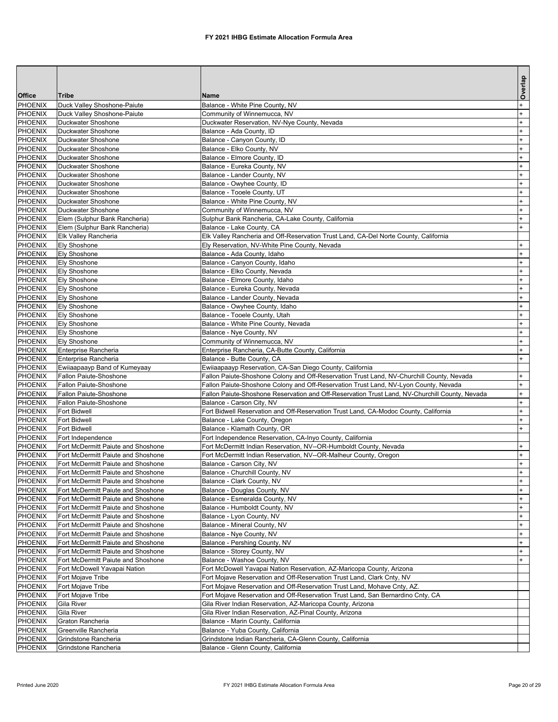|                                  |                                                                          |                                                                                                                   | Overlap                |
|----------------------------------|--------------------------------------------------------------------------|-------------------------------------------------------------------------------------------------------------------|------------------------|
| Office                           | Tribe                                                                    | <b>Name</b>                                                                                                       |                        |
| PHOENIX                          | Duck Valley Shoshone-Paiute                                              | Balance - White Pine County, NV                                                                                   | $^{+}$                 |
| <b>PHOENIX</b>                   | Duck Valley Shoshone-Paiute                                              | Community of Winnemucca, NV                                                                                       | $\ddot{}$              |
| <b>PHOENIX</b>                   | Duckwater Shoshone                                                       | Duckwater Reservation, NV-Nye County, Nevada                                                                      | $\ddot{}$              |
| PHOENIX                          | Duckwater Shoshone                                                       | Balance - Ada County, ID                                                                                          | $\ddot{}$              |
| <b>PHOENIX</b><br><b>PHOENIX</b> | Duckwater Shoshone<br>Duckwater Shoshone                                 | Balance - Canyon County, ID<br>Balance - Elko County, NV                                                          | $\ddot{}$<br>$\ddot{}$ |
| PHOENIX                          | Duckwater Shoshone                                                       | Balance - Elmore County, ID                                                                                       | $\ddot{}$              |
| <b>PHOENIX</b>                   | Duckwater Shoshone                                                       | Balance - Eureka County, NV                                                                                       | $\ddot{}$              |
| PHOENIX                          | Duckwater Shoshone                                                       | Balance - Lander County, NV                                                                                       | $\ddot{}$              |
| PHOENIX                          | Duckwater Shoshone                                                       | Balance - Owyhee County, ID                                                                                       | $\ddot{}$              |
| <b>PHOENIX</b>                   | Duckwater Shoshone                                                       | Balance - Tooele County, UT                                                                                       | $\ddot{}$              |
| PHOENIX                          | Duckwater Shoshone                                                       | Balance - White Pine County, NV                                                                                   | $\ddot{}$              |
| <b>PHOENIX</b>                   | Duckwater Shoshone                                                       | Community of Winnemucca, NV                                                                                       | $\ddot{}$              |
| PHOENIX                          | Elem (Sulphur Bank Rancheria)                                            | Sulphur Bank Rancheria, CA-Lake County, California                                                                | $^{+}$                 |
| <b>PHOENIX</b>                   | Elem (Sulphur Bank Rancheria)                                            | Balance - Lake County, CA                                                                                         | $+$                    |
| <b>PHOENIX</b>                   | Elk Valley Rancheria                                                     | Elk Valley Rancheria and Off-Reservation Trust Land, CA-Del Norte County, California                              |                        |
| PHOENIX                          | <b>Ely Shoshone</b>                                                      | Ely Reservation, NV-White Pine County, Nevada                                                                     | $\ddot{}$              |
| <b>PHOENIX</b>                   | <b>Ely Shoshone</b>                                                      | Balance - Ada County, Idaho                                                                                       | $\ddot{}$              |
| PHOENIX                          | Ely Shoshone                                                             | Balance - Canyon County, Idaho                                                                                    | $\ddot{}$              |
| <b>PHOENIX</b>                   | Ely Shoshone<br>Ely Shoshone                                             | Balance - Elko County, Nevada                                                                                     | $\ddot{}$<br>$\ddot{}$ |
| <b>PHOENIX</b><br>PHOENIX        | <b>Ely Shoshone</b>                                                      | Balance - Elmore County, Idaho<br>Balance - Eureka County, Nevada                                                 | $\ddot{}$              |
| PHOENIX                          | <b>Ely Shoshone</b>                                                      | Balance - Lander County, Nevada                                                                                   | $\ddot{}$              |
| PHOENIX                          | Ely Shoshone                                                             | Balance - Owyhee County, Idaho                                                                                    | $\ddot{}$              |
| <b>PHOENIX</b>                   | Ely Shoshone                                                             | Balance - Tooele County, Utah                                                                                     | $\ddot{}$              |
| <b>PHOENIX</b>                   | <b>Ely Shoshone</b>                                                      | Balance - White Pine County, Nevada                                                                               | $\ddot{}$              |
| PHOENIX                          | <b>Ely Shoshone</b>                                                      | Balance - Nye County, NV                                                                                          | $\ddot{}$              |
| PHOENIX                          | Ely Shoshone                                                             | Community of Winnemucca, NV                                                                                       | $\ddot{}$              |
| <b>PHOENIX</b>                   | Enterprise Rancheria                                                     | Enterprise Rancheria, CA-Butte County, California                                                                 | $^{+}$                 |
| <b>PHOENIX</b>                   | Enterprise Rancheria                                                     | Balance - Butte County, CA                                                                                        | $+$                    |
| <b>PHOENIX</b>                   | Ewiiaapaayp Band of Kumeyaay                                             | Ewiiaapaayp Reservation, CA-San Diego County, California                                                          |                        |
| PHOENIX                          | Fallon Paiute-Shoshone                                                   | Fallon Paiute-Shoshone Colony and Off-Reservation Trust Land, NV-Churchill County, Nevada                         | $\ddot{}$              |
| PHOENIX                          | Fallon Paiute-Shoshone                                                   | Fallon Paiute-Shoshone Colony and Off-Reservation Trust Land, NV-Lyon County, Nevada                              | $\ddot{}$              |
| PHOENIX                          | Fallon Paiute-Shoshone                                                   | Fallon Paiute-Shoshone Reservation and Off-Reservation Trust Land, NV-Churchill County, Nevada                    | $^{+}$                 |
| PHOENIX<br><b>PHOENIX</b>        | Fallon Paiute-Shoshone<br>Fort Bidwell                                   | Balance - Carson City, NV<br>Fort Bidwell Reservation and Off-Reservation Trust Land, CA-Modoc County, California | $\ddot{}$<br>$\ddot{}$ |
| PHOENIX                          | <b>Fort Bidwell</b>                                                      | Balance - Lake County, Oregon                                                                                     | $\ddot{}$              |
| PHOENIX                          | Fort Bidwell                                                             | Balance - Klamath County, OR                                                                                      | $\ddot{}$              |
| PHOENIX                          | Fort Independence                                                        | Fort Independence Reservation, CA-Inyo County, California                                                         |                        |
| PHOENIX                          | Fort McDermitt Paiute and Shoshone                                       | Fort McDermitt Indian Reservation, NV--OR-Humboldt County, Nevada                                                 | $\ddot{}$              |
| <b>PHOENIX</b>                   | Fort McDermitt Paiute and Shoshone                                       | Fort McDermitt Indian Reservation, NV--OR-Malheur County, Oregon                                                  | $\ddot{}$              |
| <b>PHOENIX</b>                   | Fort McDermitt Paiute and Shoshone                                       | Balance - Carson City, NV                                                                                         | $\ddot{}$              |
| PHOENIX                          | Fort McDermitt Paiute and Shoshone                                       | Balance - Churchill County, NV                                                                                    | $\ddot{}$              |
| PHOENIX                          | Fort McDermitt Paiute and Shoshone                                       | Balance - Clark County, NV                                                                                        | $+$                    |
| PHOENIX                          | Fort McDermitt Paiute and Shoshone                                       | Balance - Douglas County, NV                                                                                      | $+$                    |
| PHOENIX                          | Fort McDermitt Paiute and Shoshone                                       | Balance - Esmeralda County, NV                                                                                    | $\ddot{}$              |
| PHOENIX                          | Fort McDermitt Paiute and Shoshone                                       | Balance - Humboldt County, NV                                                                                     | $\ddot{}$              |
| PHOENIX                          | Fort McDermitt Paiute and Shoshone                                       | Balance - Lyon County, NV                                                                                         | $\ddot{}$              |
| PHOENIX                          | Fort McDermitt Paiute and Shoshone<br>Fort McDermitt Paiute and Shoshone | Balance - Mineral County, NV                                                                                      | $\ddot{}$              |
| PHOENIX<br>PHOENIX               | Fort McDermitt Paiute and Shoshone                                       | Balance - Nye County, NV<br>Balance - Pershing County, NV                                                         | $\ddot{}$<br>$\ddot{}$ |
| PHOENIX                          | Fort McDermitt Paiute and Shoshone                                       | Balance - Storey County, NV                                                                                       | $\ddot{}$              |
| PHOENIX                          | Fort McDermitt Paiute and Shoshone                                       | Balance - Washoe County, NV                                                                                       | $\ddot{}$              |
| PHOENIX                          | Fort McDowell Yavapai Nation                                             | Fort McDowell Yavapai Nation Reservation, AZ-Maricopa County, Arizona                                             |                        |
| PHOENIX                          | Fort Mojave Tribe                                                        | Fort Mojave Reservation and Off-Reservation Trust Land, Clark Cnty, NV                                            |                        |
| PHOENIX                          | Fort Mojave Tribe                                                        | Fort Mojave Reservation and Off-Reservation Trust Land, Mohave Cnty, AZ.                                          |                        |
| PHOENIX                          | Fort Mojave Tribe                                                        | Fort Mojave Reservation and Off-Reservation Trust Land, San Bernardino Cnty, CA                                   |                        |
| PHOENIX                          | Gila River                                                               | Gila River Indian Reservation, AZ-Maricopa County, Arizona                                                        |                        |
| PHOENIX                          | Gila River                                                               | Gila River Indian Reservation, AZ-Pinal County, Arizona                                                           |                        |
| PHOENIX                          | Graton Rancheria                                                         | Balance - Marin County, California                                                                                |                        |
| <b>PHOENIX</b>                   | Greenville Rancheria                                                     | Balance - Yuba County, California                                                                                 |                        |
| PHOENIX                          | Grindstone Rancheria                                                     | Grindstone Indian Rancheria, CA-Glenn County, California                                                          |                        |
| <b>PHOENIX</b>                   | Grindstone Rancheria                                                     | Balance - Glenn County, California                                                                                |                        |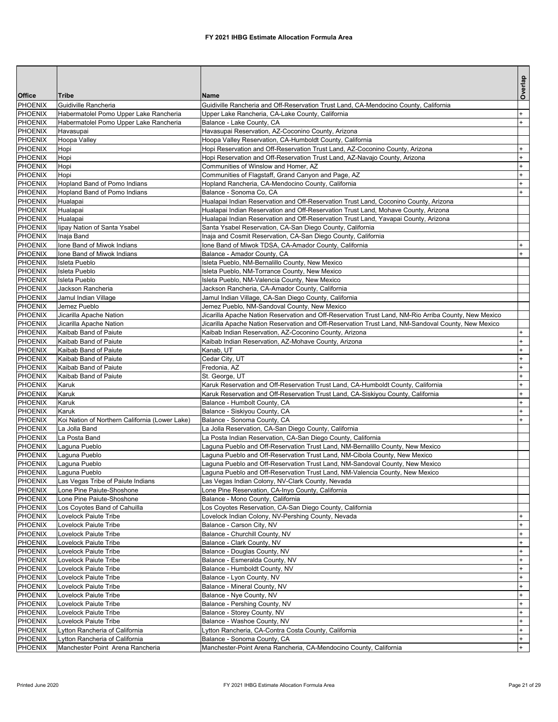|                           |                                                |                                                                                                                                                            | Overlap    |
|---------------------------|------------------------------------------------|------------------------------------------------------------------------------------------------------------------------------------------------------------|------------|
| Office                    | <b>Tribe</b>                                   | <b>Name</b>                                                                                                                                                |            |
| PHOENIX                   | Guidiville Rancheria                           | Guidiville Rancheria and Off-Reservation Trust Land, CA-Mendocino County, California                                                                       |            |
| <b>PHOENIX</b>            | Habermatolel Pomo Upper Lake Rancheria         | Upper Lake Rancheria, CA-Lake County, California                                                                                                           | $+$<br>$+$ |
| <b>PHOENIX</b><br>PHOENIX | Habermatolel Pomo Upper Lake Rancheria         | Balance - Lake County, CA<br>Havasupai Reservation, AZ-Coconino County, Arizona                                                                            |            |
|                           | Havasupai                                      |                                                                                                                                                            |            |
| PHOENIX<br>PHOENIX        | <b>Hoopa Valley</b><br>Hopi                    | Hoopa Valley Reservation, CA-Humboldt County, California                                                                                                   | $+$        |
| <b>PHOENIX</b>            | Hopi                                           | Hopi Reservation and Off-Reservation Trust Land, AZ-Coconino County, Arizona<br>Hopi Reservation and Off-Reservation Trust Land, AZ-Navajo County, Arizona | $+$        |
| <b>PHOENIX</b>            | Hopi                                           | Communities of Winslow and Homer, AZ                                                                                                                       | $\ddot{}$  |
| PHOENIX                   | Hopi                                           | Communities of Flagstaff, Grand Canyon and Page, AZ                                                                                                        | $\ddot{}$  |
| <b>PHOENIX</b>            | Hopland Band of Pomo Indians                   | Hopland Rancheria, CA-Mendocino County, California                                                                                                         | $+$        |
| PHOENIX                   | Hopland Band of Pomo Indians                   | Balance - Sonoma Co. CA                                                                                                                                    | $+$        |
| <b>PHOENIX</b>            | Hualapai                                       | Hualapai Indian Reservation and Off-Reservation Trust Land, Coconino County, Arizona                                                                       |            |
| <b>PHOENIX</b>            | Hualapai                                       | Hualapai Indian Reservation and Off-Reservation Trust Land, Mohave County, Arizona                                                                         |            |
| PHOENIX                   | Hualapai                                       | Hualapai Indian Reservation and Off-Reservation Trust Land, Yavapai County, Arizona                                                                        |            |
| PHOENIX                   | lipay Nation of Santa Ysabel                   | Santa Ysabel Reservation, CA-San Diego County, California                                                                                                  |            |
| PHOENIX                   | Inaja Band                                     | Inaja and Cosmit Reservation, CA-San Diego County, California                                                                                              |            |
| <b>PHOENIX</b>            | Ione Band of Miwok Indians                     | Ione Band of Miwok TDSA, CA-Amador County, California                                                                                                      |            |
| <b>PHOENIX</b>            | Ione Band of Miwok Indians                     | Balance - Amador County, CA                                                                                                                                | $+$        |
| PHOENIX                   | <b>Isleta Pueblo</b>                           | Isleta Pueblo, NM-Bernalillo County, New Mexico                                                                                                            |            |
| PHOENIX                   | <b>Isleta Pueblo</b>                           | Isleta Pueblo, NM-Torrance County, New Mexico                                                                                                              |            |
| PHOENIX                   | Isleta Pueblo                                  | Isleta Pueblo, NM-Valencia County, New Mexico                                                                                                              |            |
| PHOENIX                   | Jackson Rancheria                              | Jackson Rancheria, CA-Amador County, California                                                                                                            |            |
| PHOENIX                   | Jamul Indian Village                           | Jamul Indian Village, CA-San Diego County, California                                                                                                      |            |
| PHOENIX                   | Jemez Pueblo                                   | Jemez Pueblo, NM-Sandoval County, New Mexico                                                                                                               |            |
| PHOENIX                   | Jicarilla Apache Nation                        | Jicarilla Apache Nation Reservation and Off-Reservation Trust Land, NM-Rio Arriba County, New Mexico                                                       |            |
| <b>PHOENIX</b>            | Jicarilla Apache Nation                        | Jicarilla Apache Nation Reservation and Off-Reservation Trust Land, NM-Sandoval County, New Mexico                                                         |            |
| <b>PHOENIX</b>            | Kaibab Band of Paiute                          | Kaibab Indian Reservation, AZ-Coconino County, Arizona                                                                                                     | $+$        |
| <b>PHOENIX</b>            | Kaibab Band of Paiute                          | Kaibab Indian Reservation, AZ-Mohave County, Arizona                                                                                                       | $\ddot{}$  |
| PHOENIX                   | Kaibab Band of Paiute                          | Kanab, UT                                                                                                                                                  | $\ddot{}$  |
| PHOENIX                   | Kaibab Band of Paiute                          | Cedar City, UT                                                                                                                                             | $\ddot{}$  |
| <b>PHOENIX</b>            | Kaibab Band of Paiute                          | Fredonia, AZ                                                                                                                                               | $\ddot{}$  |
| PHOENIX                   | Kaibab Band of Paiute                          | St. George, UT                                                                                                                                             | $+$        |
| <b>PHOENIX</b>            | Karuk                                          | Karuk Reservation and Off-Reservation Trust Land, CA-Humboldt County, California                                                                           | $\ddot{}$  |
| PHOENIX                   | Karuk                                          | Karuk Reservation and Off-Reservation Trust Land, CA-Siskiyou County, California                                                                           | $\ddot{}$  |
| PHOENIX                   | Karuk                                          | Balance - Humbolt County, CA                                                                                                                               | $\ddot{}$  |
| <b>PHOENIX</b>            | Karuk                                          | Balance - Siskiyou County, CA                                                                                                                              | $+$        |
| <b>PHOENIX</b>            | Koi Nation of Northern California (Lower Lake) | Balance - Sonoma County, CA                                                                                                                                |            |
| <b>PHOENIX</b>            | La Jolla Band                                  | La Jolla Reservation, CA-San Diego County, California                                                                                                      |            |
| PHOENIX                   | La Posta Band                                  | La Posta Indian Reservation, CA-San Diego County, California                                                                                               |            |
| PHOENIX                   | Laquna Pueblo                                  | Laguna Pueblo and Off-Reservation Trust Land, NM-Bernalillo County, New Mexico                                                                             |            |
| <b>PHOENIX</b>            | Laguna Pueblo                                  | Laguna Pueblo and Off-Reservation Trust Land, NM-Cibola County, New Mexico                                                                                 |            |
| PHOENIX                   | Laguna Pueblo                                  | Laguna Pueblo and Off-Reservation Trust Land, NM-Sandoval County, New Mexico                                                                               |            |
| PHOENIX                   | Laguna Pueblo                                  | Laguna Pueblo and Off-Reservation Trust Land, NM-Valencia County, New Mexico                                                                               |            |
| PHOENIX                   | Las Vegas Tribe of Paiute Indians              | Las Vegas Indian Colony, NV-Clark County, Nevada                                                                                                           |            |
| PHOENIX                   | Lone Pine Paiute-Shoshone                      | Lone Pine Reservation, CA-Inyo County, California                                                                                                          |            |
| PHOENIX                   | Lone Pine Paiute-Shoshone                      | Balance - Mono County, California                                                                                                                          |            |
| PHOENIX                   | Los Coyotes Band of Cahuilla                   | Los Coyotes Reservation, CA-San Diego County, California                                                                                                   |            |
| <b>PHOENIX</b>            | Lovelock Paiute Tribe                          | Lovelock Indian Colony, NV-Pershing County, Nevada                                                                                                         | $+$        |
| PHOENIX                   | Lovelock Paiute Tribe                          | Balance - Carson City, NV                                                                                                                                  | $\pmb{+}$  |
| PHOENIX                   | Lovelock Paiute Tribe                          | Balance - Churchill County, NV                                                                                                                             | $\ddot{}$  |
| PHOENIX                   | Lovelock Paiute Tribe                          | Balance - Clark County, NV                                                                                                                                 | $\ddot{}$  |
| PHOENIX                   | Lovelock Paiute Tribe                          | Balance - Douglas County, NV                                                                                                                               | $+$        |
| <b>PHOENIX</b>            | Lovelock Paiute Tribe                          | Balance - Esmeralda County, NV                                                                                                                             | $\ddot{}$  |
| PHOENIX                   | Lovelock Paiute Tribe                          | Balance - Humboldt County, NV                                                                                                                              | $\ddot{}$  |
| PHOENIX                   | Lovelock Paiute Tribe                          | Balance - Lyon County, NV                                                                                                                                  | $\ddot{}$  |
| PHOENIX                   | Lovelock Paiute Tribe                          | Balance - Mineral County, NV                                                                                                                               | $\ddot{}$  |
| <b>PHOENIX</b>            | Lovelock Paiute Tribe                          | Balance - Nye County, NV                                                                                                                                   | $+$        |
| <b>PHOENIX</b>            | Lovelock Paiute Tribe                          | Balance - Pershing County, NV                                                                                                                              | $\ddot{}$  |
| PHOENIX                   | Lovelock Paiute Tribe                          | Balance - Storey County, NV                                                                                                                                | $\ddot{}$  |
| PHOENIX                   | Lovelock Paiute Tribe                          | Balance - Washoe County, NV                                                                                                                                | $\ddot{}$  |
| PHOENIX                   | Lytton Rancheria of California                 | Lytton Rancheria, CA-Contra Costa County, California                                                                                                       | $+$        |
| PHOENIX                   | Lytton Rancheria of California                 | Balance - Sonoma County, CA                                                                                                                                | $+$        |
| <b>PHOENIX</b>            | Manchester Point Arena Rancheria               | Manchester-Point Arena Rancheria, CA-Mendocino County, California                                                                                          | $+$        |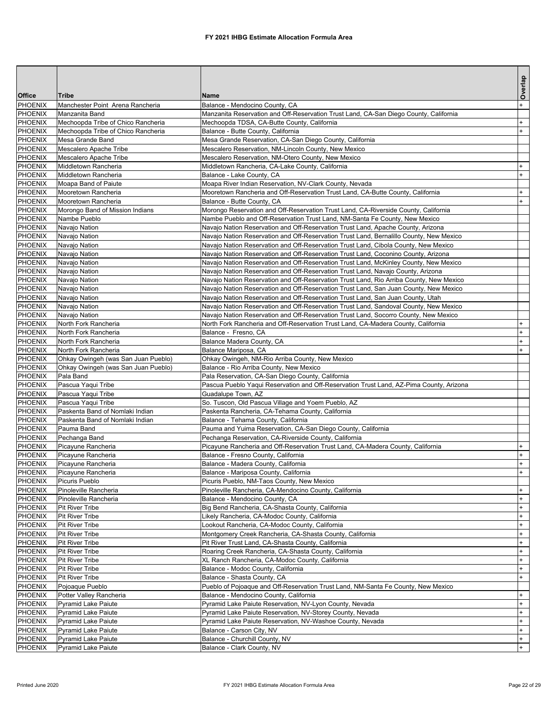|                                  |                                                  |                                                                                                          | Overlap              |
|----------------------------------|--------------------------------------------------|----------------------------------------------------------------------------------------------------------|----------------------|
| Office                           | lTribe                                           | Name                                                                                                     |                      |
| <b>PHOENIX</b>                   | Manchester Point Arena Rancheria                 | Balance - Mendocino County, CA                                                                           | $\ddot{\phantom{1}}$ |
| <b>PHOENIX</b>                   | Manzanita Band                                   | Manzanita Reservation and Off-Reservation Trust Land, CA-San Diego County, California                    |                      |
| PHOENIX                          | Mechoopda Tribe of Chico Rancheria               | Mechoopda TDSA, CA-Butte County, California                                                              | $\ddot{}$            |
| <b>PHOENIX</b>                   | Mechoopda Tribe of Chico Rancheria               | Balance - Butte County, California                                                                       |                      |
| PHOENIX                          | Mesa Grande Band                                 | Mesa Grande Reservation, CA-San Diego County, California                                                 |                      |
| <b>PHOENIX</b>                   | Mescalero Apache Tribe                           | Mescalero Reservation, NM-Lincoln County, New Mexico                                                     |                      |
| PHOENIX                          | Mescalero Apache Tribe                           | Mescalero Reservation, NM-Otero County, New Mexico                                                       |                      |
| PHOENIX                          | Middletown Rancheria<br>Middletown Rancheria     | Middletown Rancheria, CA-Lake County, California                                                         | $+$                  |
| <b>PHOENIX</b><br>PHOENIX        |                                                  | Balance - Lake County, CA<br>Moapa River Indian Reservation, NV-Clark County, Nevada                     |                      |
| <b>PHOENIX</b>                   | Moapa Band of Paiute<br>Mooretown Rancheria      | Mooretown Rancheria and Off-Reservation Trust Land, CA-Butte County, California                          | $+$                  |
| PHOENIX                          | Mooretown Rancheria                              | Balance - Butte County, CA                                                                               | $+$                  |
| PHOENIX                          | Morongo Band of Mission Indians                  | Morongo Reservation and Off-Reservation Trust Land, CA-Riverside County, California                      |                      |
| <b>PHOENIX</b>                   | Nambe Pueblo                                     | Nambe Pueblo and Off-Reservation Trust Land, NM-Santa Fe County, New Mexico                              |                      |
| PHOENIX                          | Navajo Nation                                    | Navajo Nation Reservation and Off-Reservation Trust Land, Apache County, Arizona                         |                      |
| <b>PHOENIX</b>                   | Navajo Nation                                    | Navajo Nation Reservation and Off-Reservation Trust Land, Bernalillo County, New Mexico                  |                      |
| <b>PHOENIX</b>                   | Navajo Nation                                    | Navajo Nation Reservation and Off-Reservation Trust Land, Cibola County, New Mexico                      |                      |
| PHOENIX                          | Navajo Nation                                    | Navajo Nation Reservation and Off-Reservation Trust Land, Coconino County, Arizona                       |                      |
| <b>PHOENIX</b>                   | Navajo Nation                                    | Navajo Nation Reservation and Off-Reservation Trust Land, McKinley County, New Mexico                    |                      |
| PHOENIX                          | Navajo Nation                                    | Navajo Nation Reservation and Off-Reservation Trust Land, Navajo County, Arizona                         |                      |
| <b>PHOENIX</b>                   | Navajo Nation                                    | Navajo Nation Reservation and Off-Reservation Trust Land, Rio Arriba County, New Mexico                  |                      |
| <b>PHOENIX</b>                   | Navajo Nation                                    | Navajo Nation Reservation and Off-Reservation Trust Land, San Juan County, New Mexico                    |                      |
| PHOENIX                          | Navajo Nation                                    | Navajo Nation Reservation and Off-Reservation Trust Land, San Juan County, Utah                          |                      |
| <b>PHOENIX</b>                   | Navajo Nation                                    | Navajo Nation Reservation and Off-Reservation Trust Land, Sandoval County, New Mexico                    |                      |
| PHOENIX                          | Navajo Nation                                    | Navajo Nation Reservation and Off-Reservation Trust Land, Socorro County, New Mexico                     |                      |
| <b>PHOENIX</b>                   | North Fork Rancheria                             | North Fork Rancheria and Off-Reservation Trust Land, CA-Madera County, California                        | $\ddot{}$            |
| <b>PHOENIX</b>                   | North Fork Rancheria                             | Balance - Fresno, CA                                                                                     | $+$                  |
| PHOENIX                          | North Fork Rancheria                             | Balance Madera County, CA                                                                                |                      |
| <b>PHOENIX</b>                   | North Fork Rancheria                             | Balance Mariposa, CA                                                                                     |                      |
| PHOENIX                          | Ohkay Owingeh (was San Juan Pueblo)              | Ohkay Owingeh, NM-Rio Arriba County, New Mexico                                                          |                      |
| <b>PHOENIX</b><br><b>PHOENIX</b> | Ohkay Owingeh (was San Juan Pueblo)<br>Pala Band | Balance - Rio Arriba County, New Mexico<br>Pala Reservation, CA-San Diego County, California             |                      |
| PHOENIX                          | Pascua Yaqui Tribe                               | Pascua Pueblo Yaqui Reservation and Off-Reservation Trust Land, AZ-Pima County, Arizona                  |                      |
| <b>PHOENIX</b>                   | Pascua Yaqui Tribe                               | Guadalupe Town, AZ                                                                                       |                      |
| PHOENIX                          | Pascua Yaqui Tribe                               | So. Tuscon, Old Pascua Village and Yoem Pueblo, AZ                                                       |                      |
| <b>PHOENIX</b>                   | Paskenta Band of Nomlaki Indian                  | Paskenta Rancheria, CA-Tehama County, California                                                         |                      |
| <b>PHOENIX</b>                   | Paskenta Band of Nomlaki Indian                  | Balance - Tehama County, California                                                                      |                      |
| PHOENIX                          | Pauma Band                                       | Pauma and Yuima Reservation, CA-San Diego County, California                                             |                      |
| <b>PHOENIX</b>                   | Pechanga Band                                    | Pechanga Reservation, CA-Riverside County, California                                                    |                      |
| PHOENIX                          | Picayune Rancheria                               | Picayune Rancheria and Off-Reservation Trust Land, CA-Madera County, California                          | $+$                  |
| <b>PHOENIX</b>                   | Picayune Rancheria                               | Balance - Fresno County, California                                                                      | $+$                  |
| PHOENIX                          | Picayune Rancheria                               | Balance - Madera County, California                                                                      | $+$                  |
| PHOENIX                          | Picavune Rancheria                               | Balance - Mariposa County, California                                                                    | $+$                  |
| PHOENIX                          | Picuris Pueblo                                   | Picuris Pueblo, NM-Taos County, New Mexico                                                               |                      |
| PHOENIX                          | Pinoleville Rancheria                            | Pinoleville Rancheria, CA-Mendocino County, California                                                   |                      |
| <b>PHOENIX</b>                   | Pinoleville Rancheria                            | Balance - Mendocino County, CA                                                                           | $+$                  |
| <b>PHOENIX</b>                   | <b>Pit River Tribe</b>                           | Big Bend Rancheria, CA-Shasta County, California                                                         | $+$                  |
| PHOENIX                          | <b>Pit River Tribe</b>                           | Likely Rancheria, CA-Modoc County, California                                                            | $^{+}$               |
| PHOENIX                          | <b>Pit River Tribe</b>                           | Lookout Rancheria, CA-Modoc County, California                                                           |                      |
| PHOENIX                          | <b>Pit River Tribe</b>                           | Montgomery Creek Rancheria, CA-Shasta County, California                                                 |                      |
| <b>PHOENIX</b>                   | <b>Pit River Tribe</b>                           | Pit River Trust Land, CA-Shasta County, California                                                       | $\ddot{}$            |
| <b>PHOENIX</b><br>PHOENIX        | <b>Pit River Tribe</b><br>Pit River Tribe        | Roaring Creek Rancheria, CA-Shasta County, California<br>XL Ranch Rancheria, CA-Modoc County, California |                      |
| PHOENIX                          | Pit River Tribe                                  | Balance - Modoc County, California                                                                       |                      |
| <b>PHOENIX</b>                   | <b>Pit River Tribe</b>                           | Balance - Shasta County, CA                                                                              | $+$                  |
| <b>PHOENIX</b>                   | Pojoaque Pueblo                                  | Pueblo of Pojoaque and Off-Reservation Trust Land, NM-Santa Fe County, New Mexico                        |                      |
| <b>PHOENIX</b>                   | Potter Valley Rancheria                          | Balance - Mendocino County, California                                                                   | $+$                  |
| PHOENIX                          | Pyramid Lake Paiute                              | Pyramid Lake Paiute Reservation, NV-Lyon County, Nevada                                                  | $\ddot{}$            |
| PHOENIX                          | <b>Pyramid Lake Paiute</b>                       | Pyramid Lake Paiute Reservation, NV-Storey County, Nevada                                                |                      |
| PHOENIX                          | <b>Pyramid Lake Paiute</b>                       | Pyramid Lake Paiute Reservation, NV-Washoe County, Nevada                                                | $+$                  |
| <b>PHOENIX</b>                   | Pyramid Lake Paiute                              | Balance - Carson City, NV                                                                                | $+$                  |
| <b>PHOENIX</b>                   | Pyramid Lake Paiute                              | Balance - Churchill County, NV                                                                           | $+$                  |
| <b>PHOENIX</b>                   | <b>Pyramid Lake Paiute</b>                       | Balance - Clark County, NV                                                                               | $+$                  |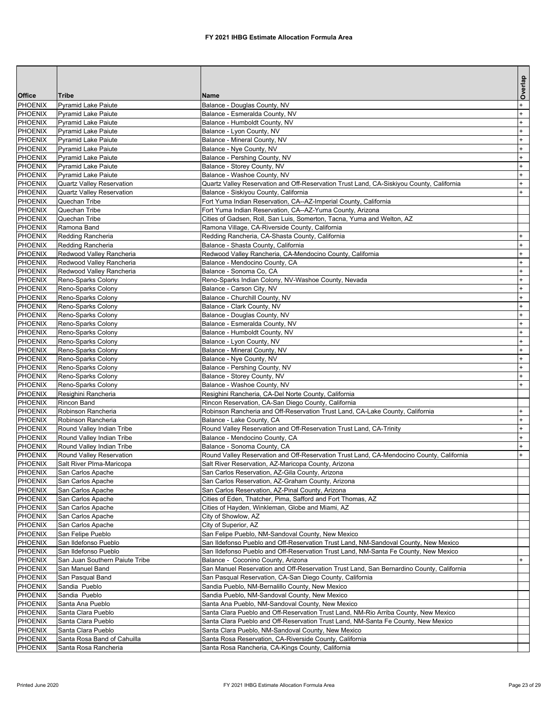|                           |                                                          |                                                                                                                 | Overlap                |
|---------------------------|----------------------------------------------------------|-----------------------------------------------------------------------------------------------------------------|------------------------|
| Office                    | <b>Tribe</b>                                             | <b>Name</b>                                                                                                     |                        |
| <b>PHOENIX</b>            | <b>Pyramid Lake Paiute</b>                               | Balance - Douglas County, NV                                                                                    | $^{+}$                 |
| PHOENIX                   | <b>Pyramid Lake Paiute</b>                               | Balance - Esmeralda County, NV                                                                                  | $+$                    |
| PHOENIX<br>PHOENIX        | <b>Pyramid Lake Paiute</b>                               | Balance - Humboldt County, NV                                                                                   | $\ddot{}$<br>$\ddot{}$ |
| PHOENIX                   | <b>Pyramid Lake Paiute</b>                               | Balance - Lyon County, NV                                                                                       | $\ddot{}$              |
| <b>PHOENIX</b>            | <b>Pyramid Lake Paiute</b><br><b>Pyramid Lake Paiute</b> | Balance - Mineral County, NV<br>Balance - Nye County, NV                                                        | $\ddot{}$              |
| <b>PHOENIX</b>            | <b>Pyramid Lake Paiute</b>                               | Balance - Pershing County, NV                                                                                   | $+$                    |
| PHOENIX                   | <b>Pyramid Lake Paiute</b>                               | Balance - Storey County, NV                                                                                     | $\ddot{}$              |
| PHOENIX                   | <b>Pyramid Lake Paiute</b>                               | Balance - Washoe County, NV                                                                                     | $\ddot{}$              |
| <b>PHOENIX</b>            | <b>Quartz Valley Reservation</b>                         | Quartz Valley Reservation and Off-Reservation Trust Land, CA-Siskiyou County, California                        | $^{+}$                 |
| <b>PHOENIX</b>            | <b>Quartz Valley Reservation</b>                         | Balance - Siskiyou County, California                                                                           | $+$                    |
| <b>PHOENIX</b>            | Quechan Tribe                                            | Fort Yuma Indian Reservation, CA--AZ-Imperial County, California                                                |                        |
| PHOENIX                   | Quechan Tribe                                            | Fort Yuma Indian Reservation, CA--AZ-Yuma County, Arizona                                                       |                        |
| PHOENIX                   | Quechan Tribe                                            | Cities of Gadsen, Roll, San Luis, Somerton, Tacna, Yuma and Welton, AZ                                          |                        |
| <b>PHOENIX</b>            | Ramona Band                                              | Ramona Village, CA-Riverside County, California                                                                 |                        |
| <b>PHOENIX</b>            | Redding Rancheria                                        | Redding Rancheria, CA-Shasta County, California                                                                 | $\ddot{}$              |
| <b>PHOENIX</b>            | Redding Rancheria                                        | Balance - Shasta County, California                                                                             | $+$                    |
| PHOENIX                   | Redwood Valley Rancheria                                 | Redwood Valley Rancheria, CA-Mendocino County, California                                                       | $\ddot{}$              |
| PHOENIX                   | Redwood Valley Rancheria                                 | Balance - Mendocino County, CA                                                                                  | $\ddot{}$              |
| <b>PHOENIX</b>            | Redwood Valley Rancheria                                 | Balance - Sonoma Co, CA                                                                                         | $\ddot{}$              |
| <b>PHOENIX</b>            | Reno-Sparks Colony                                       | Reno-Sparks Indian Colony, NV-Washoe County, Nevada                                                             | $+$                    |
| <b>PHOENIX</b>            | Reno-Sparks Colony                                       | Balance - Carson City, NV                                                                                       | $+$                    |
| PHOENIX                   | Reno-Sparks Colony                                       | Balance - Churchill County, NV                                                                                  | $\ddot{}$              |
| PHOENIX<br><b>PHOENIX</b> | Reno-Sparks Colony                                       | Balance - Clark County, NV                                                                                      | $\ddot{}$              |
| <b>PHOENIX</b>            | Reno-Sparks Colony<br>Reno-Sparks Colony                 | Balance - Douglas County, NV<br>Balance - Esmeralda County, NV                                                  | $\ddot{}$<br>$\ddot{}$ |
| <b>PHOENIX</b>            | Reno-Sparks Colony                                       | Balance - Humboldt County, NV                                                                                   | $+$                    |
| PHOENIX                   | Reno-Sparks Colony                                       | Balance - Lyon County, NV                                                                                       | $\ddot{}$              |
| PHOENIX                   | Reno-Sparks Colony                                       | Balance - Mineral County, NV                                                                                    | $\ddot{}$              |
| PHOENIX                   | Reno-Sparks Colony                                       | Balance - Nye County, NV                                                                                        | $\ddot{}$              |
| <b>PHOENIX</b>            | Reno-Sparks Colony                                       | Balance - Pershing County, NV                                                                                   | $\ddot{}$              |
| <b>PHOENIX</b>            | Reno-Sparks Colony                                       | Balance - Storey County, NV                                                                                     | $+$                    |
| PHOENIX                   | Reno-Sparks Colony                                       | Balance - Washoe County, NV                                                                                     | $\ddot{}$              |
| PHOENIX                   | Resighini Rancheria                                      | Resighini Rancheria, CA-Del Norte County, California                                                            |                        |
| PHOENIX                   | Rincon Band                                              | Rincon Reservation, CA-San Diego County, California                                                             |                        |
| <b>PHOENIX</b>            | Robinson Rancheria                                       | Robinson Rancheria and Off-Reservation Trust Land, CA-Lake County, California                                   | $+$                    |
| <b>PHOENIX</b>            | Robinson Rancheria                                       | Balance - Lake County, CA                                                                                       | $+$                    |
| PHOENIX                   | Round Valley Indian Tribe                                | Round Valley Reservation and Off-Reservation Trust Land, CA-Trinity                                             | $\ddot{}$              |
| PHOENIX                   | Round Valley Indian Tribe                                | Balance - Mendocino County, CA                                                                                  | $\ddot{}$              |
| PHOENIX                   | Round Valley Indian Tribe                                | Balance - Sonoma County, CA                                                                                     | $+$                    |
| <b>PHOENIX</b>            | Round Valley Reservation                                 | Round Valley Reservation and Off-Reservation Trust Land, CA-Mendocino County, California                        | $+$                    |
| <b>PHOENIX</b>            | Salt River Plma-Maricopa                                 | Salt River Reservation, AZ-Maricopa County, Arizona                                                             |                        |
| PHOENIX<br>PHOENIX        | San Carlos Apache                                        | San Carlos Reservation, AZ-Gila County, Arizona<br>San Carlos Reservation, AZ-Graham County, Arizona            |                        |
| PHOENIX                   | San Carlos Apache                                        |                                                                                                                 |                        |
| <b>PHOENIX</b>            | San Carlos Apache<br>San Carlos Apache                   | San Carlos Reservation, AZ-Pinal County, Arizona<br>Cities of Eden, Thatcher, Pima, Safford and Fort Thomas, AZ |                        |
| PHOENIX                   | San Carlos Apache                                        | Cities of Hayden, Winkleman, Globe and Miami, AZ                                                                |                        |
| PHOENIX                   | San Carlos Apache                                        | City of Showlow, AZ                                                                                             |                        |
| PHOENIX                   | San Carlos Apache                                        | City of Superior, AZ                                                                                            |                        |
| PHOENIX                   | San Felipe Pueblo                                        | San Felipe Pueblo, NM-Sandoval County, New Mexico                                                               |                        |
| <b>PHOENIX</b>            | San Ildefonso Pueblo                                     | San Ildefonso Pueblo and Off-Reservation Trust Land, NM-Sandoval County, New Mexico                             |                        |
| PHOENIX                   | San Ildefonso Pueblo                                     | San Ildefonso Pueblo and Off-Reservation Trust Land, NM-Santa Fe County, New Mexico                             |                        |
| PHOENIX                   | San Juan Southern Paiute Tribe                           | Balance - Coconino County, Arizona                                                                              | $\ddot{}$              |
| PHOENIX                   | San Manuel Band                                          | San Manuel Reservation and Off-Reservation Trust Land, San Bernardino County, California                        |                        |
| PHOENIX                   | San Pasqual Band                                         | San Pasqual Reservation, CA-San Diego County, California                                                        |                        |
| <b>PHOENIX</b>            | Sandia Pueblo                                            | Sandia Pueblo, NM-Bernalillo County, New Mexico                                                                 |                        |
| PHOENIX                   | Sandia Pueblo                                            | Sandia Pueblo, NM-Sandoval County, New Mexico                                                                   |                        |
| <b>PHOENIX</b>            | Santa Ana Pueblo                                         | Santa Ana Pueblo, NM-Sandoval County, New Mexico                                                                |                        |
| PHOENIX                   | Santa Clara Pueblo                                       | Santa Clara Pueblo and Off-Reservation Trust Land, NM-Rio Arriba County, New Mexico                             |                        |
| PHOENIX                   | Santa Clara Pueblo                                       | Santa Clara Pueblo and Off-Reservation Trust Land, NM-Santa Fe County, New Mexico                               |                        |
| <b>PHOENIX</b>            | Santa Clara Pueblo                                       | Santa Clara Pueblo, NM-Sandoval County, New Mexico                                                              |                        |
| PHOENIX                   | Santa Rosa Band of Cahuilla                              | Santa Rosa Reservation, CA-Riverside County, California                                                         |                        |
| PHOENIX                   | Santa Rosa Rancheria                                     | Santa Rosa Rancheria, CA-Kings County, California                                                               |                        |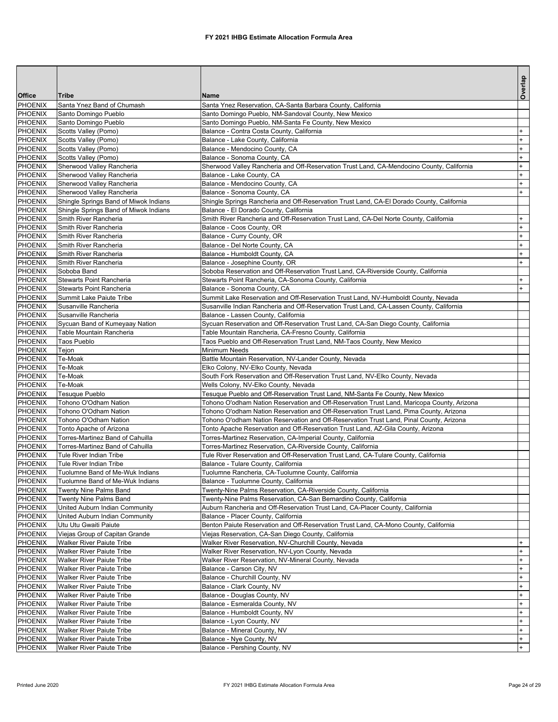| Office                           | <b>Tribe</b>                                               | <b>Name</b>                                                                                             | Overlap   |
|----------------------------------|------------------------------------------------------------|---------------------------------------------------------------------------------------------------------|-----------|
| <b>PHOENIX</b>                   | Santa Ynez Band of Chumash                                 | Santa Ynez Reservation, CA-Santa Barbara County, California                                             |           |
| PHOENIX                          | Santo Domingo Pueblo                                       | Santo Domingo Pueblo, NM-Sandoval County, New Mexico                                                    |           |
| <b>PHOENIX</b>                   | Santo Domingo Pueblo                                       | Santo Domingo Pueblo, NM-Santa Fe County, New Mexico                                                    |           |
| PHOENIX                          | Scotts Valley (Pomo)                                       | Balance - Contra Costa County, California                                                               | $\ddot{}$ |
| PHOENIX                          | Scotts Valley (Pomo)                                       | Balance - Lake County, California                                                                       | $\ddot{}$ |
| <b>PHOENIX</b>                   | Scotts Valley (Pomo)                                       | Balance - Mendocino County, CA                                                                          | $+$       |
| <b>PHOENIX</b>                   | Scotts Valley (Pomo)                                       | Balance - Sonoma County, CA                                                                             | $+$       |
| <b>PHOENIX</b>                   | Sherwood Valley Rancheria                                  | Sherwood Valley Rancheria and Off-Reservation Trust Land, CA-Mendocino County, California               | $\ddot{}$ |
| <b>PHOENIX</b>                   | Sherwood Valley Rancheria                                  | Balance - Lake County, CA                                                                               | $\ddot{}$ |
| <b>PHOENIX</b>                   | Sherwood Valley Rancheria                                  | Balance - Mendocino County, CA                                                                          | $\ddot{}$ |
| <b>PHOENIX</b>                   | Sherwood Valley Rancheria                                  | Balance - Sonoma County, CA                                                                             | $+$       |
| <b>PHOENIX</b>                   | Shingle Springs Band of Miwok Indians                      | Shingle Springs Rancheria and Off-Reservation Trust Land, CA-El Dorado County, California               |           |
| <b>PHOENIX</b>                   | Shingle Springs Band of Miwok Indians                      | Balance - El Dorado County, California                                                                  |           |
| <b>PHOENIX</b>                   | Smith River Rancheria                                      | Smith River Rancheria and Off-Reservation Trust Land, CA-Del Norte County, California                   | $\ddot{}$ |
| <b>PHOENIX</b>                   | Smith River Rancheria                                      | Balance - Coos County, OR                                                                               | $\ddot{}$ |
| PHOENIX                          | Smith River Rancheria                                      | Balance - Curry County, OR                                                                              | $\ddot{}$ |
| <b>PHOENIX</b>                   | Smith River Rancheria                                      | Balance - Del Norte County, CA                                                                          | $+$       |
| <b>PHOENIX</b>                   | Smith River Rancheria                                      | Balance - Humboldt County, CA                                                                           | $\ddot{}$ |
| <b>PHOENIX</b>                   | Smith River Rancheria                                      | Balance - Josephine County, OR                                                                          | $\ddot{}$ |
| <b>PHOENIX</b>                   | Soboba Band<br><b>Stewarts Point Rancheria</b>             | Soboba Reservation and Off-Reservation Trust Land, CA-Riverside County, California                      | $\ddot{}$ |
| <b>PHOENIX</b><br><b>PHOENIX</b> | Stewarts Point Rancheria                                   | Stewarts Point Rancheria, CA-Sonoma County, California<br>Balance - Sonoma County, CA                   | $+$       |
| <b>PHOENIX</b>                   | Summit Lake Paiute Tribe                                   | Summit Lake Reservation and Off-Reservation Trust Land, NV-Humboldt County, Nevada                      |           |
| <b>PHOENIX</b>                   | Susanville Rancheria                                       | Susanville Indian Rancheria and Off-Reservation Trust Land, CA-Lassen County, California                |           |
| <b>PHOENIX</b>                   | Susanville Rancheria                                       | Balance - Lassen County, California                                                                     |           |
| <b>PHOENIX</b>                   | Sycuan Band of Kumeyaay Nation                             | Sycuan Reservation and Off-Reservation Trust Land, CA-San Diego County, California                      |           |
| <b>PHOENIX</b>                   | Table Mountain Rancheria                                   | Table Mountain Rancheria, CA-Fresno County, California                                                  |           |
| <b>PHOENIX</b>                   | <b>Taos Pueblo</b>                                         | Taos Pueblo and Off-Reservation Trust Land, NM-Taos County, New Mexico                                  |           |
| <b>PHOENIX</b>                   | Tejon                                                      | Minimum Needs                                                                                           |           |
| <b>PHOENIX</b>                   | Te-Moak                                                    | Battle Mountain Reservation, NV-Lander County, Nevada                                                   |           |
| PHOENIX                          | Te-Moak                                                    | Elko Colony, NV-Elko County, Nevada                                                                     |           |
| <b>PHOENIX</b>                   | Te-Moak                                                    | South Fork Reservation and Off-Reservation Trust Land, NV-Elko County, Nevada                           |           |
| <b>PHOENIX</b>                   | Te-Moak                                                    | Wells Colony, NV-Elko County, Nevada                                                                    |           |
| <b>PHOENIX</b>                   | <b>Tesuque Pueblo</b>                                      | Tesuque Pueblo and Off-Reservation Trust Land, NM-Santa Fe County, New Mexico                           |           |
| <b>PHOENIX</b>                   | Tohono O'Odham Nation                                      | Tohono O'odham Nation Reservation and Off-Reservation Trust Land, Maricopa County, Arizona              |           |
| <b>PHOENIX</b>                   | Tohono O'Odham Nation                                      | Tohono O'odham Nation Reservation and Off-Reservation Trust Land, Pima County, Arizona                  |           |
| <b>PHOENIX</b>                   | Tohono O'Odham Nation                                      | Tohono O'odham Nation Reservation and Off-Reservation Trust Land, Pinal County, Arizona                 |           |
| <b>PHOENIX</b>                   | Tonto Apache of Arizona                                    | Tonto Apache Reservation and Off-Reservation Trust Land, AZ-Gila County, Arizona                        |           |
| <b>PHOENIX</b>                   | Torres-Martinez Band of Cahuilla                           | Torres-Martinez Reservation, CA-Imperial County, California                                             |           |
| <b>PHOENIX</b>                   | Torres-Martinez Band of Cahuilla                           | Torres-Martinez Reservation, CA-Riverside County, California                                            |           |
| <b>PHOENIX</b>                   | <b>Tule River Indian Tribe</b>                             | Tule River Reservation and Off-Reservation Trust Land, CA-Tulare County, California                     |           |
| PHOENIX<br><b>PHOENIX</b>        | Tule River Indian Tribe<br>Tuolumne Band of Me-Wuk Indians | Balance - Tulare County, California<br>Tuolumne Rancheria, CA-Tuolumne County, California               |           |
| <b>PHOENIX</b>                   | Tuolumne Band of Me-Wuk Indians                            |                                                                                                         |           |
| PHOENIX                          | Twenty Nine Palms Band                                     | Balance - Tuolumne County, California<br>Twenty-Nine Palms Reservation, CA-Riverside County, California |           |
| <b>PHOENIX</b>                   | Twenty Nine Palms Band                                     | Twenty-Nine Palms Reservation, CA-San Bernardino County, California                                     |           |
| <b>PHOENIX</b>                   | United Auburn Indian Community                             | Auburn Rancheria and Off-Reservation Trust Land, CA-Placer County, California                           |           |
| <b>PHOENIX</b>                   | United Auburn Indian Community                             | Balance - Placer County, California                                                                     |           |
| PHOENIX                          | Utu Utu Gwaiti Paiute                                      | Benton Paiute Reservation and Off-Reservation Trust Land, CA-Mono County, California                    |           |
| PHOENIX                          | Viejas Group of Capitan Grande                             | Viejas Reservation, CA-San Diego County, California                                                     |           |
| PHOENIX                          | <b>Walker River Paiute Tribe</b>                           | Walker River Reservation, NV-Churchill County, Nevada                                                   | $+$       |
| PHOENIX                          | Walker River Paiute Tribe                                  | Walker River Reservation, NV-Lyon County, Nevada                                                        | $+$       |
| PHOENIX                          | Walker River Paiute Tribe                                  | Walker River Reservation, NV-Mineral County, Nevada                                                     | $\ddot{}$ |
| PHOENIX                          | <b>Walker River Paiute Tribe</b>                           | Balance - Carson City, NV                                                                               | $\ddot{}$ |
| PHOENIX                          | <b>Walker River Paiute Tribe</b>                           | Balance - Churchill County, NV                                                                          | $\ddot{}$ |
| <b>PHOENIX</b>                   | Walker River Paiute Tribe                                  | Balance - Clark County, NV                                                                              | $\ddot{}$ |
| PHOENIX                          | Walker River Paiute Tribe                                  | Balance - Douglas County, NV                                                                            | $+$       |
| PHOENIX                          | Walker River Paiute Tribe                                  | Balance - Esmeralda County, NV                                                                          | $\ddot{}$ |
| PHOENIX                          | <b>Walker River Paiute Tribe</b>                           | Balance - Humboldt County, NV                                                                           | $\ddot{}$ |
| PHOENIX                          | <b>Walker River Paiute Tribe</b>                           | Balance - Lyon County, NV                                                                               | $\ddot{}$ |
| <b>PHOENIX</b>                   | Walker River Paiute Tribe                                  | Balance - Mineral County, NV                                                                            | $+$       |
| PHOENIX                          | Walker River Paiute Tribe                                  | Balance - Nye County, NV                                                                                | $+$       |
| <b>PHOENIX</b>                   | Walker River Paiute Tribe                                  | Balance - Pershing County, NV                                                                           | $+$       |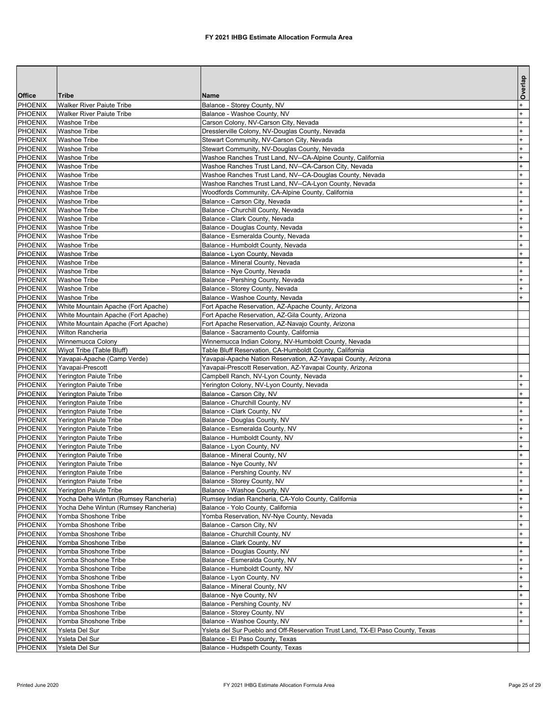|                           |                                              |                                                                                                                      | Overlap          |
|---------------------------|----------------------------------------------|----------------------------------------------------------------------------------------------------------------------|------------------|
| <b>Office</b>             | Tribe                                        | Name                                                                                                                 |                  |
| <b>PHOENIX</b>            | <b>Walker River Paiute Tribe</b>             | Balance - Storey County, NV                                                                                          | $\ddot{}$        |
| <b>PHOENIX</b>            | <b>Walker River Paiute Tribe</b>             | Balance - Washoe County, NV                                                                                          | $+$              |
| <b>PHOENIX</b>            | <b>Washoe Tribe</b>                          | Carson Colony, NV-Carson City, Nevada                                                                                | $\ddot{}$        |
| <b>PHOENIX</b>            | <b>Washoe Tribe</b>                          | Dresslerville Colony, NV-Douglas County, Nevada                                                                      | $\ddot{}$        |
| PHOENIX                   | <b>Washoe Tribe</b>                          | Stewart Community, NV-Carson City, Nevada                                                                            | $\ddot{}$        |
| <b>PHOENIX</b><br>PHOENIX | Washoe Tribe                                 | Stewart Community, NV-Douglas County, Nevada                                                                         | $+$<br>$\ddot{}$ |
| <b>PHOENIX</b>            | <b>Washoe Tribe</b><br><b>Washoe Tribe</b>   | Washoe Ranches Trust Land, NV--CA-Alpine County, California<br>Washoe Ranches Trust Land, NV--CA-Carson City, Nevada | $\ddot{}$        |
| <b>PHOENIX</b>            | <b>Washoe Tribe</b>                          | Washoe Ranches Trust Land, NV--CA-Douglas County, Nevada                                                             | $\ddot{}$        |
| PHOENIX                   | <b>Washoe Tribe</b>                          | Washoe Ranches Trust Land, NV--CA-Lyon County, Nevada                                                                | $\ddot{}$        |
| <b>PHOENIX</b>            | Washoe Tribe                                 | Woodfords Community, CA-Alpine County, California                                                                    | $\ddot{}$        |
| PHOENIX                   | <b>Washoe Tribe</b>                          | Balance - Carson City, Nevada                                                                                        | $+$              |
| <b>PHOENIX</b>            | <b>Washoe Tribe</b>                          | Balance - Churchill County, Nevada                                                                                   | $\ddot{}$        |
| <b>PHOENIX</b>            | <b>Washoe Tribe</b>                          | Balance - Clark County, Nevada                                                                                       | $\ddot{}$        |
| PHOENIX                   | <b>Washoe Tribe</b>                          | Balance - Douglas County, Nevada                                                                                     | $\ddot{}$        |
| <b>PHOENIX</b>            | Washoe Tribe                                 | Balance - Esmeralda County, Nevada                                                                                   | $\ddot{}$        |
| PHOENIX                   | <b>Washoe Tribe</b>                          | Balance - Humboldt County, Nevada                                                                                    | $+$              |
| <b>PHOENIX</b>            | <b>Washoe Tribe</b>                          | Balance - Lyon County, Nevada                                                                                        | $\ddot{}$        |
| <b>PHOENIX</b>            | <b>Washoe Tribe</b>                          | Balance - Mineral County, Nevada                                                                                     | $\ddot{}$        |
| PHOENIX                   | <b>Washoe Tribe</b>                          | Balance - Nye County, Nevada                                                                                         | $\ddot{}$        |
| <b>PHOENIX</b>            | Washoe Tribe                                 | Balance - Pershing County, Nevada                                                                                    | $+$              |
| PHOENIX                   | <b>Washoe Tribe</b>                          | Balance - Storey County, Nevada                                                                                      | $+$              |
| <b>PHOENIX</b>            | <b>Washoe Tribe</b>                          | Balance - Washoe County, Nevada                                                                                      | $\ddot{}$        |
| PHOENIX                   | White Mountain Apache (Fort Apache)          | Fort Apache Reservation, AZ-Apache County, Arizona                                                                   |                  |
| PHOENIX                   | White Mountain Apache (Fort Apache)          | Fort Apache Reservation, AZ-Gila County, Arizona                                                                     |                  |
| <b>PHOENIX</b>            | White Mountain Apache (Fort Apache)          | Fort Apache Reservation, AZ-Navajo County, Arizona                                                                   |                  |
| PHOENIX<br><b>PHOENIX</b> | Wilton Rancheria<br>Winnemucca Colony        | Balance - Sacramento County, California                                                                              |                  |
| <b>PHOENIX</b>            | Wiyot Tribe (Table Bluff)                    | Winnemucca Indian Colony, NV-Humboldt County, Nevada<br>Table Bluff Reservation, CA-Humboldt County, California      |                  |
| PHOENIX                   | Yavapai-Apache (Camp Verde)                  | Yavapai-Apache Nation Reservation, AZ-Yavapai County, Arizona                                                        |                  |
| <b>PHOENIX</b>            | Yavapai-Prescott                             | Yavapai-Prescott Reservation, AZ-Yavapai County, Arizona                                                             |                  |
| PHOENIX                   | Yerington Paiute Tribe                       | Campbell Ranch, NV-Lyon County, Nevada                                                                               | $+$              |
| <b>PHOENIX</b>            | Yerington Paiute Tribe                       | Yerington Colony, NV-Lyon County, Nevada                                                                             | $\ddot{}$        |
| PHOENIX                   | Yerington Paiute Tribe                       | Balance - Carson City, NV                                                                                            | $\ddot{}$        |
| PHOENIX                   | Yerington Paiute Tribe                       | Balance - Churchill County, NV                                                                                       | $\ddot{}$        |
| PHOENIX                   | Yerington Paiute Tribe                       | Balance - Clark County, NV                                                                                           | $\ddot{}$        |
| PHOENIX                   | Yerington Paiute Tribe                       | Balance - Douglas County, NV                                                                                         | $+$              |
| <b>PHOENIX</b>            | Yerington Paiute Tribe                       | Balance - Esmeralda County, NV                                                                                       | $\ddot{}$        |
| PHOENIX                   | Yerington Paiute Tribe                       | Balance - Humboldt County, NV                                                                                        | $\ddot{}$        |
| PHOENIX                   | Yerington Paiute Tribe                       | Balance - Lyon County, NV                                                                                            | $+$              |
| PHOENIX                   | Yerington Paiute Tribe                       | Balance - Mineral County, NV                                                                                         | $+$              |
| PHOENIX                   | Yerington Paiute Tribe                       | Balance - Nye County, NV                                                                                             | $+$              |
| <b>PHOENIX</b>            | <b>Yerington Paiute Tribe</b>                | Balance - Pershing County, NV                                                                                        | $\ddot{}$        |
| <b>PHOENIX</b>            | Yerington Paiute Tribe                       | Balance - Storey County, NV                                                                                          | $\ddot{}$        |
| PHOENIX                   | Yerington Paiute Tribe                       | Balance - Washoe County, NV                                                                                          | $+$              |
| <b>PHOENIX</b>            | Yocha Dehe Wintun (Rumsey Rancheria)         | Rumsey Indian Rancheria, CA-Yolo County, California                                                                  | $+$              |
| PHOENIX                   | Yocha Dehe Wintun (Rumsey Rancheria)         | Balance - Yolo County, California<br>Yomba Reservation, NV-Nye County, Nevada                                        | $+$<br>$\ddot{}$ |
| PHOENIX<br>PHOENIX        | Yomba Shoshone Tribe<br>Yomba Shoshone Tribe | Balance - Carson City, NV                                                                                            | $\ddot{}$        |
| PHOENIX                   | Yomba Shoshone Tribe                         | Balance - Churchill County, NV                                                                                       | $\ddot{}$        |
| <b>PHOENIX</b>            | Yomba Shoshone Tribe                         | Balance - Clark County, NV                                                                                           | $+$              |
| PHOENIX                   | Yomba Shoshone Tribe                         | Balance - Douglas County, NV                                                                                         | $+$              |
| PHOENIX                   | Yomba Shoshone Tribe                         | Balance - Esmeralda County, NV                                                                                       | $\ddot{}$        |
| PHOENIX                   | Yomba Shoshone Tribe                         | Balance - Humboldt County, NV                                                                                        | $\ddot{}$        |
| PHOENIX                   | Yomba Shoshone Tribe                         | Balance - Lyon County, NV                                                                                            | $\ddot{}$        |
| <b>PHOENIX</b>            | Yomba Shoshone Tribe                         | Balance - Mineral County, NV                                                                                         | $\ddot{}$        |
| PHOENIX                   | Yomba Shoshone Tribe                         | Balance - Nye County, NV                                                                                             | $+$              |
| PHOENIX                   | Yomba Shoshone Tribe                         | Balance - Pershing County, NV                                                                                        | $\ddot{}$        |
| PHOENIX                   | Yomba Shoshone Tribe                         | Balance - Storey County, NV                                                                                          | $\ddot{}$        |
| PHOENIX                   | Yomba Shoshone Tribe                         | Balance - Washoe County, NV                                                                                          | $+$              |
| PHOENIX                   | Ysleta Del Sur                               | Ysleta del Sur Pueblo and Off-Reservation Trust Land, TX-El Paso County, Texas                                       |                  |
| PHOENIX                   | Ysleta Del Sur                               | Balance - El Paso County, Texas                                                                                      |                  |
| PHOENIX                   | Ysleta Del Sur                               | Balance - Hudspeth County, Texas                                                                                     |                  |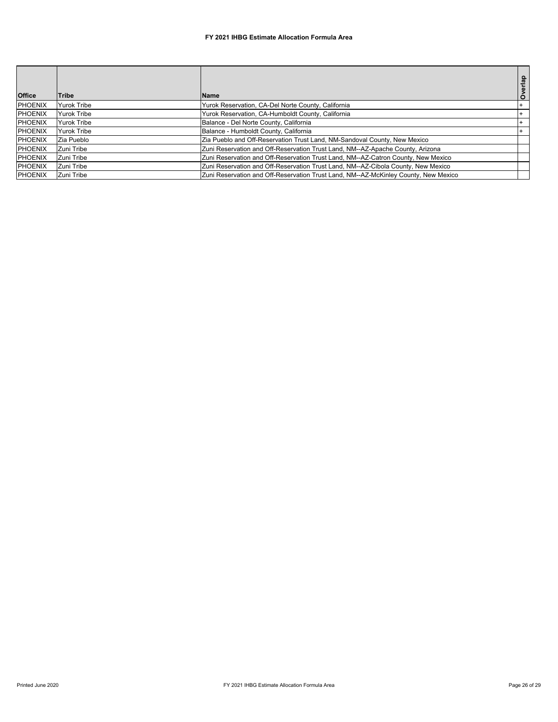| <b>Office</b>  | Tribe              | <b>Name</b>                                                                         |  |
|----------------|--------------------|-------------------------------------------------------------------------------------|--|
| <b>PHOENIX</b> | <b>Yurok Tribe</b> | Yurok Reservation, CA-Del Norte County, California                                  |  |
| <b>PHOENIX</b> | <b>Yurok Tribe</b> | Yurok Reservation, CA-Humboldt County, California                                   |  |
| <b>PHOENIX</b> | <b>Yurok Tribe</b> | Balance - Del Norte County, California                                              |  |
| <b>PHOENIX</b> | <b>Yurok Tribe</b> | Balance - Humboldt County, California                                               |  |
| <b>PHOENIX</b> | Zia Pueblo         | Zia Pueblo and Off-Reservation Trust Land, NM-Sandoval County, New Mexico           |  |
| <b>PHOENIX</b> | Zuni Tribe         | Zuni Reservation and Off-Reservation Trust Land, NM--AZ-Apache County, Arizona      |  |
| <b>PHOENIX</b> | Zuni Tribe         | Zuni Reservation and Off-Reservation Trust Land, NM--AZ-Catron County, New Mexico   |  |
| <b>PHOENIX</b> | Zuni Tribe         | Zuni Reservation and Off-Reservation Trust Land, NM--AZ-Cibola County, New Mexico   |  |
| <b>PHOENIX</b> | Zuni Tribe         | Zuni Reservation and Off-Reservation Trust Land, NM--AZ-McKinley County, New Mexico |  |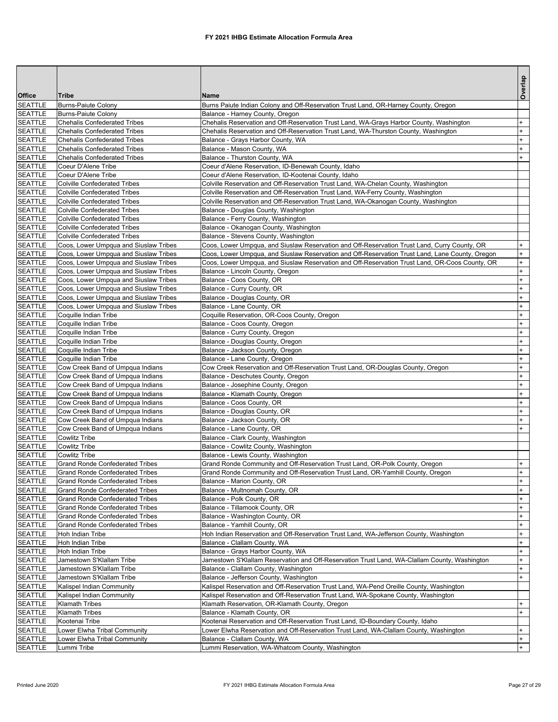|                                  |                                                                            |                                                                                                                                                                         | Overlap                |
|----------------------------------|----------------------------------------------------------------------------|-------------------------------------------------------------------------------------------------------------------------------------------------------------------------|------------------------|
| Office                           | <b>Tribe</b>                                                               | <b>Name</b>                                                                                                                                                             |                        |
| <b>SEATTLE</b>                   | Burns-Paiute Colony                                                        | Burns Paiute Indian Colony and Off-Reservation Trust Land, OR-Harney County, Oregon                                                                                     |                        |
| <b>SEATTLE</b>                   | <b>Burns-Paiute Colony</b>                                                 | Balance - Harney County, Oregon                                                                                                                                         |                        |
| <b>SEATTLE</b>                   | <b>Chehalis Confederated Tribes</b>                                        | Chehalis Reservation and Off-Reservation Trust Land, WA-Grays Harbor County, Washington                                                                                 | $\ddot{}$              |
| <b>SEATTLE</b>                   | <b>Chehalis Confederated Tribes</b>                                        | Chehalis Reservation and Off-Reservation Trust Land, WA-Thurston County, Washington                                                                                     | $\ddot{}$              |
| <b>SEATTLE</b>                   | <b>Chehalis Confederated Tribes</b>                                        | Balance - Grays Harbor County, WA                                                                                                                                       | $\ddot{}$              |
| <b>SEATTLE</b>                   | <b>Chehalis Confederated Tribes</b>                                        | Balance - Mason County, WA                                                                                                                                              | $\ddot{}$              |
| <b>SEATTLE</b>                   | <b>Chehalis Confederated Tribes</b>                                        | Balance - Thurston County, WA                                                                                                                                           | $\ddot{}$              |
| <b>SEATTLE</b>                   | Coeur D'Alene Tribe                                                        | Coeur d'Alene Reservation, ID-Benewah County, Idaho                                                                                                                     |                        |
| <b>SEATTLE</b>                   | Coeur D'Alene Tribe                                                        | Coeur d'Alene Reservation, ID-Kootenai County, Idaho                                                                                                                    |                        |
| <b>SEATTLE</b>                   | <b>Colville Confederated Tribes</b><br><b>Colville Confederated Tribes</b> | Colville Reservation and Off-Reservation Trust Land, WA-Chelan County, Washington                                                                                       |                        |
| <b>SEATTLE</b><br><b>SEATTLE</b> | <b>Colville Confederated Tribes</b>                                        | Colville Reservation and Off-Reservation Trust Land, WA-Ferry County, Washington<br>Colville Reservation and Off-Reservation Trust Land, WA-Okanogan County, Washington |                        |
| <b>SEATTLE</b>                   | <b>Colville Confederated Tribes</b>                                        | Balance - Douglas County, Washington                                                                                                                                    |                        |
| <b>SEATTLE</b>                   | <b>Colville Confederated Tribes</b>                                        | Balance - Ferry County, Washington                                                                                                                                      |                        |
| <b>SEATTLE</b>                   | <b>Colville Confederated Tribes</b>                                        | Balance - Okanogan County, Washington                                                                                                                                   |                        |
| <b>SEATTLE</b>                   | <b>Colville Confederated Tribes</b>                                        | Balance - Stevens County, Washington                                                                                                                                    |                        |
| <b>SEATTLE</b>                   | Coos, Lower Umpqua and Siuslaw Tribes                                      | Coos, Lower Umpqua, and Siuslaw Reservation and Off-Reservation Trust Land, Curry County, OR                                                                            | $\ddot{}$              |
| <b>SEATTLE</b>                   | Coos, Lower Umpqua and Siuslaw Tribes                                      | Coos, Lower Umpqua, and Siuslaw Reservation and Off-Reservation Trust Land, Lane County, Oregon                                                                         | $+$                    |
| <b>SEATTLE</b>                   | Coos, Lower Umpqua and Siuslaw Tribes                                      | Coos, Lower Umpgua, and Siuslaw Reservation and Off-Reservation Trust Land, OR-Coos County, OR                                                                          | $+$                    |
| <b>SEATTLE</b>                   | Coos, Lower Umpqua and Siuslaw Tribes                                      | Balance - Lincoln County, Oregon                                                                                                                                        | $\ddot{}$              |
| <b>SEATTLE</b>                   | Coos, Lower Umpqua and Siuslaw Tribes                                      | Balance - Coos County, OR                                                                                                                                               | $\ddot{}$              |
| <b>SEATTLE</b>                   | Coos, Lower Umpqua and Siuslaw Tribes                                      | Balance - Curry County, OR                                                                                                                                              | $\ddot{}$              |
| <b>SEATTLE</b>                   | Coos, Lower Umpqua and Siuslaw Tribes                                      | Balance - Douglas County, OR                                                                                                                                            | $\ddot{}$              |
| <b>SEATTLE</b>                   | Coos, Lower Umpqua and Siuslaw Tribes                                      | Balance - Lane County, OR                                                                                                                                               | $\ddot{}$              |
| <b>SEATTLE</b>                   | Coquille Indian Tribe                                                      | Coquille Reservation, OR-Coos County, Oregon                                                                                                                            | $\ddot{}$              |
| <b>SEATTLE</b>                   | Coquille Indian Tribe                                                      | Balance - Coos County, Oregon                                                                                                                                           | $\ddot{}$              |
| <b>SEATTLE</b>                   | Coquille Indian Tribe                                                      | Balance - Curry County, Oregon                                                                                                                                          | $\ddot{}$              |
| <b>SEATTLE</b>                   | Coquille Indian Tribe                                                      | Balance - Douglas County, Oregon                                                                                                                                        | $\ddot{}$              |
| <b>SEATTLE</b>                   | Coquille Indian Tribe                                                      | Balance - Jackson County, Oregon                                                                                                                                        | $\ddot{}$              |
| <b>SEATTLE</b>                   | Coquille Indian Tribe                                                      | Balance - Lane County, Oregon                                                                                                                                           | $\ddot{}$              |
| <b>SEATTLE</b>                   | Cow Creek Band of Umpqua Indians                                           | Cow Creek Reservation and Off-Reservation Trust Land, OR-Douglas County, Oregon                                                                                         | $\ddot{}$              |
| <b>SEATTLE</b><br><b>SEATTLE</b> | Cow Creek Band of Umpqua Indians<br>Cow Creek Band of Umpqua Indians       | Balance - Deschutes County, Oregon<br>Balance - Josephine County, Oregon                                                                                                | $\ddot{}$<br>$\ddot{}$ |
| <b>SEATTLE</b>                   | Cow Creek Band of Umpqua Indians                                           | Balance - Klamath County, Oregon                                                                                                                                        | $\ddot{}$              |
| <b>SEATTLE</b>                   | Cow Creek Band of Umpqua Indians                                           | Balance - Coos County, OR                                                                                                                                               | $\ddot{}$              |
| <b>SEATTLE</b>                   | Cow Creek Band of Umpqua Indians                                           | Balance - Douglas County, OR                                                                                                                                            | $\ddot{}$              |
| <b>SEATTLE</b>                   | Cow Creek Band of Umpqua Indians                                           | Balance - Jackson County, OR                                                                                                                                            | $\ddot{}$              |
| <b>SEATTLE</b>                   | Cow Creek Band of Umpqua Indians                                           | Balance - Lane County, OR                                                                                                                                               | $+$                    |
| <b>SEATTLE</b>                   | Cowlitz Tribe                                                              | Balance - Clark County, Washington                                                                                                                                      |                        |
| <b>SEATTLE</b>                   | <b>Cowlitz Tribe</b>                                                       | Balance - Cowlitz County, Washington                                                                                                                                    |                        |
| <b>SEATTLE</b>                   | Cowlitz Tribe                                                              | Balance - Lewis County, Washington                                                                                                                                      |                        |
| <b>SEATTLE</b>                   | <b>Grand Ronde Confederated Tribes</b>                                     | Grand Ronde Community and Off-Reservation Trust Land, OR-Polk County, Oregon                                                                                            | $\ddot{}$              |
| <b>SEATTLE</b>                   | <b>Grand Ronde Confederated Tribes</b>                                     | Grand Ronde Community and Off-Reservation Trust Land, OR-Yamhill County, Oregon                                                                                         | $^{+}$                 |
| <b>SEATTLE</b>                   | <b>Grand Ronde Confederated Tribes</b>                                     | Balance - Marion County, OR                                                                                                                                             | $\ddot{}$              |
| <b>SEATTLE</b>                   | <b>Grand Ronde Confederated Tribes</b>                                     | Balance - Multnomah County, OR                                                                                                                                          | $\ddot{}$              |
| <b>SEATTLE</b>                   | <b>Grand Ronde Confederated Tribes</b>                                     | Balance - Polk County, OR                                                                                                                                               | $\ddot{}$              |
| <b>SEATTLE</b>                   | <b>Grand Ronde Confederated Tribes</b>                                     | Balance - Tillamook County, OR                                                                                                                                          | $\ddot{}$              |
| <b>SEATTLE</b>                   | <b>Grand Ronde Confederated Tribes</b>                                     | Balance - Washington County, OR                                                                                                                                         | $\ddot{}$              |
| <b>SEATTLE</b>                   | <b>Grand Ronde Confederated Tribes</b>                                     | Balance - Yamhill County, OR                                                                                                                                            | $+$                    |
| <b>SEATTLE</b>                   | Hoh Indian Tribe                                                           | Hoh Indian Reservation and Off-Reservation Trust Land, WA-Jefferson County, Washington                                                                                  | $\ddot{}$              |
| <b>SEATTLE</b>                   | Hoh Indian Tribe                                                           | Balance - Clallam County, WA                                                                                                                                            | $\ddot{}$              |
| <b>SEATTLE</b>                   | Hoh Indian Tribe                                                           | Balance - Grays Harbor County, WA                                                                                                                                       | $+$                    |
| <b>SEATTLE</b>                   | Jamestown S'Klallam Tribe                                                  | Jamestown S'Klallam Reservation and Off-Reservation Trust Land, WA-Clallam County, Washington                                                                           | $+$<br>$+$             |
| <b>SEATTLE</b>                   | Jamestown S'Klallam Tribe                                                  | Balance - Clallam County, Washington                                                                                                                                    | $\ddot{}$              |
| <b>SEATTLE</b><br><b>SEATTLE</b> | Jamestown S'Klallam Tribe<br>Kalispel Indian Community                     | Balance - Jefferson County, Washington<br>Kalispel Reservation and Off-Reservation Trust Land, WA-Pend Oreille County, Washington                                       |                        |
| <b>SEATTLE</b>                   | Kalispel Indian Community                                                  | Kalispel Reservation and Off-Reservation Trust Land, WA-Spokane County, Washington                                                                                      |                        |
| <b>SEATTLE</b>                   | <b>Klamath Tribes</b>                                                      | Klamath Reservation, OR-Klamath County, Oregon                                                                                                                          | $+$                    |
| <b>SEATTLE</b>                   | Klamath Tribes                                                             | Balance - Klamath County, OR                                                                                                                                            | $+$                    |
| <b>SEATTLE</b>                   | Kootenai Tribe                                                             | Kootenai Reservation and Off-Reservation Trust Land, ID-Boundary County, Idaho                                                                                          |                        |
| <b>SEATTLE</b>                   | Lower Elwha Tribal Community                                               | Lower Elwha Reservation and Off-Reservation Trust Land, WA-Clallam County, Washington                                                                                   | $\ddot{}$              |
| <b>SEATTLE</b>                   | Lower Elwha Tribal Community                                               | Balance - Clallam County, WA                                                                                                                                            | $+$                    |
| <b>SEATTLE</b>                   | Lummi Tribe                                                                | Lummi Reservation, WA-Whatcom County, Washington                                                                                                                        | $+$                    |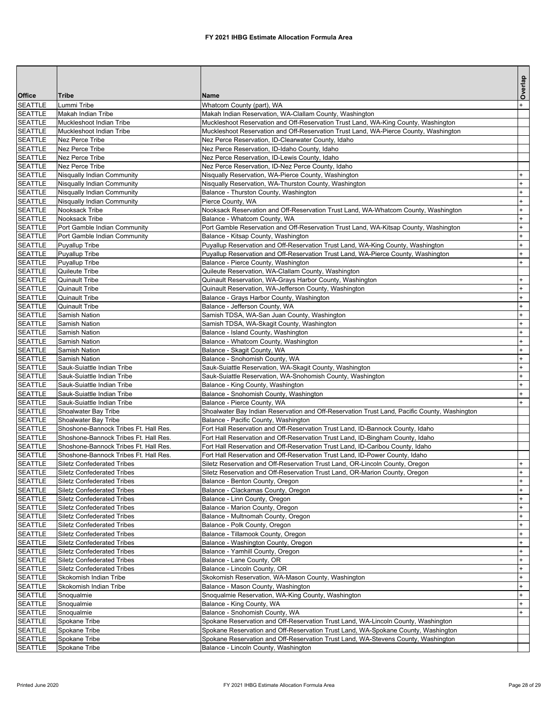|                                  |                                                                        |                                                                                                    | Overlap    |
|----------------------------------|------------------------------------------------------------------------|----------------------------------------------------------------------------------------------------|------------|
| <b>Office</b>                    | <b>Tribe</b>                                                           | Name                                                                                               |            |
| <b>SEATTLE</b>                   | Lummi Tribe                                                            | Whatcom County (part), WA                                                                          |            |
| <b>SEATTLE</b>                   | Makah Indian Tribe                                                     | Makah Indian Reservation, WA-Clallam County, Washington                                            |            |
| <b>SEATTLE</b>                   | Muckleshoot Indian Tribe                                               | Muckleshoot Reservation and Off-Reservation Trust Land, WA-King County, Washington                 |            |
| <b>SEATTLE</b>                   | Muckleshoot Indian Tribe                                               | Muckleshoot Reservation and Off-Reservation Trust Land, WA-Pierce County, Washington               |            |
| <b>SEATTLE</b>                   | <b>Nez Perce Tribe</b>                                                 | Nez Perce Reservation, ID-Clearwater County, Idaho                                                 |            |
| <b>SEATTLE</b>                   | <b>Nez Perce Tribe</b>                                                 | Nez Perce Reservation, ID-Idaho County, Idaho                                                      |            |
| <b>SEATTLE</b><br><b>SEATTLE</b> | Nez Perce Tribe<br><b>Nez Perce Tribe</b>                              | Nez Perce Reservation, ID-Lewis County, Idaho<br>Nez Perce Reservation, ID-Nez Perce County, Idaho |            |
| <b>SEATTLE</b>                   | Nisqually Indian Community                                             | Nisqually Reservation, WA-Pierce County, Washington                                                |            |
| <b>SEATTLE</b>                   | Nisqually Indian Community                                             | Nisqually Reservation, WA-Thurston County, Washington                                              | $+$        |
| <b>SEATTLE</b>                   | Nisqually Indian Community                                             | Balance - Thurston County, Washington                                                              | $\ddot{}$  |
| <b>SEATTLE</b>                   | Nisqually Indian Community                                             | Pierce County, WA                                                                                  | $+$        |
| <b>SEATTLE</b>                   | Nooksack Tribe                                                         | Nooksack Reservation and Off-Reservation Trust Land, WA-Whatcom County, Washington                 | $+$        |
| <b>SEATTLE</b>                   | Nooksack Tribe                                                         | Balance - Whatcom County, WA                                                                       | $+$        |
| <b>SEATTLE</b>                   | Port Gamble Indian Community                                           | Port Gamble Reservation and Off-Reservation Trust Land, WA-Kitsap County, Washington               | $+$        |
| <b>SEATTLE</b>                   | Port Gamble Indian Community                                           | Balance - Kitsap County, Washington                                                                | $\ddot{}$  |
| <b>SEATTLE</b>                   | <b>Puyallup Tribe</b>                                                  | Puyallup Reservation and Off-Reservation Trust Land, WA-King County, Washington                    | $+$        |
| <b>SEATTLE</b>                   | <b>Puyallup Tribe</b>                                                  | Puyallup Reservation and Off-Reservation Trust Land, WA-Pierce County, Washington                  | $+$        |
| <b>SEATTLE</b>                   | Puyallup Tribe                                                         | Balance - Pierce County, Washington                                                                |            |
| <b>SEATTLE</b>                   | Quileute Tribe                                                         | Quileute Reservation, WA-Clallam County, Washington                                                |            |
| <b>SEATTLE</b>                   | <b>Quinault Tribe</b>                                                  | Quinault Reservation, WA-Grays Harbor County, Washington                                           | $\ddot{}$  |
| <b>SEATTLE</b>                   | <b>Quinault Tribe</b>                                                  | Quinault Reservation, WA-Jefferson County, Washington                                              |            |
| <b>SEATTLE</b>                   | <b>Quinault Tribe</b>                                                  | Balance - Grays Harbor County, Washington                                                          | $+$        |
| <b>SEATTLE</b>                   | <b>Quinault Tribe</b>                                                  | Balance - Jefferson County, WA                                                                     | $+$        |
| <b>SEATTLE</b>                   | <b>Samish Nation</b>                                                   | Samish TDSA, WA-San Juan County, Washington                                                        | $+$        |
| <b>SEATTLE</b>                   | <b>Samish Nation</b>                                                   | Samish TDSA, WA-Skagit County, Washington                                                          | $\ddot{}$  |
| <b>SEATTLE</b>                   | <b>Samish Nation</b>                                                   | Balance - Island County, Washington                                                                | $+$        |
| <b>SEATTLE</b>                   | <b>Samish Nation</b>                                                   | Balance - Whatcom County, Washington                                                               | $+$<br>$+$ |
| <b>SEATTLE</b><br><b>SEATTLE</b> | <b>Samish Nation</b><br>Samish Nation                                  | Balance - Skagit County, WA<br>Balance - Snohomish County, WA                                      | $+$        |
| <b>SEATTLE</b>                   | Sauk-Suiattle Indian Tribe                                             | Sauk-Suiattle Reservation, WA-Skagit County, Washington                                            | $\ddot{}$  |
| <b>SEATTLE</b>                   | Sauk-Suiattle Indian Tribe                                             | Sauk-Suiattle Reservation, WA-Snohomish County, Washington                                         | $+$        |
| <b>SEATTLE</b>                   | Sauk-Suiattle Indian Tribe                                             | Balance - King County, Washington                                                                  | $+$        |
| <b>SEATTLE</b>                   | Sauk-Suiattle Indian Tribe                                             | Balance - Snohomish County, Washington                                                             | $+$        |
| <b>SEATTLE</b>                   | Sauk-Suiattle Indian Tribe                                             | Balance - Pierce County, WA                                                                        |            |
| <b>SEATTLE</b>                   | Shoalwater Bay Tribe                                                   | Shoalwater Bay Indian Reservation and Off-Reservation Trust Land, Pacific County, Washington       |            |
| <b>SEATTLE</b>                   | Shoalwater Bay Tribe                                                   | Balance - Pacific County, Washington                                                               |            |
| <b>SEATTLE</b>                   | Shoshone-Bannock Tribes Ft. Hall Res.                                  | Fort Hall Reservation and Off-Reservation Trust Land, ID-Bannock County, Idaho                     |            |
| <b>SEATTLE</b>                   | Shoshone-Bannock Tribes Ft. Hall Res.                                  | Fort Hall Reservation and Off-Reservation Trust Land, ID-Bingham County, Idaho                     |            |
| <b>SEATTLE</b>                   | Shoshone-Bannock Tribes Ft. Hall Res.                                  | Fort Hall Reservation and Off-Reservation Trust Land, ID-Caribou County, Idaho                     |            |
| <b>SEATTLE</b>                   | Shoshone-Bannock Tribes Ft. Hall Res.                                  | Fort Hall Reservation and Off-Reservation Trust Land, ID-Power County, Idaho                       |            |
| <b>SEATTLE</b>                   | <b>Siletz Confederated Tribes</b>                                      | Siletz Reservation and Off-Reservation Trust Land, OR-Lincoln County, Oregon                       | $+$        |
| <b>SEATTLE</b>                   | <b>Siletz Confederated Tribes</b>                                      | Siletz Reservation and Off-Reservation Trust Land, OR-Marion County, Oregon                        | $+$        |
| <b>SEATTLE</b>                   | <b>Siletz Confederated Tribes</b>                                      | Balance - Benton County, Oregon                                                                    | $+$        |
| <b>SEATTLE</b>                   | <b>Siletz Confederated Tribes</b>                                      | Balance - Clackamas County, Oregon                                                                 | $+$        |
| <b>SEATTLE</b>                   | <b>Siletz Confederated Tribes</b>                                      | Balance - Linn County, Oregon                                                                      | $+$        |
| <b>SEATTLE</b>                   | <b>Siletz Confederated Tribes</b>                                      | Balance - Marion County, Oregon                                                                    | $+$        |
| <b>SEATTLE</b>                   | <b>Siletz Confederated Tribes</b>                                      | Balance - Multnomah County, Oregon                                                                 | $+$        |
| <b>SEATTLE</b><br><b>SEATTLE</b> | <b>Siletz Confederated Tribes</b>                                      | Balance - Polk County, Oregon                                                                      | $+$<br>$+$ |
| <b>SEATTLE</b>                   | <b>Siletz Confederated Tribes</b><br><b>Siletz Confederated Tribes</b> | Balance - Tillamook County, Oregon<br>Balance - Washington County, Oregon                          | $\ddot{}$  |
| <b>SEATTLE</b>                   | <b>Siletz Confederated Tribes</b>                                      | Balance - Yamhill County, Oregon                                                                   | $+$        |
| <b>SEATTLE</b>                   | <b>Siletz Confederated Tribes</b>                                      | Balance - Lane County, OR                                                                          | $+$        |
| <b>SEATTLE</b>                   | <b>Siletz Confederated Tribes</b>                                      | Balance - Lincoln County, OR                                                                       | $+$        |
| <b>SEATTLE</b>                   | Skokomish Indian Tribe                                                 | Skokomish Reservation, WA-Mason County, Washington                                                 | $+$        |
| <b>SEATTLE</b>                   | Skokomish Indian Tribe                                                 | Balance - Mason County, Washington                                                                 | $\ddot{}$  |
| <b>SEATTLE</b>                   | Snoqualmie                                                             | Snoqualmie Reservation, WA-King County, Washington                                                 | $+$        |
| <b>SEATTLE</b>                   | Snoqualmie                                                             | Balance - King County, WA                                                                          | $+$        |
| <b>SEATTLE</b>                   | Snoqualmie                                                             | Balance - Snohomish County, WA                                                                     |            |
| <b>SEATTLE</b>                   | Spokane Tribe                                                          | Spokane Reservation and Off-Reservation Trust Land, WA-Lincoln County, Washington                  |            |
| <b>SEATTLE</b>                   | Spokane Tribe                                                          | Spokane Reservation and Off-Reservation Trust Land, WA-Spokane County, Washington                  |            |
| <b>SEATTLE</b>                   | Spokane Tribe                                                          | Spokane Reservation and Off-Reservation Trust Land, WA-Stevens County, Washington                  |            |
| <b>SEATTLE</b>                   | Spokane Tribe                                                          | Balance - Lincoln County, Washington                                                               |            |